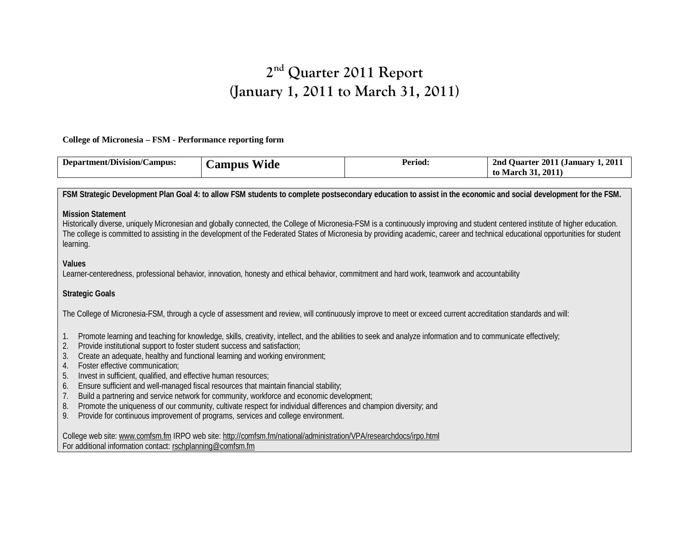# **2nd Quarter 2011 Report (January 1, 2011 to March 31, 2011)**

**College of Micronesia – FSM - Performance reporting form**

| .rtment/Division/C<br>/Campus:<br>Denar | <b>WW70</b><br>Wide<br>ampus | Period: | 2011<br>1. 2011<br>. Juarter<br>2nd<br>. (Januar <sup>.</sup> )<br>2011<br>to<br>March |
|-----------------------------------------|------------------------------|---------|----------------------------------------------------------------------------------------|
|                                         |                              |         |                                                                                        |

**FSM Strategic Development Plan Goal 4: to allow FSM students to complete postsecondary education to assist in the economic and social development for the FSM.**

**Mission Statement** 

Historically diverse, uniquely Micronesian and globally connected, the College of Micronesia-FSM is a continuously improving and student centered institute of higher education. The college is committed to assisting in the development of the Federated States of Micronesia by providing academic, career and technical educational opportunities for student learning.

**Values**

Learner-centeredness, professional behavior, innovation, honesty and ethical behavior, commitment and hard work, teamwork and accountability

**Strategic Goals**

The College of Micronesia-FSM, through a cycle of assessment and review, will continuously improve to meet or exceed current accreditation standards and will:

- 1. Promote learning and teaching for knowledge, skills, creativity, intellect, and the abilities to seek and analyze information and to communicate effectively;
- 2. Provide institutional support to foster student success and satisfaction;
- 3. Create an adequate, healthy and functional learning and working environment;
- 4. Foster effective communication;
- 5. Invest in sufficient, qualified, and effective human resources;
- 6. Ensure sufficient and well-managed fiscal resources that maintain financial stability;
- 7. Build a partnering and service network for community, workforce and economic development;
- 8. Promote the uniqueness of our community, cultivate respect for individual differences and champion diversity; and
- 9. Provide for continuous improvement of programs, services and college environment.

College web site[: www.comfsm.fm](http://www.comfsm.fm/) IRPO web site[: http://comfsm.fm/national/administration/VPA/researchdocs/irpo.html](http://comfsm.fm/national/administration/VPA/researchdocs/irpo.html) For additional information contact: [rschplanning@comfsm.fm](mailto:rschplanning@comfsm.fm)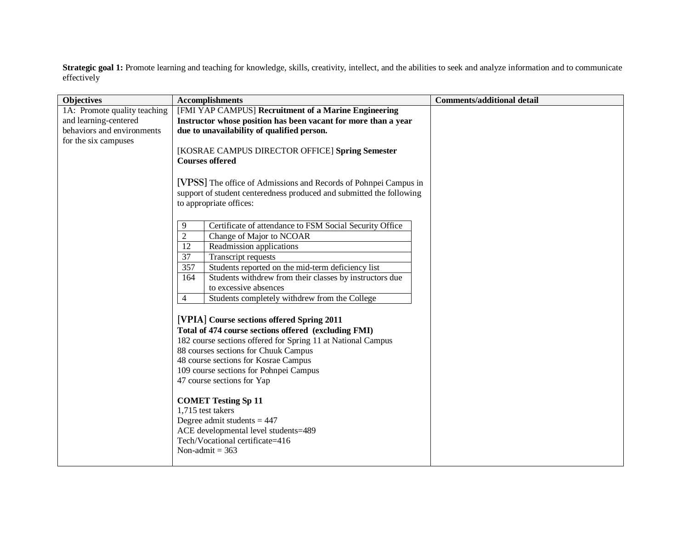Strategic goal 1: Promote learning and teaching for knowledge, skills, creativity, intellect, and the abilities to seek and analyze information and to communicate effectively

| <b>Objectives</b>            | <b>Accomplishments</b>                                                                                                     | <b>Comments/additional detail</b> |
|------------------------------|----------------------------------------------------------------------------------------------------------------------------|-----------------------------------|
| 1A: Promote quality teaching | [FMI YAP CAMPUS] Recruitment of a Marine Engineering                                                                       |                                   |
| and learning-centered        | Instructor whose position has been vacant for more than a year                                                             |                                   |
| behaviors and environments   | due to unavailability of qualified person.                                                                                 |                                   |
| for the six campuses         |                                                                                                                            |                                   |
|                              | [KOSRAE CAMPUS DIRECTOR OFFICE] Spring Semester                                                                            |                                   |
|                              | <b>Courses offered</b>                                                                                                     |                                   |
|                              |                                                                                                                            |                                   |
|                              | [VPSS] The office of Admissions and Records of Pohnpei Campus in                                                           |                                   |
|                              | support of student centeredness produced and submitted the following                                                       |                                   |
|                              | to appropriate offices:                                                                                                    |                                   |
|                              |                                                                                                                            |                                   |
|                              | Certificate of attendance to FSM Social Security Office<br>9                                                               |                                   |
|                              | $\overline{2}$<br>Change of Major to NCOAR                                                                                 |                                   |
|                              | $\overline{12}$<br>Readmission applications<br>$\overline{37}$                                                             |                                   |
|                              | Transcript requests                                                                                                        |                                   |
|                              | 357<br>Students reported on the mid-term deficiency list<br>Students withdrew from their classes by instructors due<br>164 |                                   |
|                              | to excessive absences                                                                                                      |                                   |
|                              | Students completely withdrew from the College<br>$\overline{4}$                                                            |                                   |
|                              |                                                                                                                            |                                   |
|                              | [VPIA] Course sections offered Spring 2011                                                                                 |                                   |
|                              | Total of 474 course sections offered (excluding FMI)                                                                       |                                   |
|                              | 182 course sections offered for Spring 11 at National Campus                                                               |                                   |
|                              | 88 courses sections for Chuuk Campus                                                                                       |                                   |
|                              | 48 course sections for Kosrae Campus                                                                                       |                                   |
|                              | 109 course sections for Pohnpei Campus                                                                                     |                                   |
|                              | 47 course sections for Yap                                                                                                 |                                   |
|                              |                                                                                                                            |                                   |
|                              | <b>COMET Testing Sp 11</b>                                                                                                 |                                   |
|                              | 1,715 test takers                                                                                                          |                                   |
|                              | Degree admit students $= 447$                                                                                              |                                   |
|                              | ACE developmental level students=489                                                                                       |                                   |
|                              | Tech/Vocational certificate=416                                                                                            |                                   |
|                              | Non-admit = $363$                                                                                                          |                                   |
|                              |                                                                                                                            |                                   |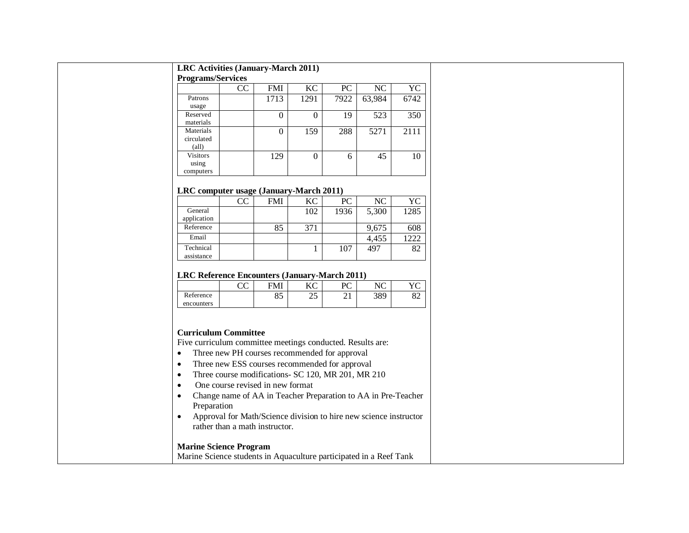|  | LRC Activities (January-March 2011) |
|--|-------------------------------------|
|--|-------------------------------------|

**Programs/Services**

| $= 20$ masses to the value of |    |            |      |      |        |      |
|-------------------------------|----|------------|------|------|--------|------|
|                               | CC | <b>FMI</b> | KC   | PC   | NC     | YC   |
| Patrons                       |    | 1713       | 1291 | 7922 | 63,984 | 6742 |
| usage                         |    |            |      |      |        |      |
| Reserved                      |    |            |      | 19   | 523    | 350  |
| materials                     |    |            |      |      |        |      |
| Materials                     |    | 0          | 159  | 288  | 5271   | 2111 |
| circulated                    |    |            |      |      |        |      |
| $\text{(all)}$                |    |            |      |      |        |      |
| <b>Visitors</b>               |    | 129        |      | 6    | 45     | 10   |
| using                         |    |            |      |      |        |      |
| computers                     |    |            |      |      |        |      |

#### **LRC computer usage (January-March 2011)**

|                         | $\overline{\phantom{a}}$ |     |     |      |       |      |
|-------------------------|--------------------------|-----|-----|------|-------|------|
|                         | CC                       | FMI | KС  | PC   | NC    | YC   |
| General<br>application  |                          |     | 102 | 1936 | 5,300 | 1285 |
| Reference               |                          | 85  | 371 |      | 9,675 | 608  |
| Email                   |                          |     |     |      | 4,455 | 1222 |
| Technical<br>assistance |                          |     |     | 107  | 497   | 82   |

#### **LRC Reference Encounters (January-March 2011)**

|            | $\sim$<br>$\sim$ | <b>EMI</b> | 17 C | DΩ<br>◡ | $\sqrt{ }$ | $\sqrt{ }$ |
|------------|------------------|------------|------|---------|------------|------------|
| Reference  |                  | oε<br>ບບ   | ر_ر  | - -     | 380<br>202 | െ<br>◡∠    |
| encounters |                  |            |      |         |            |            |

## **Curriculum Committee**

Five curriculum committee meetings conducted. Results are:

- Three new PH courses recommended for approval
- Three new ESS courses recommended for approval
- Three course modifications- SC 120, MR 201, MR 210
- One course revised in new format
- Change name of AA in Teacher Preparation to AA in Pre-Teacher Preparation
- Approval for Math/Science division to hire new science instructor rather than a math instructor.

## **Marine Science Program**

Marine Science students in Aquaculture participated in a Reef Tank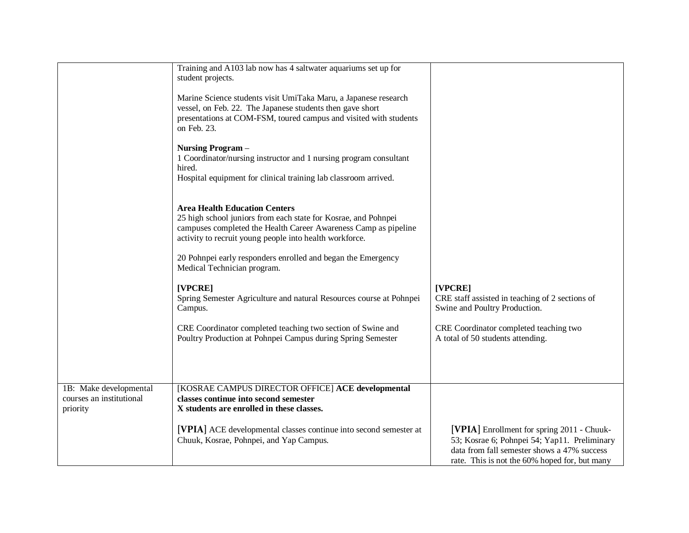|                                                                | Training and A103 lab now has 4 saltwater aquariums set up for<br>student projects.<br>Marine Science students visit UmiTaka Maru, a Japanese research<br>vessel, on Feb. 22. The Japanese students then gave short<br>presentations at COM-FSM, toured campus and visited with students<br>on Feb. 23.<br><b>Nursing Program-</b><br>1 Coordinator/nursing instructor and 1 nursing program consultant<br>hired.<br>Hospital equipment for clinical training lab classroom arrived.<br><b>Area Health Education Centers</b><br>25 high school juniors from each state for Kosrae, and Pohnpei<br>campuses completed the Health Career Awareness Camp as pipeline<br>activity to recruit young people into health workforce. |                                                                                                                                                                                            |
|----------------------------------------------------------------|------------------------------------------------------------------------------------------------------------------------------------------------------------------------------------------------------------------------------------------------------------------------------------------------------------------------------------------------------------------------------------------------------------------------------------------------------------------------------------------------------------------------------------------------------------------------------------------------------------------------------------------------------------------------------------------------------------------------------|--------------------------------------------------------------------------------------------------------------------------------------------------------------------------------------------|
|                                                                | 20 Pohnpei early responders enrolled and began the Emergency<br>Medical Technician program.<br>[VPCRE]                                                                                                                                                                                                                                                                                                                                                                                                                                                                                                                                                                                                                       | [VPCRE]                                                                                                                                                                                    |
|                                                                | Spring Semester Agriculture and natural Resources course at Pohnpei<br>Campus.                                                                                                                                                                                                                                                                                                                                                                                                                                                                                                                                                                                                                                               | CRE staff assisted in teaching of 2 sections of<br>Swine and Poultry Production.                                                                                                           |
|                                                                | CRE Coordinator completed teaching two section of Swine and<br>Poultry Production at Pohnpei Campus during Spring Semester                                                                                                                                                                                                                                                                                                                                                                                                                                                                                                                                                                                                   | CRE Coordinator completed teaching two<br>A total of 50 students attending.                                                                                                                |
| 1B: Make developmental<br>courses an institutional<br>priority | [KOSRAE CAMPUS DIRECTOR OFFICE] ACE developmental<br>classes continue into second semester<br>X students are enrolled in these classes.                                                                                                                                                                                                                                                                                                                                                                                                                                                                                                                                                                                      |                                                                                                                                                                                            |
|                                                                | [VPIA] ACE developmental classes continue into second semester at<br>Chuuk, Kosrae, Pohnpei, and Yap Campus.                                                                                                                                                                                                                                                                                                                                                                                                                                                                                                                                                                                                                 | [VPIA] Enrollment for spring 2011 - Chuuk-<br>53; Kosrae 6; Pohnpei 54; Yap11. Preliminary<br>data from fall semester shows a 47% success<br>rate. This is not the 60% hoped for, but many |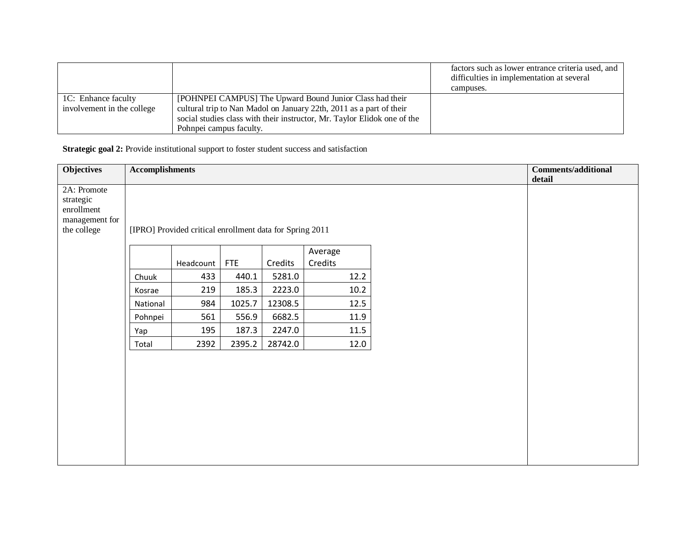|                            |                                                                          | factors such as lower entrance criteria used, and<br>difficulties in implementation at several<br>campuses. |
|----------------------------|--------------------------------------------------------------------------|-------------------------------------------------------------------------------------------------------------|
| 1C: Enhance faculty        | [POHNPEI CAMPUS] The Upward Bound Junior Class had their                 |                                                                                                             |
| involvement in the college | cultural trip to Nan Madol on January 22th, 2011 as a part of their      |                                                                                                             |
|                            | social studies class with their instructor, Mr. Taylor Elidok one of the |                                                                                                             |
|                            | Pohnpei campus faculty.                                                  |                                                                                                             |

**Strategic goal 2:** Provide institutional support to foster student success and satisfaction

| <b>Objectives</b>                                                       | <b>Accomplishments</b> |                                                          |            |         |                    |  | <b>Comments/additional</b><br>detail |
|-------------------------------------------------------------------------|------------------------|----------------------------------------------------------|------------|---------|--------------------|--|--------------------------------------|
| 2A: Promote<br>strategic<br>enrollment<br>management for<br>the college |                        | [IPRO] Provided critical enrollment data for Spring 2011 |            |         |                    |  |                                      |
|                                                                         |                        | Headcount                                                | <b>FTE</b> | Credits | Average<br>Credits |  |                                      |
|                                                                         | Chuuk                  | 433                                                      | 440.1      | 5281.0  | 12.2               |  |                                      |
|                                                                         | Kosrae                 | 219                                                      | 185.3      | 2223.0  | 10.2               |  |                                      |
|                                                                         | National               | 984                                                      | 1025.7     | 12308.5 | 12.5               |  |                                      |
|                                                                         | Pohnpei                | 561                                                      | 556.9      | 6682.5  | 11.9               |  |                                      |
|                                                                         | Yap                    | 195                                                      | 187.3      | 2247.0  | 11.5               |  |                                      |
|                                                                         | Total                  | 2392                                                     | 2395.2     | 28742.0 | 12.0               |  |                                      |
|                                                                         |                        |                                                          |            |         |                    |  |                                      |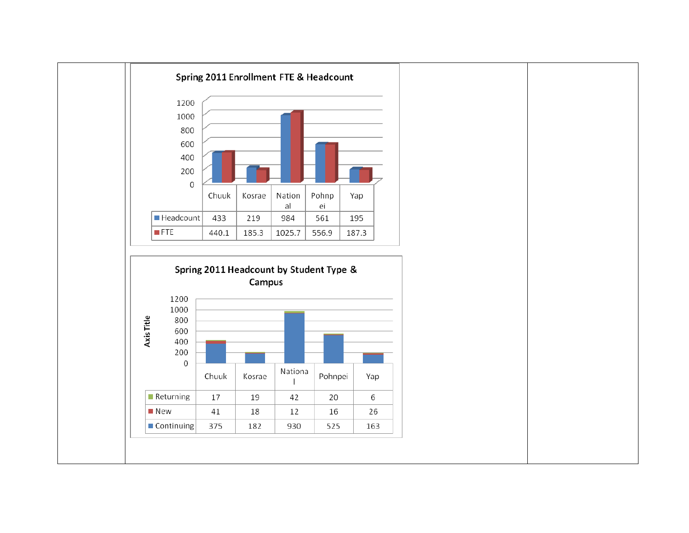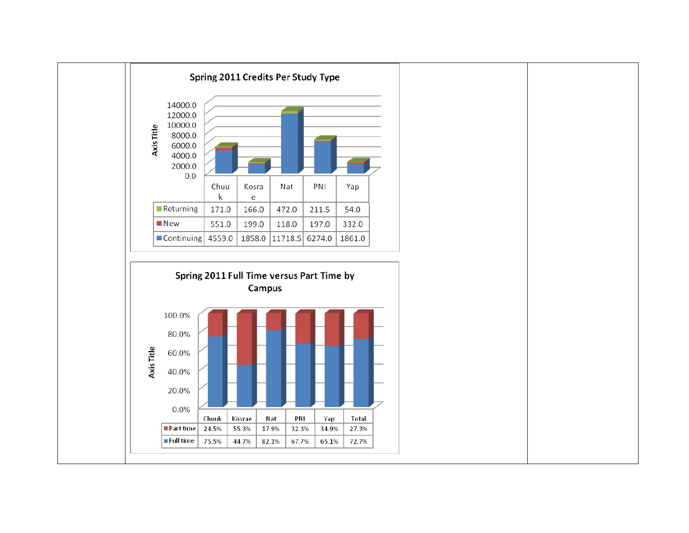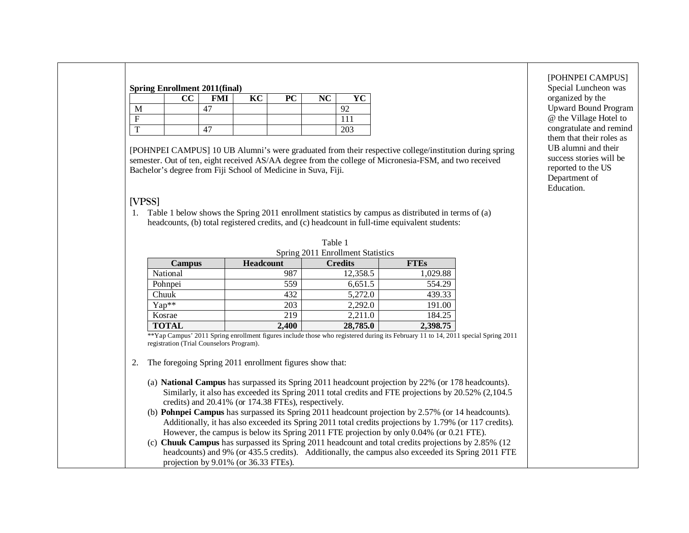| <b>Spring Enrollment 2011(final)</b> |  |                           |                        |  |
|--------------------------------------|--|---------------------------|------------------------|--|
|                                      |  | $\mathbf{K}$ $\mathbf{C}$ | $\mathbf{P}\mathbf{C}$ |  |
| VI                                   |  |                           |                        |  |
|                                      |  |                           |                        |  |
|                                      |  |                           |                        |  |

[POHNPEI CAMPUS] 10 UB Alumni's were graduated from their respective college/institution during spring semester. Out of ten, eight received AS/AA degree from the college of Micronesia-FSM, and two received Bachelor's degree from Fiji School of Medicine in Suva, Fiji.

# **[VPSS]**

1. Table 1 below shows the Spring 2011 enrollment statistics by campus as distributed in terms of (a) headcounts, (b) total registered credits, and (c) headcount in full-time equivalent students:

|               |                                                                                                                  | Spring 2011 Enrollment Statistics |             |
|---------------|------------------------------------------------------------------------------------------------------------------|-----------------------------------|-------------|
| <b>Campus</b> | <b>Headcount</b>                                                                                                 | <b>Credits</b>                    | <b>FTEs</b> |
| National      | 987                                                                                                              | 12,358.5                          | 1,029.88    |
| Pohnpei       | 559                                                                                                              | 6,651.5                           | 554.29      |
| Chuuk         | 432                                                                                                              | 5,272.0                           | 439.33      |
| Yap**         | 203                                                                                                              | 2,292.0                           | 191.00      |
| Kosrae        | 219                                                                                                              | 2,211.0                           | 184.25      |
| <b>TOTAL</b>  | 2,400                                                                                                            | 28,785.0                          | 2,398.75    |
|               | **Yap Campus' 2011 Spring enrollment figures include those who registered during its February 11 to 14, 2011 spe |                                   |             |

ecial Spring 2011 registration (Trial Counselors Program).

Table 1

- 2. The foregoing Spring 2011 enrollment figures show that:
	- (a) **National Campus** has surpassed its Spring 2011 headcount projection by 22% (or 178 headcounts). Similarly, it also has exceeded its Spring 2011 total credits and FTE projections by 20.52% (2,104.5 credits) and 20.41% (or 174.38 FTEs), respectively.
	- (b) **Pohnpei Campus** has surpassed its Spring 2011 headcount projection by 2.57% (or 14 headcounts). Additionally, it has also exceeded its Spring 2011 total credits projections by 1.79% (or 117 credits). However, the campus is below its Spring 2011 FTE projection by only 0.04% (or 0.21 FTE).
	- (c) **Chuuk Campus** has surpassed its Spring 2011 headcount and total credits projections by 2.85% (12 headcounts) and 9% (or 435.5 credits). Additionally, the campus also exceeded its Spring 2011 FTE projection by 9.01% (or 36.33 FTEs).

[POHNPEI CAMPUS] Special Luncheon was organized by the Upward Bound Program @ the Village Hotel to congratulate and remind them that their roles as UB alumni and their success stories will be reported to the US Department of Education.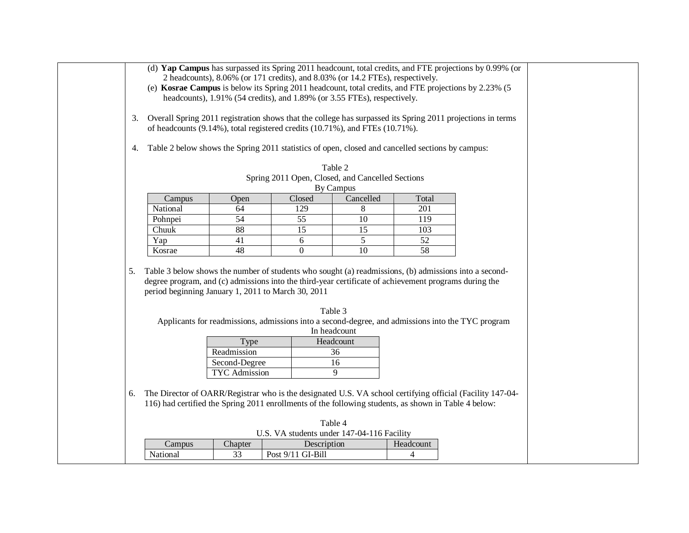|    |                                                                                                                                                             |               |                   |              |                                                                                |           | (d) Yap Campus has surpassed its Spring 2011 headcount, total credits, and FTE projections by 0.99% (or       |  |
|----|-------------------------------------------------------------------------------------------------------------------------------------------------------------|---------------|-------------------|--------------|--------------------------------------------------------------------------------|-----------|---------------------------------------------------------------------------------------------------------------|--|
|    |                                                                                                                                                             |               |                   |              | 2 headcounts), 8.06% (or 171 credits), and 8.03% (or 14.2 FTEs), respectively. |           |                                                                                                               |  |
|    |                                                                                                                                                             |               |                   |              |                                                                                |           | (e) Kosrae Campus is below its Spring 2011 headcount, total credits, and FTE projections by 2.23% (5)         |  |
|    |                                                                                                                                                             |               |                   |              | headcounts), 1.91% (54 credits), and 1.89% (or 3.55 FTEs), respectively.       |           |                                                                                                               |  |
|    |                                                                                                                                                             |               |                   |              |                                                                                |           |                                                                                                               |  |
|    |                                                                                                                                                             |               |                   |              |                                                                                |           | 3. Overall Spring 2011 registration shows that the college has surpassed its Spring 2011 projections in terms |  |
|    | of headcounts (9.14%), total registered credits (10.71%), and FTEs (10.71%).                                                                                |               |                   |              |                                                                                |           |                                                                                                               |  |
|    |                                                                                                                                                             |               |                   |              |                                                                                |           |                                                                                                               |  |
| 4. | Table 2 below shows the Spring 2011 statistics of open, closed and cancelled sections by campus:                                                            |               |                   |              |                                                                                |           |                                                                                                               |  |
|    |                                                                                                                                                             |               |                   |              |                                                                                |           |                                                                                                               |  |
|    |                                                                                                                                                             |               |                   |              | Table 2                                                                        |           |                                                                                                               |  |
|    |                                                                                                                                                             |               |                   |              | Spring 2011 Open, Closed, and Cancelled Sections                               |           |                                                                                                               |  |
|    |                                                                                                                                                             |               |                   |              | By Campus                                                                      |           |                                                                                                               |  |
|    | Campus                                                                                                                                                      | Open          | Closed            |              | Cancelled                                                                      | Total     |                                                                                                               |  |
|    | National                                                                                                                                                    | 64            | 129               |              | 8                                                                              | 201       |                                                                                                               |  |
|    | Pohnpei                                                                                                                                                     | 54            | 55                |              | 10                                                                             | 119       |                                                                                                               |  |
|    | Chuuk                                                                                                                                                       | 88            | 15                |              | 15                                                                             | 103       |                                                                                                               |  |
|    | Yap                                                                                                                                                         | 41            | 6                 |              | 5                                                                              | 52        |                                                                                                               |  |
|    | Kosrae                                                                                                                                                      | 48            | $\Omega$          |              | 10                                                                             | 58        |                                                                                                               |  |
|    |                                                                                                                                                             |               |                   |              |                                                                                |           |                                                                                                               |  |
| 5. | degree program, and (c) admissions into the third-year certificate of achievement programs during the<br>period beginning January 1, 2011 to March 30, 2011 |               |                   |              |                                                                                |           | Table 3 below shows the number of students who sought (a) readmissions, (b) admissions into a second-         |  |
|    |                                                                                                                                                             |               |                   | Table 3      |                                                                                |           |                                                                                                               |  |
|    |                                                                                                                                                             |               |                   |              |                                                                                |           | Applicants for readmissions, admissions into a second-degree, and admissions into the TYC program             |  |
|    |                                                                                                                                                             |               |                   | In headcount |                                                                                |           |                                                                                                               |  |
|    |                                                                                                                                                             | Type          |                   |              | Headcount                                                                      |           |                                                                                                               |  |
|    |                                                                                                                                                             | Readmission   |                   |              | 36                                                                             |           |                                                                                                               |  |
|    |                                                                                                                                                             | Second-Degree |                   |              | 16                                                                             |           |                                                                                                               |  |
|    |                                                                                                                                                             | TYC Admission |                   |              | 9                                                                              |           |                                                                                                               |  |
|    |                                                                                                                                                             |               |                   |              |                                                                                |           |                                                                                                               |  |
| 6. |                                                                                                                                                             |               |                   |              |                                                                                |           | The Director of OARR/Registrar who is the designated U.S. VA school certifying official (Facility 147-04-     |  |
|    | 116) had certified the Spring 2011 enrollments of the following students, as shown in Table 4 below:                                                        |               |                   |              |                                                                                |           |                                                                                                               |  |
|    |                                                                                                                                                             |               |                   |              |                                                                                |           |                                                                                                               |  |
|    |                                                                                                                                                             |               |                   | Table 4      |                                                                                |           |                                                                                                               |  |
|    |                                                                                                                                                             |               |                   |              | U.S. VA students under 147-04-116 Facility                                     |           |                                                                                                               |  |
|    |                                                                                                                                                             |               |                   |              |                                                                                |           |                                                                                                               |  |
|    | Campus<br>National                                                                                                                                          | Chapter<br>33 | Post 9/11 GI-Bill | Description  |                                                                                | Headcount |                                                                                                               |  |
|    |                                                                                                                                                             |               |                   |              |                                                                                | 4         |                                                                                                               |  |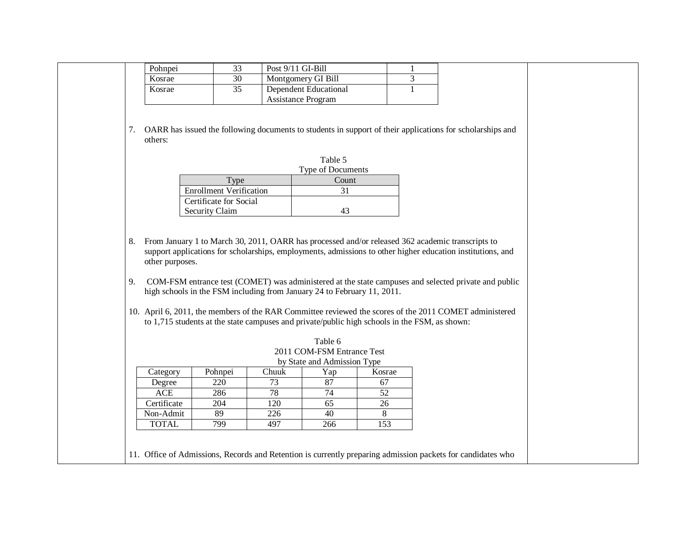| Pohnpei |    | Post 9/11 GI-Bill     |  |
|---------|----|-----------------------|--|
| Kosrae  |    | Montgomery GI Bill    |  |
| Kosrae  | 35 | Dependent Educational |  |
|         |    | Assistance Program    |  |

7. OARR has issued the following documents to students in support of their applications for scholarships and others:

|                                | Table 5                  |
|--------------------------------|--------------------------|
|                                | <b>Type of Documents</b> |
| Type                           | Count                    |
| <b>Enrollment Verification</b> | 31                       |
| Certificate for Social         |                          |
| Security Claim                 | 43                       |

- 8. From January 1 to March 30, 2011, OARR has processed and/or released 362 academic transcripts to support applications for scholarships, employments, admissions to other higher education institutions, and other purposes.
- 9. COM-FSM entrance test (COMET) was administered at the state campuses and selected private and public high schools in the FSM including from January 24 to February 11, 2011.
- 10. April 6, 2011, the members of the RAR Committee reviewed the scores of the 2011 COMET administered to 1,715 students at the state campuses and private/public high schools in the FSM, as shown:

| 2011 COM-FSM Entrance Test<br>by State and Admission Type<br>Pohnpei<br>Chuuk<br>Category<br>Yap<br>Kosrae<br>87<br>220<br>73<br>67<br>Degree<br>78<br>ACE<br>286<br>74<br>52 |
|-------------------------------------------------------------------------------------------------------------------------------------------------------------------------------|
|                                                                                                                                                                               |
|                                                                                                                                                                               |
|                                                                                                                                                                               |
|                                                                                                                                                                               |
| Certificate<br>204<br>120<br>65<br>26                                                                                                                                         |
| 89<br>226<br>40<br>Non-Admit<br>8                                                                                                                                             |
| 799<br>153<br><b>TOTAL</b><br>497<br>266                                                                                                                                      |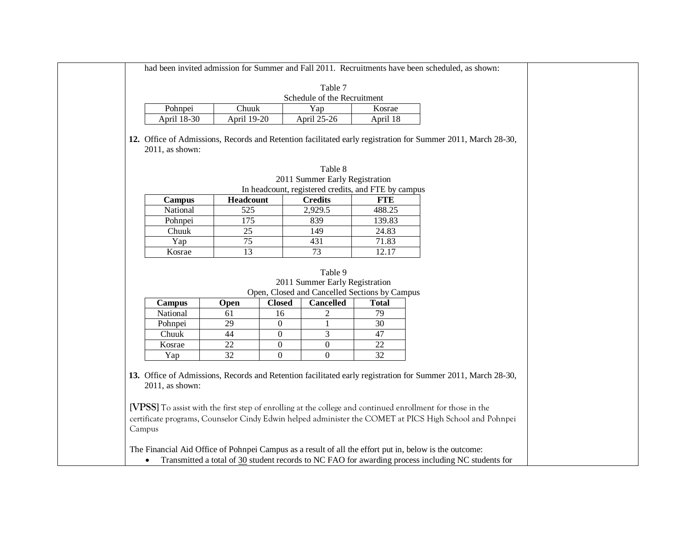|                 |                    |                  | Table 7<br>Schedule of the Recruitment                                                                         |                 |                                                                                                                                                                                                                                   |
|-----------------|--------------------|------------------|----------------------------------------------------------------------------------------------------------------|-----------------|-----------------------------------------------------------------------------------------------------------------------------------------------------------------------------------------------------------------------------------|
| Pohnpei         | Chuuk              |                  | Yap                                                                                                            | Kosrae          |                                                                                                                                                                                                                                   |
| April 18-30     | <b>April 19-20</b> |                  | April 25-26                                                                                                    | April 18        |                                                                                                                                                                                                                                   |
| 2011, as shown: |                    |                  |                                                                                                                |                 | 12. Office of Admissions, Records and Retention facilitated early registration for Summer 2011, March 28-30,                                                                                                                      |
|                 |                    |                  | Table 8                                                                                                        |                 |                                                                                                                                                                                                                                   |
|                 |                    |                  | 2011 Summer Early Registration                                                                                 |                 |                                                                                                                                                                                                                                   |
|                 |                    |                  | In headcount, registered credits, and FTE by campus                                                            |                 |                                                                                                                                                                                                                                   |
| <b>Campus</b>   | Headcount          |                  | <b>Credits</b>                                                                                                 | <b>FTE</b>      |                                                                                                                                                                                                                                   |
| National        | 525                |                  | 2,929.5                                                                                                        | 488.25          |                                                                                                                                                                                                                                   |
| Pohnpei         | 175                |                  | 839                                                                                                            | 139.83          |                                                                                                                                                                                                                                   |
| Chuuk           | 25                 |                  | 149                                                                                                            | 24.83           |                                                                                                                                                                                                                                   |
| Yap             | $\overline{75}$    |                  | 431                                                                                                            | 71.83           |                                                                                                                                                                                                                                   |
| Kosrae          | 13                 |                  | 73                                                                                                             | 12.17           |                                                                                                                                                                                                                                   |
| <b>Campus</b>   | Open               | <b>Closed</b>    | Table 9<br>2011 Summer Early Registration<br>Open, Closed and Cancelled Sections by Campus<br><b>Cancelled</b> | <b>Total</b>    |                                                                                                                                                                                                                                   |
| National        | 61                 | 16               | $\overline{c}$                                                                                                 | 79              |                                                                                                                                                                                                                                   |
| Pohnpei         | 29                 | $\boldsymbol{0}$ | 1                                                                                                              | $\overline{30}$ |                                                                                                                                                                                                                                   |
| Chuuk           | 44                 | $\mathbf{0}$     | 3                                                                                                              | $\overline{47}$ |                                                                                                                                                                                                                                   |
| Kosrae          | $\overline{22}$    | $\boldsymbol{0}$ | $\boldsymbol{0}$                                                                                               | $\overline{22}$ |                                                                                                                                                                                                                                   |
| Yap             | 32                 | $\overline{0}$   | $\boldsymbol{0}$                                                                                               | 32              |                                                                                                                                                                                                                                   |
| 2011, as shown: |                    |                  | certificate programs, Counselor Cindy Edwin helped administer the COMET at PICS High School and Pohnpei        |                 | 13. Office of Admissions, Records and Retention facilitated early registration for Summer 2011, March 28-30,<br><b>[VPSS]</b> To assist with the first step of enrolling at the college and continued enrollment for those in the |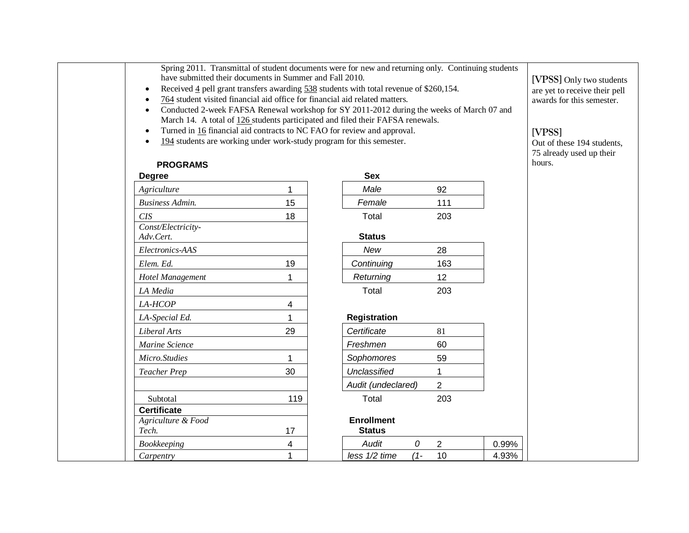| Spring 2011. Transmittal of student documents were for new and returning only. Continuing students |  |  |  |
|----------------------------------------------------------------------------------------------------|--|--|--|
| have submitted their documents in Summer and Fall 2010.                                            |  |  |  |

- Received  $\frac{4}{5}$  pell grant transfers awarding  $\frac{538}{538}$  students with total revenue of \$260,154.
- 764 student visited financial aid office for financial aid related matters.
- Conducted 2-week FAFSA Renewal workshop for SY 2011-2012 during the weeks of March 07 and March 14. A total of 126 students participated and filed their FAFSA renewals.
- Turned in 16 financial aid contracts to NC FAO for review and approval.
- 194 students are working under work-study program for this semester.

# **PROGRAMS**

| <b>Degree</b>                   |     | <b>Sex</b>           |                |       |
|---------------------------------|-----|----------------------|----------------|-------|
| Agriculture                     | 1   | Male                 | 92             |       |
| <b>Business Admin.</b>          | 15  | Female               | 111            |       |
| <b>CIS</b>                      | 18  | Total                | 203            |       |
| Const/Electricity-<br>Adv.Cert. |     | <b>Status</b>        |                |       |
| Electronics-AAS                 |     | New                  | 28             |       |
| Elem. Ed.                       | 19  | Continuing           | 163            |       |
| Hotel Management                | 1   | Returning            | 12             |       |
| LA Media                        |     | Total                | 203            |       |
| LA-HCOP                         | 4   |                      |                |       |
| LA-Special Ed.                  | 1   | <b>Registration</b>  |                |       |
| Liberal Arts                    | 29  | Certificate          | 81             |       |
| Marine Science                  |     | Freshmen             | 60             |       |
| Micro.Studies                   | 1   | Sophomores           | 59             |       |
| <b>Teacher Prep</b>             | 30  | Unclassified         | 1              |       |
|                                 |     | Audit (undeclared)   | $\overline{2}$ |       |
| Subtotal                        | 119 | Total                | 203            |       |
| <b>Certificate</b>              |     |                      |                |       |
| Agriculture & Food              |     | <b>Enrollment</b>    |                |       |
| Tech.                           | 17  | <b>Status</b>        |                |       |
| Bookkeeping                     | 4   | Audit<br>0           | $\overline{2}$ | 0.99% |
| Carpentry                       | 1   | less 1/2 time<br>(1- | 10             | 4.93% |

| Sex                 |     |
|---------------------|-----|
| Male                | 92  |
| Female              | 111 |
| Total               | 203 |
| <b>Status</b>       |     |
| New                 | 28  |
| Continuing          | 163 |
| Returning           | 12  |
| Total               | 203 |
|                     |     |
| <b>Registration</b> |     |
| Certificate         | 81  |
| Freshmen            | 60  |
| Sophomores          | 59  |
| Unclassified        | 1   |
| Audit (undeclared)  | 2   |
| Total               | 203 |
|                     |     |

**[VPSS]** Only two students are yet to receive their pell awards for this semester.

## **[VPSS]**

Out of these 194 students, 75 already used up their hours.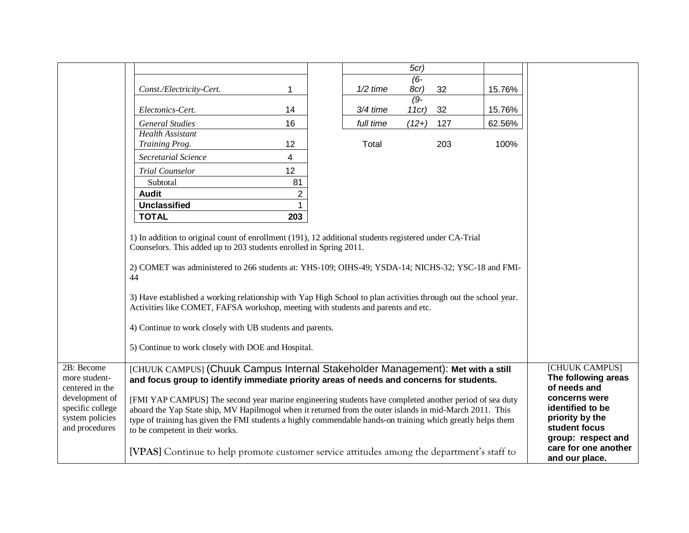|                  |                                                                                                                 |                |            | 5cr)                |        |                      |
|------------------|-----------------------------------------------------------------------------------------------------------------|----------------|------------|---------------------|--------|----------------------|
|                  |                                                                                                                 |                |            |                     |        |                      |
|                  |                                                                                                                 |                |            | $(6-$               |        |                      |
|                  | Const./Electricity-Cert.                                                                                        | 1              | $1/2$ time | 8cr)<br>32          | 15.76% |                      |
|                  |                                                                                                                 | 14             | 3/4 time   | $(9-$<br>32<br>11cr |        |                      |
|                  | Electonics-Cert.                                                                                                |                |            |                     | 15.76% |                      |
|                  | <b>General Studies</b>                                                                                          | 16             | full time  | $(12+)$<br>127      | 62.56% |                      |
|                  | <b>Health Assistant</b>                                                                                         |                |            |                     |        |                      |
|                  | Training Prog.                                                                                                  | 12             | Total      | 203                 | 100%   |                      |
|                  | <b>Secretarial Science</b>                                                                                      | 4              |            |                     |        |                      |
|                  | <b>Trial Counselor</b>                                                                                          | 12             |            |                     |        |                      |
|                  | Subtotal                                                                                                        | 81             |            |                     |        |                      |
|                  | <b>Audit</b>                                                                                                    | $\overline{2}$ |            |                     |        |                      |
|                  | <b>Unclassified</b>                                                                                             | 1              |            |                     |        |                      |
|                  | <b>TOTAL</b>                                                                                                    | 203            |            |                     |        |                      |
|                  |                                                                                                                 |                |            |                     |        |                      |
|                  | 1) In addition to original count of enrollment (191), 12 additional students registered under CA-Trial          |                |            |                     |        |                      |
|                  | Counselors. This added up to 203 students enrolled in Spring 2011.                                              |                |            |                     |        |                      |
|                  |                                                                                                                 |                |            |                     |        |                      |
|                  | 2) COMET was administered to 266 students at: YHS-109; OIHS-49; YSDA-14; NICHS-32; YSC-18 and FMI-              |                |            |                     |        |                      |
|                  | 44                                                                                                              |                |            |                     |        |                      |
|                  |                                                                                                                 |                |            |                     |        |                      |
|                  | 3) Have established a working relationship with Yap High School to plan activities through out the school year. |                |            |                     |        |                      |
|                  | Activities like COMET, FAFSA workshop, meeting with students and parents and etc.                               |                |            |                     |        |                      |
|                  | 4) Continue to work closely with UB students and parents.                                                       |                |            |                     |        |                      |
|                  |                                                                                                                 |                |            |                     |        |                      |
|                  | 5) Continue to work closely with DOE and Hospital.                                                              |                |            |                     |        |                      |
|                  |                                                                                                                 |                |            |                     |        |                      |
| 2B: Become       | [CHUUK CAMPUS] (Chuuk Campus Internal Stakeholder Management): Met with a still                                 |                |            |                     |        | [CHUUK CAMPUS]       |
| more student-    | and focus group to identify immediate priority areas of needs and concerns for students.                        |                |            |                     |        | The following areas  |
| centered in the  |                                                                                                                 |                |            |                     |        | of needs and         |
| development of   | [FMI YAP CAMPUS] The second year marine engineering students have completed another period of sea duty          |                |            |                     |        | concerns were        |
| specific college | aboard the Yap State ship, MV Hapilmogol when it returned from the outer islands in mid-March 2011. This        |                |            |                     |        | identified to be     |
| system policies  | type of training has given the FMI students a highly commendable hands-on training which greatly helps them     |                |            |                     |        | priority by the      |
| and procedures   | to be competent in their works.                                                                                 |                |            |                     |        | student focus        |
|                  |                                                                                                                 |                |            |                     |        | group: respect and   |
|                  | [VPAS] Continue to help promote customer service attitudes among the department's staff to                      |                |            |                     |        | care for one another |
|                  |                                                                                                                 |                |            |                     |        | and our place.       |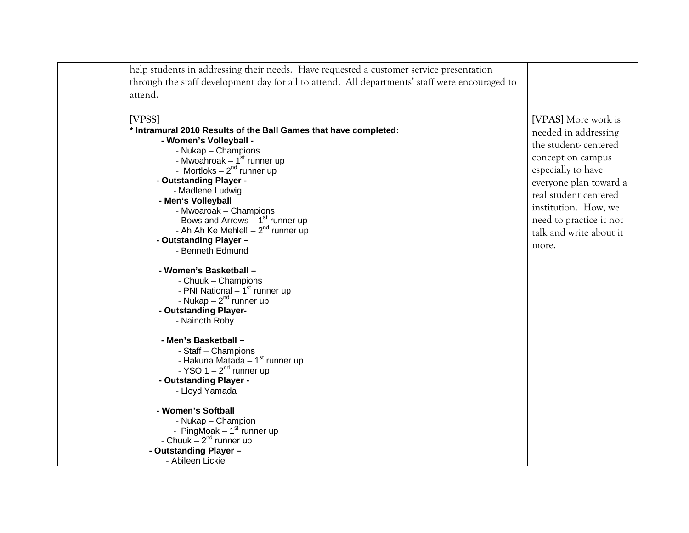| help students in addressing their needs. Have requested a customer service presentation        |                         |
|------------------------------------------------------------------------------------------------|-------------------------|
| through the staff development day for all to attend. All departments' staff were encouraged to |                         |
|                                                                                                |                         |
| attend.                                                                                        |                         |
|                                                                                                |                         |
| [VPSS]                                                                                         | [VPAS] More work is     |
| * Intramural 2010 Results of the Ball Games that have completed:                               | needed in addressing    |
| - Women's Volleyball -                                                                         | the student-centered    |
| - Nukap - Champions                                                                            | concept on campus       |
| - Mwoahroak – 1 <sup>st</sup> runner up<br>- Mortloks – 2 <sup>nd</sup> runner up              |                         |
|                                                                                                | especially to have      |
| - Outstanding Player -                                                                         | everyone plan toward a  |
| - Madlene Ludwig                                                                               | real student centered   |
| - Men's Volleyball                                                                             |                         |
| - Mwoaroak - Champions                                                                         | institution. How, we    |
| - Bows and Arrows $-1st$ runner up                                                             | need to practice it not |
| - Ah Ah Ke Mehlel! $-2^{nd}$ runner up                                                         | talk and write about it |
| - Outstanding Player -                                                                         | more.                   |
| - Benneth Edmund                                                                               |                         |
|                                                                                                |                         |
| - Women's Basketball -                                                                         |                         |
| - Chuuk - Champions                                                                            |                         |
| - PNI National $-1st$ runner up                                                                |                         |
| - Nukap $-2^{nd}$ runner up                                                                    |                         |
| - Outstanding Player-                                                                          |                         |
| - Nainoth Roby                                                                                 |                         |
| - Men's Basketball -                                                                           |                         |
| - Staff - Champions                                                                            |                         |
| - Hakuna Matada - 1 <sup>st</sup> runner up                                                    |                         |
| - YSO $1 - 2nd$ runner up                                                                      |                         |
| - Outstanding Player -                                                                         |                         |
| - Lloyd Yamada                                                                                 |                         |
|                                                                                                |                         |
| - Women's Softball                                                                             |                         |
| - Nukap - Champion                                                                             |                         |
| - PingMoak $-1st$ runner up                                                                    |                         |
| - Chuuk $-2^{nd}$ runner up                                                                    |                         |
| - Outstanding Player -                                                                         |                         |
| - Abileen Lickie                                                                               |                         |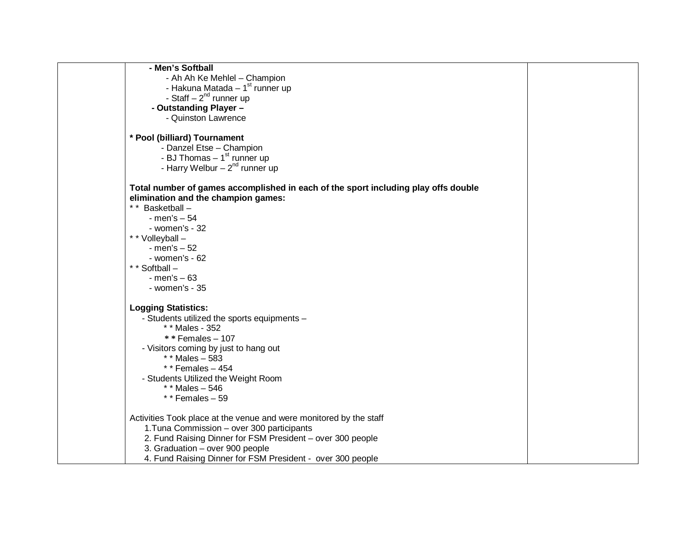| - Men's Softball                                                                   |  |
|------------------------------------------------------------------------------------|--|
| - Ah Ah Ke Mehlel - Champion                                                       |  |
| - Hakuna Matada $-1st$ runner up                                                   |  |
| - Staff $-2^{nd}$ runner up                                                        |  |
| - Outstanding Player -                                                             |  |
| - Quinston Lawrence                                                                |  |
|                                                                                    |  |
| * Pool (billiard) Tournament                                                       |  |
| - Danzel Etse - Champion                                                           |  |
| - BJ Thomas $-1st$ runner up                                                       |  |
| - Harry Welbur $-2^{nd}$ runner up                                                 |  |
| Total number of games accomplished in each of the sport including play offs double |  |
| elimination and the champion games:                                                |  |
| ** Basketball -                                                                    |  |
| - men's $-54$                                                                      |  |
| - women's - 32                                                                     |  |
| * * Volleyball -                                                                   |  |
| - men's $-52$                                                                      |  |
| $-$ women's $-62$                                                                  |  |
| * * Softball -                                                                     |  |
| $-$ men's $-63$                                                                    |  |
| - women's - 35                                                                     |  |
| <b>Logging Statistics:</b>                                                         |  |
| - Students utilized the sports equipments -                                        |  |
| * * Males - 352                                                                    |  |
| $*$ Females - 107                                                                  |  |
| - Visitors coming by just to hang out                                              |  |
| * * Males $-583$                                                                   |  |
| * * Females $-454$                                                                 |  |
| - Students Utilized the Weight Room                                                |  |
| * * Males $-546$                                                                   |  |
| * * Females $-59$                                                                  |  |
| Activities Took place at the venue and were monitored by the staff                 |  |
| 1. Tuna Commission - over 300 participants                                         |  |
| 2. Fund Raising Dinner for FSM President - over 300 people                         |  |
| 3. Graduation - over 900 people                                                    |  |
| 4. Fund Raising Dinner for FSM President - over 300 people                         |  |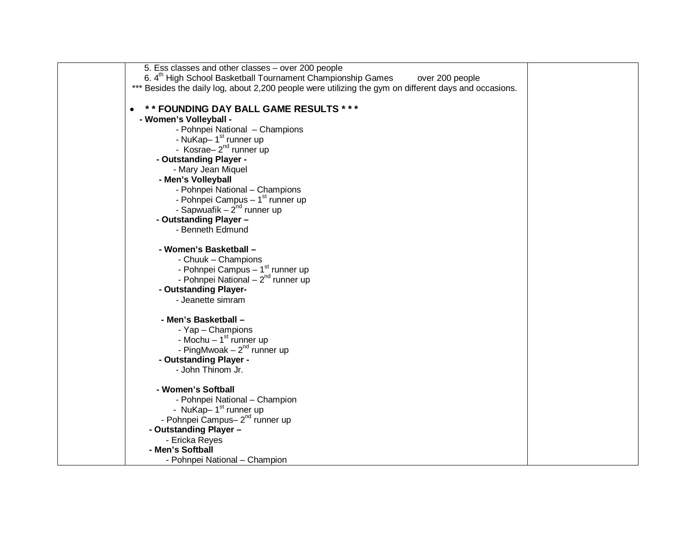| 5. Ess classes and other classes - over 200 people                                                    |  |
|-------------------------------------------------------------------------------------------------------|--|
| 6. 4 <sup>th</sup> High School Basketball Tournament Championship Games<br>over 200 people            |  |
| *** Besides the daily log, about 2,200 people were utilizing the gym on different days and occasions. |  |
|                                                                                                       |  |
| ** FOUNDING DAY BALL GAME RESULTS ***                                                                 |  |
| - Women's Volleyball -                                                                                |  |
| - Pohnpei National - Champions                                                                        |  |
| - NuKap-1 <sup>st</sup> runner up                                                                     |  |
| - Kosrae- $2^{nd}$ runner up                                                                          |  |
| - Outstanding Player -                                                                                |  |
| - Mary Jean Miquel                                                                                    |  |
| - Men's Volleyball                                                                                    |  |
| - Pohnpei National - Champions                                                                        |  |
| - Pohnpei Campus - 1 <sup>st</sup> runner up                                                          |  |
| - Sapwuafik – $2^{nd}$ runner up                                                                      |  |
| - Outstanding Player -                                                                                |  |
| - Benneth Edmund                                                                                      |  |
| - Women's Basketball -                                                                                |  |
| - Chuuk - Champions                                                                                   |  |
| - Pohnpei Campus - 1 <sup>st</sup> runner up                                                          |  |
| - Pohnpei National $-2^{nd}$ runner up                                                                |  |
| - Outstanding Player-                                                                                 |  |
| - Jeanette simram                                                                                     |  |
| - Men's Basketball -                                                                                  |  |
| - Yap - Champions                                                                                     |  |
| - Mochu $-1st$ runner up                                                                              |  |
| - PingMwoak $-2^{nd}$ runner up                                                                       |  |
| - Outstanding Player -                                                                                |  |
| - John Thinom Jr.                                                                                     |  |
| - Women's Softball                                                                                    |  |
| - Pohnpei National - Champion                                                                         |  |
| - NuKap-1 <sup>st</sup> runner up                                                                     |  |
| - Pohnpei Campus- 2 <sup>nd</sup> runner up                                                           |  |
| - Outstanding Player -                                                                                |  |
| - Ericka Reyes                                                                                        |  |
| - Men's Softball                                                                                      |  |
| - Pohnpei National - Champion                                                                         |  |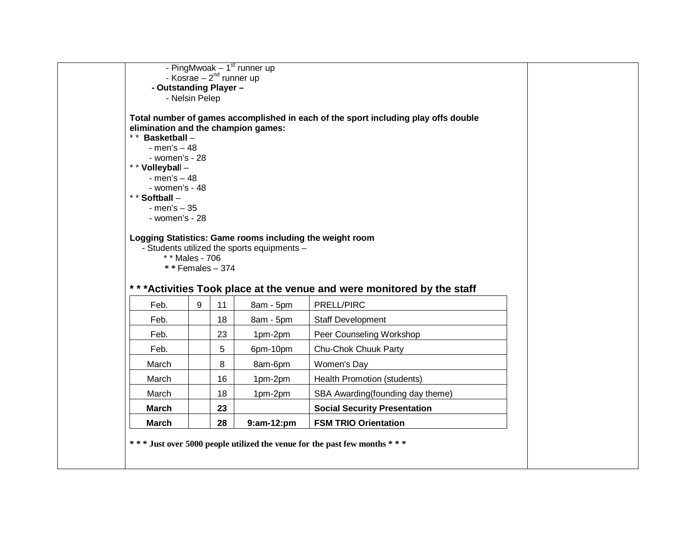|                                                                         |                                  | - Kosrae – $2^{nd}$ runner up | - PingMwoak $-1st$ runner up                |                                                                                      |  |
|-------------------------------------------------------------------------|----------------------------------|-------------------------------|---------------------------------------------|--------------------------------------------------------------------------------------|--|
| - Outstanding Player -                                                  |                                  |                               |                                             |                                                                                      |  |
|                                                                         | - Nelsin Pelep                   |                               |                                             |                                                                                      |  |
| elimination and the champion games:<br>** Basketball -<br>- men's $-48$ |                                  |                               |                                             | Total number of games accomplished in each of the sport including play offs double   |  |
| - women's - 28                                                          |                                  |                               |                                             |                                                                                      |  |
| * * Volleyball -<br>$-$ men's $-48$                                     |                                  |                               |                                             |                                                                                      |  |
| - women's - 48                                                          |                                  |                               |                                             |                                                                                      |  |
| * * Softball -<br>$-$ men's $-35$                                       |                                  |                               |                                             |                                                                                      |  |
|                                                                         |                                  |                               |                                             |                                                                                      |  |
| - women's - 28                                                          | * * Males - 706<br>**Females-374 |                               | - Students utilized the sports equipments - | Logging Statistics: Game rooms including the weight room                             |  |
| Feb.                                                                    | 9                                | 11                            |                                             | *** Activities Took place at the venue and were monitored by the staff<br>PRELL/PIRC |  |
| Feb.                                                                    |                                  | 18                            | 8am - 5pm<br>8am - 5pm                      | Staff Development                                                                    |  |
| Feb.                                                                    |                                  | 23                            | 1pm-2pm                                     | Peer Counseling Workshop                                                             |  |
| Feb.                                                                    |                                  | 5                             | 6pm-10pm                                    | Chu-Chok Chuuk Party                                                                 |  |
| March                                                                   |                                  | 8                             | 8am-6pm                                     | Women's Day                                                                          |  |
| March                                                                   |                                  | 16                            | 1pm-2pm                                     | Health Promotion (students)                                                          |  |
| March                                                                   |                                  | 18                            | 1pm-2pm                                     | SBA Awarding(founding day theme)                                                     |  |
| <b>March</b>                                                            |                                  | 23                            |                                             | <b>Social Security Presentation</b>                                                  |  |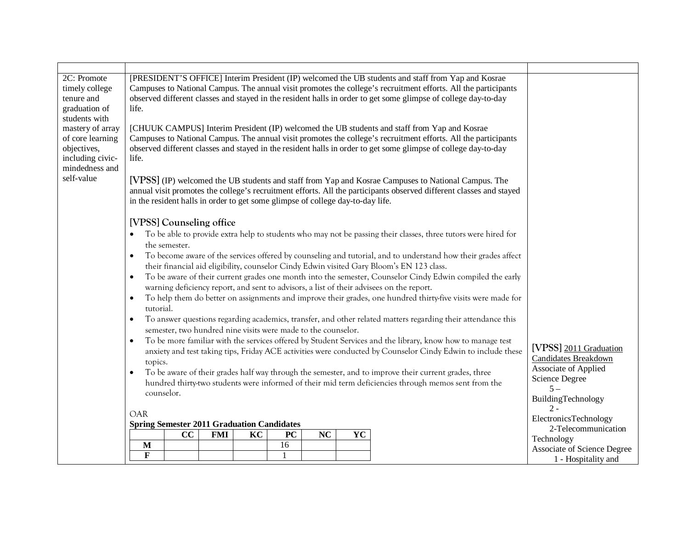| 2C: Promote<br>timely college<br>tenure and<br>graduation of<br>students with<br>mastery of array<br>of core learning<br>objectives,<br>including civic-<br>mindedness and<br>self-value | [PRESIDENT'S OFFICE] Interim President (IP) welcomed the UB students and staff from Yap and Kosrae<br>Campuses to National Campus. The annual visit promotes the college's recruitment efforts. All the participants<br>observed different classes and stayed in the resident halls in order to get some glimpse of college day-to-day<br>life.<br>[CHUUK CAMPUS] Interim President (IP) welcomed the UB students and staff from Yap and Kosrae<br>Campuses to National Campus. The annual visit promotes the college's recruitment efforts. All the participants<br>observed different classes and stayed in the resident halls in order to get some glimpse of college day-to-day<br>life.<br>[VPSS] (IP) welcomed the UB students and staff from Yap and Kosrae Campuses to National Campus. The<br>annual visit promotes the college's recruitment efforts. All the participants observed different classes and stayed<br>in the resident halls in order to get some glimpse of college day-to-day life.<br>[VPSS] Counseling office<br>To be able to provide extra help to students who may not be passing their classes, three tutors were hired for<br>the semester.<br>To become aware of the services offered by counseling and tutorial, and to understand how their grades affect<br>$\bullet$<br>their financial aid eligibility, counselor Cindy Edwin visited Gary Bloom's EN 123 class.<br>To be aware of their current grades one month into the semester, Counselor Cindy Edwin compiled the early<br>$\bullet$<br>warning deficiency report, and sent to advisors, a list of their advisees on the report.<br>To help them do better on assignments and improve their grades, one hundred thirty-five visits were made for<br>$\bullet$<br>tutorial.<br>To answer questions regarding academics, transfer, and other related matters regarding their attendance this<br>$\bullet$<br>semester, two hundred nine visits were made to the counselor.<br>To be more familiar with the services offered by Student Services and the library, know how to manage test<br>$\bullet$ |                                                                                                                           |
|------------------------------------------------------------------------------------------------------------------------------------------------------------------------------------------|-------------------------------------------------------------------------------------------------------------------------------------------------------------------------------------------------------------------------------------------------------------------------------------------------------------------------------------------------------------------------------------------------------------------------------------------------------------------------------------------------------------------------------------------------------------------------------------------------------------------------------------------------------------------------------------------------------------------------------------------------------------------------------------------------------------------------------------------------------------------------------------------------------------------------------------------------------------------------------------------------------------------------------------------------------------------------------------------------------------------------------------------------------------------------------------------------------------------------------------------------------------------------------------------------------------------------------------------------------------------------------------------------------------------------------------------------------------------------------------------------------------------------------------------------------------------------------------------------------------------------------------------------------------------------------------------------------------------------------------------------------------------------------------------------------------------------------------------------------------------------------------------------------------------------------------------------------------------------------------------------------------------------------------------------------------------------------------------------|---------------------------------------------------------------------------------------------------------------------------|
|                                                                                                                                                                                          | anxiety and test taking tips, Friday ACE activities were conducted by Counselor Cindy Edwin to include these<br>topics.<br>To be aware of their grades half way through the semester, and to improve their current grades, three<br>$\bullet$<br>hundred thirty-two students were informed of their mid term deficiencies through memos sent from the<br>counselor.                                                                                                                                                                                                                                                                                                                                                                                                                                                                                                                                                                                                                                                                                                                                                                                                                                                                                                                                                                                                                                                                                                                                                                                                                                                                                                                                                                                                                                                                                                                                                                                                                                                                                                                             | [VPSS] 2011 Graduation<br>Candidates Breakdown<br>Associate of Applied<br>Science Degree<br>$5 -$<br>BuildingTechnology   |
|                                                                                                                                                                                          | <b>OAR</b><br><b>Spring Semester 2011 Graduation Candidates</b><br>KC<br>YC<br>cc<br><b>FMI</b><br><b>PC</b><br><b>NC</b><br>16<br>M<br>$\mathbf{F}$<br>$\mathbf{1}$                                                                                                                                                                                                                                                                                                                                                                                                                                                                                                                                                                                                                                                                                                                                                                                                                                                                                                                                                                                                                                                                                                                                                                                                                                                                                                                                                                                                                                                                                                                                                                                                                                                                                                                                                                                                                                                                                                                            | $2 -$<br>ElectronicsTechnology<br>2-Telecommunication<br>Technology<br>Associate of Science Degree<br>1 - Hospitality and |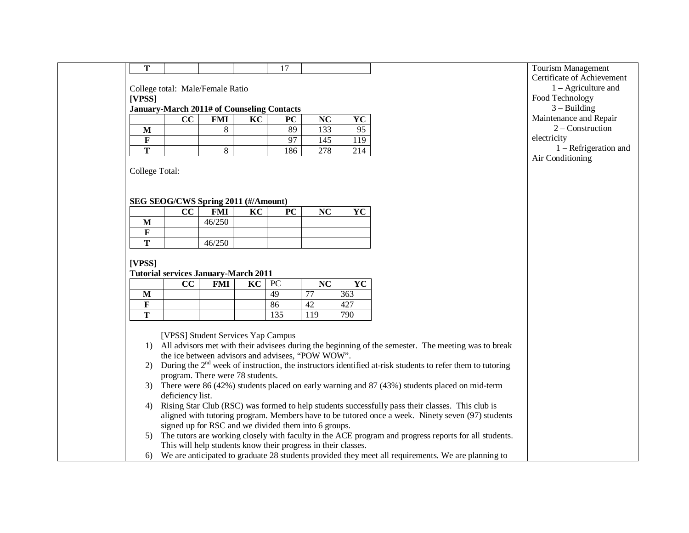|--|

College total: Male/Female Ratio

**[VPSS]**

#### **January-March 2011# of Counseling Contacts**

|   | CC | FMI | KC | PC             | NC           | $\mathbf{V}$<br>1 U |
|---|----|-----|----|----------------|--------------|---------------------|
| M |    |     |    | 89             | 122<br>1 J J | 95                  |
|   |    |     |    | Q <sub>7</sub> | 145          | 119                 |
| m |    | O   |    | 186            | 270<br>210   | 214                 |

College Total:

#### **SEG SEOG/CWS Spring 2011 (#/Amount)**

|   | $\mathbf{CC}$ | <b>FMI</b> | KC | PC | NC | $\mathbf{v}$<br>- • |
|---|---------------|------------|----|----|----|---------------------|
| M |               | 46/250     |    |    |    |                     |
| г |               |            |    |    |    |                     |
| m |               | 46/250     |    |    |    |                     |

#### **[VPSS]**

#### **Tutorial services January-March 2011**

|   | $\overline{\mathbf{c}}$ | <b>FMI</b> | KC | PC  | NC                       | $\mathbf{V}$<br>* ∪ |
|---|-------------------------|------------|----|-----|--------------------------|---------------------|
| M |                         |            |    | 49  | $\overline{\phantom{a}}$ | 363                 |
| D |                         |            |    | 86  | 42                       |                     |
| m |                         |            |    | 135 | 119                      | 790                 |

[VPSS] Student Services Yap Campus

- 1) All advisors met with their advisees during the beginning of the semester. The meeting was to break the ice between advisors and advisees, "POW WOW".
- 2) During the  $2<sup>nd</sup>$  week of instruction, the instructors identified at-risk students to refer them to tutoring program. There were 78 students.
- 3) There were 86 (42%) students placed on early warning and 87 (43%) students placed on mid-term deficiency list.
- 4) Rising Star Club (RSC) was formed to help students successfully pass their classes. This club is aligned with tutoring program. Members have to be tutored once a week. Ninety seven (97) students signed up for RSC and we divided them into 6 groups.
- 5) The tutors are working closely with faculty in the ACE program and progress reports for all students. This will help students know their progress in their classes.
- 6) We are anticipated to graduate 28 students provided they meet all requirements. We are planning to

Tourism Management Certificate of Achievement 1 – Agriculture and Food Technology  $3 -$ Building Maintenance and Repair 2 – Construction electricity 1 – Refrigeration and Air Conditioning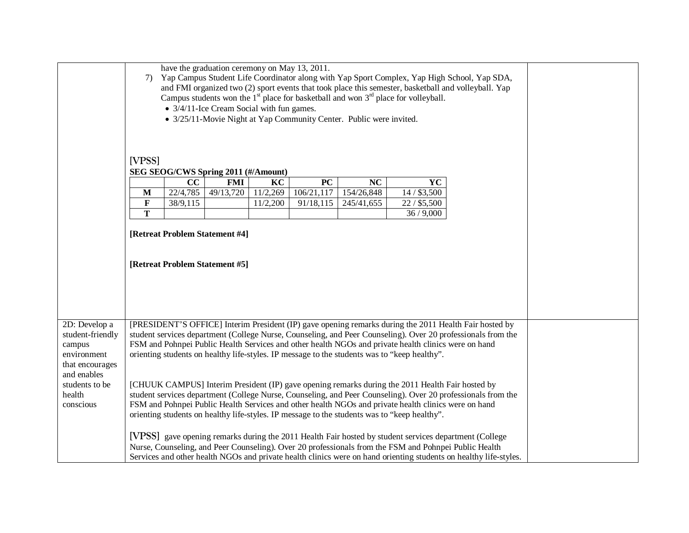|                                                                                                                                                                                                                                                                                                                                                                                                                                                                                                               | 7)                                                                              | have the graduation ceremony on May 13, 2011.<br>Yap Campus Student Life Coordinator along with Yap Sport Complex, Yap High School, Yap SDA,<br>and FMI organized two (2) sport events that took place this semester, basketball and volleyball. Yap<br>Campus students won the $1st$ place for basketball and won $3rd$ place for volleyball.<br>• 3/4/11-Ice Cream Social with fun games.<br>• 3/25/11-Movie Night at Yap Community Center. Public were invited. |                                                                  |                |                  |                  |                                                                                                                                                                                                                                                                                                          |                                                                                                                   |  |
|---------------------------------------------------------------------------------------------------------------------------------------------------------------------------------------------------------------------------------------------------------------------------------------------------------------------------------------------------------------------------------------------------------------------------------------------------------------------------------------------------------------|---------------------------------------------------------------------------------|--------------------------------------------------------------------------------------------------------------------------------------------------------------------------------------------------------------------------------------------------------------------------------------------------------------------------------------------------------------------------------------------------------------------------------------------------------------------|------------------------------------------------------------------|----------------|------------------|------------------|----------------------------------------------------------------------------------------------------------------------------------------------------------------------------------------------------------------------------------------------------------------------------------------------------------|-------------------------------------------------------------------------------------------------------------------|--|
|                                                                                                                                                                                                                                                                                                                                                                                                                                                                                                               | [VPSS]                                                                          |                                                                                                                                                                                                                                                                                                                                                                                                                                                                    |                                                                  |                |                  |                  |                                                                                                                                                                                                                                                                                                          |                                                                                                                   |  |
|                                                                                                                                                                                                                                                                                                                                                                                                                                                                                                               |                                                                                 | SEG SEOG/CWS Spring 2011 (#/Amount)                                                                                                                                                                                                                                                                                                                                                                                                                                |                                                                  |                |                  |                  |                                                                                                                                                                                                                                                                                                          |                                                                                                                   |  |
|                                                                                                                                                                                                                                                                                                                                                                                                                                                                                                               |                                                                                 | CC                                                                                                                                                                                                                                                                                                                                                                                                                                                                 |                                                                  |                |                  |                  |                                                                                                                                                                                                                                                                                                          |                                                                                                                   |  |
|                                                                                                                                                                                                                                                                                                                                                                                                                                                                                                               | $\mathbf{M}$                                                                    | 22/4,785                                                                                                                                                                                                                                                                                                                                                                                                                                                           | <b>FMI</b><br>49/13,720                                          | KC<br>11/2,269 | PC<br>106/21,117 | NC<br>154/26,848 | YC<br>$14/$ \$3,500                                                                                                                                                                                                                                                                                      |                                                                                                                   |  |
|                                                                                                                                                                                                                                                                                                                                                                                                                                                                                                               | $22/$ \$5,500<br>$\mathbf F$<br>38/9,115<br>11/2,200<br>91/18,115<br>245/41,655 |                                                                                                                                                                                                                                                                                                                                                                                                                                                                    |                                                                  |                |                  |                  |                                                                                                                                                                                                                                                                                                          |                                                                                                                   |  |
|                                                                                                                                                                                                                                                                                                                                                                                                                                                                                                               | T                                                                               |                                                                                                                                                                                                                                                                                                                                                                                                                                                                    |                                                                  |                |                  |                  |                                                                                                                                                                                                                                                                                                          |                                                                                                                   |  |
| 2D: Develop a                                                                                                                                                                                                                                                                                                                                                                                                                                                                                                 |                                                                                 |                                                                                                                                                                                                                                                                                                                                                                                                                                                                    | [Retreat Problem Statement #4]<br>[Retreat Problem Statement #5] |                |                  |                  | 36/9,000                                                                                                                                                                                                                                                                                                 |                                                                                                                   |  |
| [PRESIDENT'S OFFICE] Interim President (IP) gave opening remarks during the 2011 Health Fair hosted by<br>student-friendly<br>student services department (College Nurse, Counseling, and Peer Counseling). Over 20 professionals from the<br>FSM and Pohnpei Public Health Services and other health NGOs and private health clinics were on hand<br>campus<br>orienting students on healthy life-styles. IP message to the students was to "keep healthy".<br>environment<br>that encourages<br>and enables |                                                                                 |                                                                                                                                                                                                                                                                                                                                                                                                                                                                    |                                                                  |                |                  |                  |                                                                                                                                                                                                                                                                                                          |                                                                                                                   |  |
| students to be<br>health<br>conscious                                                                                                                                                                                                                                                                                                                                                                                                                                                                         |                                                                                 |                                                                                                                                                                                                                                                                                                                                                                                                                                                                    |                                                                  |                |                  |                  | [CHUUK CAMPUS] Interim President (IP) gave opening remarks during the 2011 Health Fair hosted by<br>FSM and Pohnpei Public Health Services and other health NGOs and private health clinics were on hand<br>orienting students on healthy life-styles. IP message to the students was to "keep healthy". | student services department (College Nurse, Counseling, and Peer Counseling). Over 20 professionals from the      |  |
|                                                                                                                                                                                                                                                                                                                                                                                                                                                                                                               |                                                                                 |                                                                                                                                                                                                                                                                                                                                                                                                                                                                    |                                                                  |                |                  |                  | [VPSS] gave opening remarks during the 2011 Health Fair hosted by student services department (College<br>Nurse, Counseling, and Peer Counseling). Over 20 professionals from the FSM and Pohnpei Public Health                                                                                          | Services and other health NGOs and private health clinics were on hand orienting students on healthy life-styles. |  |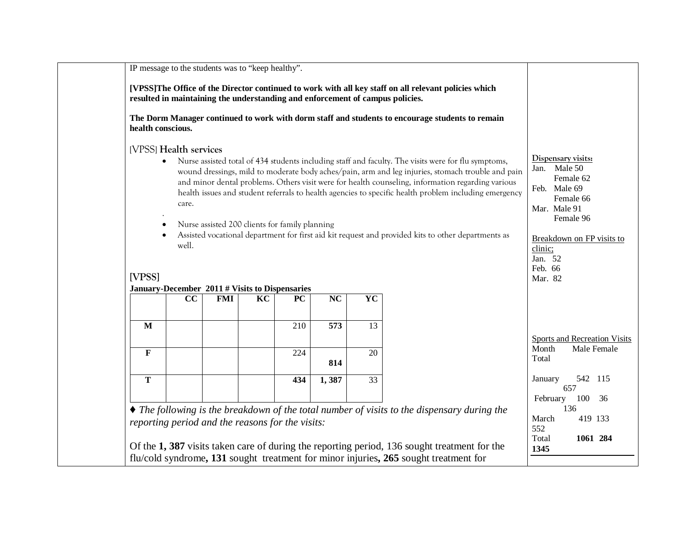| health conscious. |                                          |                                                              |    |     |     |    | The Dorm Manager continued to work with dorm staff and students to encourage students to remain                                                                                                           |                                                                                                                                                                                                                                                                                                                 |                                                                                                                                           |
|-------------------|------------------------------------------|--------------------------------------------------------------|----|-----|-----|----|-----------------------------------------------------------------------------------------------------------------------------------------------------------------------------------------------------------|-----------------------------------------------------------------------------------------------------------------------------------------------------------------------------------------------------------------------------------------------------------------------------------------------------------------|-------------------------------------------------------------------------------------------------------------------------------------------|
|                   | [VPSS] Health services<br>care.<br>well. | Nurse assisted 200 clients for family planning               |    |     |     |    | Nurse assisted total of 434 students including staff and faculty. The visits were for flu symptoms,<br>Assisted vocational department for first aid kit request and provided kits to other departments as | wound dressings, mild to moderate body aches/pain, arm and leg injuries, stomach trouble and pain<br>and minor dental problems. Others visit were for health counseling, information regarding various<br>health issues and student referrals to health agencies to specific health problem including emergency | Dispensary visits:<br>Male 50<br>Jan.<br>Female 62<br>Feb. Male 69<br>Female 66<br>Mar. Male 91<br>Female 96<br>Breakdown on FP visits to |
| [VPSS]            |                                          |                                                              |    |     |     |    |                                                                                                                                                                                                           |                                                                                                                                                                                                                                                                                                                 | clinic;<br>Jan. 52<br>Feb. 66<br>Mar. 82                                                                                                  |
|                   | CC                                       | January-December 2011 # Visits to Dispensaries<br><b>FMI</b> | KC | PC  | NC  | YC |                                                                                                                                                                                                           |                                                                                                                                                                                                                                                                                                                 |                                                                                                                                           |
| M                 |                                          |                                                              |    | 210 | 573 | 13 |                                                                                                                                                                                                           |                                                                                                                                                                                                                                                                                                                 |                                                                                                                                           |
| F                 |                                          |                                                              |    | 224 | 814 | 20 |                                                                                                                                                                                                           |                                                                                                                                                                                                                                                                                                                 | Sports and Recreation Visits<br>Month<br>Male Female<br>Total                                                                             |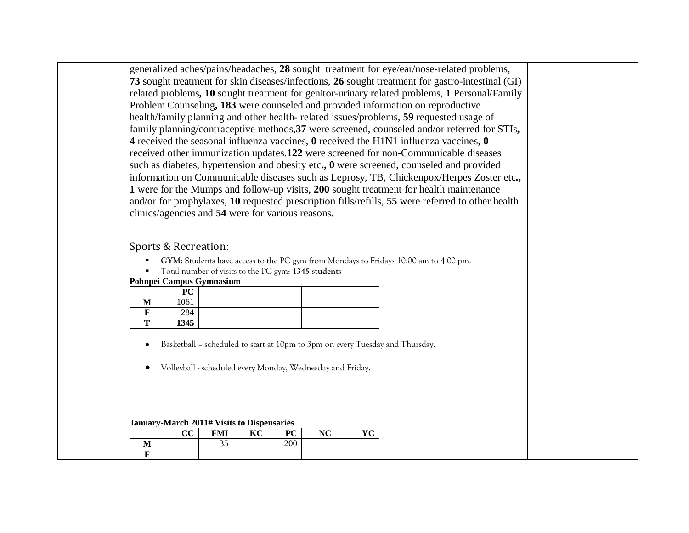generalized aches/pains/headaches, **28** sought treatment for eye/ear/nose-related problems, **73** sought treatment for skin diseases/infections, **26** sought treatment for gastro-intestinal (GI) related problems**, 10** sought treatment for genitor-urinary related problems, **1** Personal/Family Problem Counseling**, 183** were counseled and provided information on reproductive health/family planning and other health- related issues/problems, **59** requested usage of family planning/contraceptive methods,**37** were screened, counseled and/or referred for STIs**, 4** received the seasonal influenza vaccines, **0** received the H1N1 influenza vaccines, **0** received other immunization updates.**122** were screened for non-Communicable diseases such as diabetes, hypertension and obesity etc**., 0** were screened, counseled and provided information on Communicable diseases such as Leprosy, TB, Chickenpox/Herpes Zoster etc**., 1** were for the Mumps and follow-up visits, **200** sought treatment for health maintenance and/or for prophylaxes, **10** requested prescription fills/refills, **55** were referred to other health clinics/agencies and **54** were for various reasons.

# Sports & Recreation:

- **GYM:** Students have access to the PC gym from Mondays to Fridays 10:00 am to 4:00 pm.
- Total number of visits to the PC gym: **1345 students**

#### **Pohnpei Campus Gymnasium**

|   | PC   |  |  |  |
|---|------|--|--|--|
| M | 1061 |  |  |  |
|   | 284  |  |  |  |
| — | 1345 |  |  |  |

- Basketball scheduled to start at 10pm to 3pm on every Tuesday and Thursday.
- Volleyball scheduled every Monday, Wednesday and Friday.

#### **January-March 2011# Visits to Dispensaries**

|  | $\sim$<br>u | <b>FML</b><br><b>TATE</b> | $\mathbf{r} \times \mathbf{r}$<br>n | $n \alpha$<br>* ∼ | <b>NIC</b><br>$\sim$ | $\sim$<br>$\mathbf{r}$ |
|--|-------------|---------------------------|-------------------------------------|-------------------|----------------------|------------------------|
|  |             | $\sim$ $\sim$<br>ر ر      |                                     | 200               |                      |                        |
|  |             |                           |                                     |                   |                      |                        |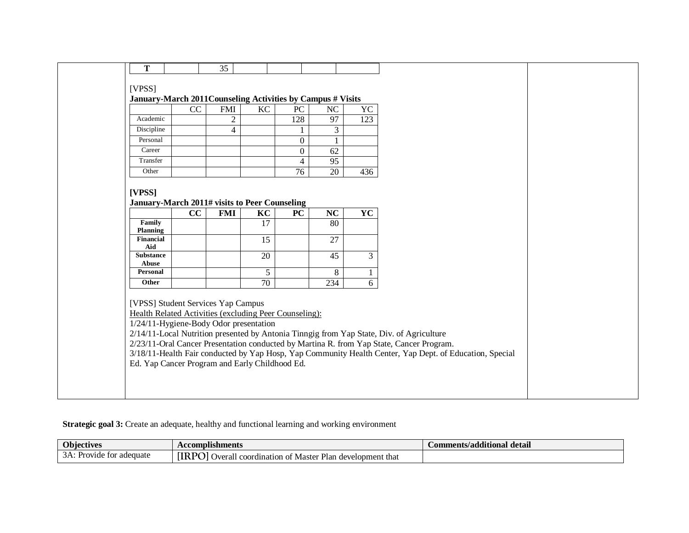|                                                                                                                                                                                                                                                                                                                                                                                                                                                                                                                                      |                                                             | 35             |    |                          |                        |                  |  |  |  |
|--------------------------------------------------------------------------------------------------------------------------------------------------------------------------------------------------------------------------------------------------------------------------------------------------------------------------------------------------------------------------------------------------------------------------------------------------------------------------------------------------------------------------------------|-------------------------------------------------------------|----------------|----|--------------------------|------------------------|------------------|--|--|--|
| T                                                                                                                                                                                                                                                                                                                                                                                                                                                                                                                                    |                                                             |                |    |                          |                        |                  |  |  |  |
|                                                                                                                                                                                                                                                                                                                                                                                                                                                                                                                                      |                                                             |                |    |                          |                        |                  |  |  |  |
| [VPSS]                                                                                                                                                                                                                                                                                                                                                                                                                                                                                                                               |                                                             |                |    |                          |                        |                  |  |  |  |
|                                                                                                                                                                                                                                                                                                                                                                                                                                                                                                                                      | January-March 2011 Counseling Activities by Campus # Visits |                |    |                          |                        |                  |  |  |  |
|                                                                                                                                                                                                                                                                                                                                                                                                                                                                                                                                      | CC                                                          | <b>FMI</b>     | KC | PC                       | NC                     | YC               |  |  |  |
| Academic                                                                                                                                                                                                                                                                                                                                                                                                                                                                                                                             |                                                             | $\overline{2}$ |    | 128                      | 97                     | $\overline{123}$ |  |  |  |
| Discipline                                                                                                                                                                                                                                                                                                                                                                                                                                                                                                                           |                                                             | $\overline{4}$ |    |                          | 3                      |                  |  |  |  |
| Personal                                                                                                                                                                                                                                                                                                                                                                                                                                                                                                                             |                                                             |                |    | $\Omega$                 |                        |                  |  |  |  |
| Career                                                                                                                                                                                                                                                                                                                                                                                                                                                                                                                               |                                                             |                |    | $\boldsymbol{0}$         | 62                     |                  |  |  |  |
| Transfer                                                                                                                                                                                                                                                                                                                                                                                                                                                                                                                             |                                                             |                |    | $\overline{\mathcal{A}}$ | 95                     |                  |  |  |  |
| Other                                                                                                                                                                                                                                                                                                                                                                                                                                                                                                                                |                                                             |                |    | 76                       | 20                     | 436              |  |  |  |
|                                                                                                                                                                                                                                                                                                                                                                                                                                                                                                                                      |                                                             |                |    |                          |                        |                  |  |  |  |
|                                                                                                                                                                                                                                                                                                                                                                                                                                                                                                                                      | January-March 2011# visits to Peer Counseling               |                |    |                          |                        |                  |  |  |  |
|                                                                                                                                                                                                                                                                                                                                                                                                                                                                                                                                      | $\overline{cc}$                                             | <b>FMI</b>     | KC | $\overline{PC}$          | $\overline{\text{NC}}$ | <b>YC</b>        |  |  |  |
| Family<br>$\overline{80}$<br>17<br><b>Planning</b>                                                                                                                                                                                                                                                                                                                                                                                                                                                                                   |                                                             |                |    |                          |                        |                  |  |  |  |
| <b>Financial</b><br>Aid                                                                                                                                                                                                                                                                                                                                                                                                                                                                                                              |                                                             |                | 15 |                          | 27                     |                  |  |  |  |
| <b>Substance</b><br>Abuse                                                                                                                                                                                                                                                                                                                                                                                                                                                                                                            |                                                             |                | 20 |                          | 45                     | 3                |  |  |  |
| <b>Personal</b>                                                                                                                                                                                                                                                                                                                                                                                                                                                                                                                      |                                                             |                |    |                          |                        | $\mathbf{1}$     |  |  |  |
| Other                                                                                                                                                                                                                                                                                                                                                                                                                                                                                                                                |                                                             |                |    |                          |                        |                  |  |  |  |
|                                                                                                                                                                                                                                                                                                                                                                                                                                                                                                                                      |                                                             |                |    |                          |                        |                  |  |  |  |
| 5<br>8<br>$\overline{6}$<br>70<br>234<br>[VPSS] Student Services Yap Campus<br>Health Related Activities (excluding Peer Counseling):<br>1/24/11-Hygiene-Body Odor presentation<br>2/14/11-Local Nutrition presented by Antonia Tinngig from Yap State, Div. of Agriculture<br>2/23/11-Oral Cancer Presentation conducted by Martina R. from Yap State, Cancer Program.<br>3/18/11-Health Fair conducted by Yap Hosp, Yap Community Health Center, Yap Dept. of Education, Special<br>Ed. Yap Cancer Program and Early Childhood Ed. |                                                             |                |    |                          |                        |                  |  |  |  |

# **Strategic goal 3:** Create an adequate, healthy and functional learning and working environment

| <b>Objectives</b>                       | <b>Accomplishments</b>                                                                             | Comments/additional detail |
|-----------------------------------------|----------------------------------------------------------------------------------------------------|----------------------------|
| adequate<br>Provide<br>$+ \sim$<br>1.VI | <b>IRPO</b><br>- Dlo∍<br>development that<br>Overall<br>. Master<br>l coordination<br>- OT<br>-ian |                            |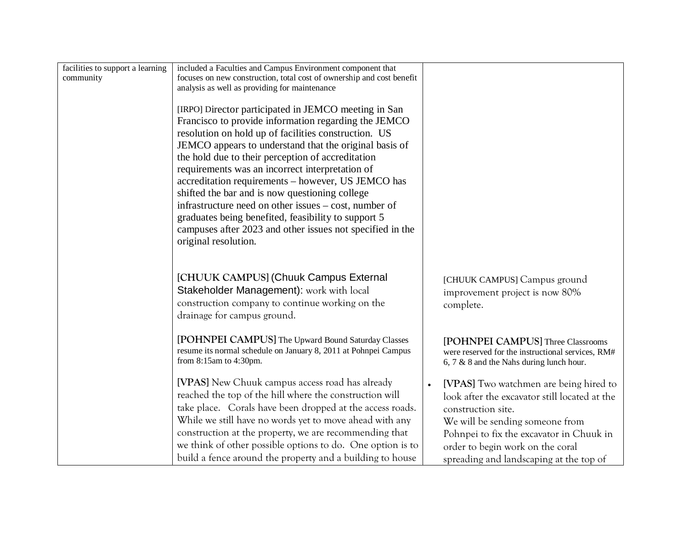| facilities to support a learning | included a Faculties and Campus Environment component that                                                                                                                                                                                                                                                                                                                                                                                                                                                                                                                                                                                          |                                                                                                                                                                                                                                                                             |
|----------------------------------|-----------------------------------------------------------------------------------------------------------------------------------------------------------------------------------------------------------------------------------------------------------------------------------------------------------------------------------------------------------------------------------------------------------------------------------------------------------------------------------------------------------------------------------------------------------------------------------------------------------------------------------------------------|-----------------------------------------------------------------------------------------------------------------------------------------------------------------------------------------------------------------------------------------------------------------------------|
| community                        | focuses on new construction, total cost of ownership and cost benefit                                                                                                                                                                                                                                                                                                                                                                                                                                                                                                                                                                               |                                                                                                                                                                                                                                                                             |
|                                  | analysis as well as providing for maintenance                                                                                                                                                                                                                                                                                                                                                                                                                                                                                                                                                                                                       |                                                                                                                                                                                                                                                                             |
|                                  | [IRPO] Director participated in JEMCO meeting in San<br>Francisco to provide information regarding the JEMCO<br>resolution on hold up of facilities construction. US<br>JEMCO appears to understand that the original basis of<br>the hold due to their perception of accreditation<br>requirements was an incorrect interpretation of<br>accreditation requirements - however, US JEMCO has<br>shifted the bar and is now questioning college<br>infrastructure need on other issues – cost, number of<br>graduates being benefited, feasibility to support 5<br>campuses after 2023 and other issues not specified in the<br>original resolution. |                                                                                                                                                                                                                                                                             |
|                                  | [CHUUK CAMPUS] (Chuuk Campus External<br>Stakeholder Management): work with local<br>construction company to continue working on the<br>drainage for campus ground.                                                                                                                                                                                                                                                                                                                                                                                                                                                                                 | [CHUUK CAMPUS] Campus ground<br>improvement project is now 80%<br>complete.                                                                                                                                                                                                 |
|                                  | [POHNPEI CAMPUS] The Upward Bound Saturday Classes<br>resume its normal schedule on January 8, 2011 at Pohnpei Campus<br>from 8:15am to 4:30pm.                                                                                                                                                                                                                                                                                                                                                                                                                                                                                                     | [POHNPEI CAMPUS] Three Classrooms<br>were reserved for the instructional services, RM#<br>6, 7 & 8 and the Nahs during lunch hour.                                                                                                                                          |
|                                  | [VPAS] New Chuuk campus access road has already<br>reached the top of the hill where the construction will<br>take place. Corals have been dropped at the access roads.<br>While we still have no words yet to move ahead with any<br>construction at the property, we are recommending that<br>we think of other possible options to do. One option is to<br>build a fence around the property and a building to house                                                                                                                                                                                                                             | [VPAS] Two watchmen are being hired to<br>look after the excavator still located at the<br>construction site.<br>We will be sending someone from<br>Pohnpei to fix the excavator in Chuuk in<br>order to begin work on the coral<br>spreading and landscaping at the top of |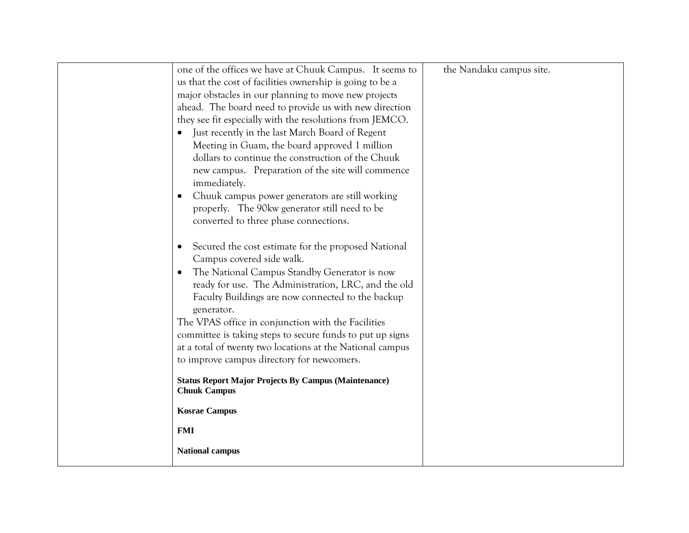| one of the offices we have at Chuuk Campus. It seems to                                                          | the Nandaku campus site. |
|------------------------------------------------------------------------------------------------------------------|--------------------------|
| us that the cost of facilities ownership is going to be a                                                        |                          |
| major obstacles in our planning to move new projects                                                             |                          |
| ahead. The board need to provide us with new direction                                                           |                          |
| they see fit especially with the resolutions from JEMCO.                                                         |                          |
| Just recently in the last March Board of Regent                                                                  |                          |
| Meeting in Guam, the board approved 1 million                                                                    |                          |
| dollars to continue the construction of the Chuuk                                                                |                          |
| new campus. Preparation of the site will commence                                                                |                          |
| immediately.                                                                                                     |                          |
| Chuuk campus power generators are still working<br>$\bullet$                                                     |                          |
| properly. The 90kw generator still need to be                                                                    |                          |
| converted to three phase connections.                                                                            |                          |
|                                                                                                                  |                          |
| Secured the cost estimate for the proposed National<br>$\bullet$                                                 |                          |
| Campus covered side walk.                                                                                        |                          |
| The National Campus Standby Generator is now<br>$\bullet$<br>ready for use. The Administration, LRC, and the old |                          |
| Faculty Buildings are now connected to the backup                                                                |                          |
| generator.                                                                                                       |                          |
| The VPAS office in conjunction with the Facilities                                                               |                          |
| committee is taking steps to secure funds to put up signs                                                        |                          |
| at a total of twenty two locations at the National campus                                                        |                          |
| to improve campus directory for newcomers.                                                                       |                          |
|                                                                                                                  |                          |
| <b>Status Report Major Projects By Campus (Maintenance)</b><br><b>Chuuk Campus</b>                               |                          |
|                                                                                                                  |                          |
| <b>Kosrae Campus</b>                                                                                             |                          |
| <b>FMI</b>                                                                                                       |                          |
| <b>National campus</b>                                                                                           |                          |
|                                                                                                                  |                          |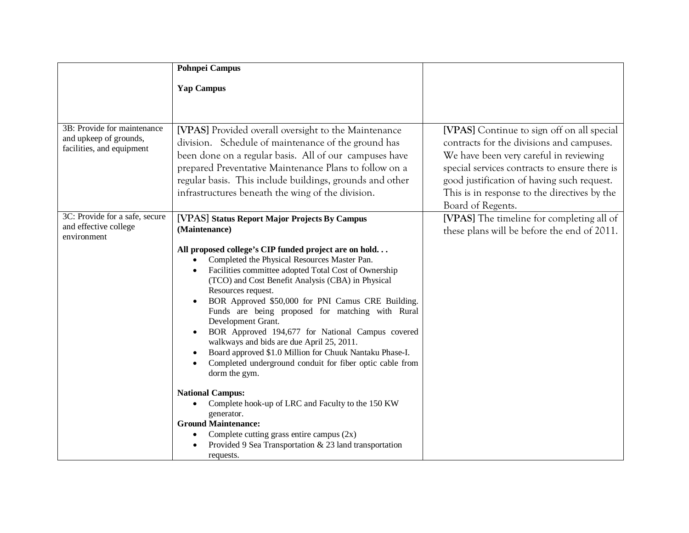|                                                                                    | <b>Pohnpei Campus</b>                                                                                                                                                                                                                                                                                                                                                                                                                                                                                                                                                                                                                                                                                                                                                                                                                                              |                                                                                                                                                                                                                                                                                                       |
|------------------------------------------------------------------------------------|--------------------------------------------------------------------------------------------------------------------------------------------------------------------------------------------------------------------------------------------------------------------------------------------------------------------------------------------------------------------------------------------------------------------------------------------------------------------------------------------------------------------------------------------------------------------------------------------------------------------------------------------------------------------------------------------------------------------------------------------------------------------------------------------------------------------------------------------------------------------|-------------------------------------------------------------------------------------------------------------------------------------------------------------------------------------------------------------------------------------------------------------------------------------------------------|
|                                                                                    | <b>Yap Campus</b>                                                                                                                                                                                                                                                                                                                                                                                                                                                                                                                                                                                                                                                                                                                                                                                                                                                  |                                                                                                                                                                                                                                                                                                       |
|                                                                                    |                                                                                                                                                                                                                                                                                                                                                                                                                                                                                                                                                                                                                                                                                                                                                                                                                                                                    |                                                                                                                                                                                                                                                                                                       |
|                                                                                    |                                                                                                                                                                                                                                                                                                                                                                                                                                                                                                                                                                                                                                                                                                                                                                                                                                                                    |                                                                                                                                                                                                                                                                                                       |
| 3B: Provide for maintenance<br>and upkeep of grounds,<br>facilities, and equipment | [VPAS] Provided overall oversight to the Maintenance<br>division. Schedule of maintenance of the ground has<br>been done on a regular basis. All of our campuses have<br>prepared Preventative Maintenance Plans to follow on a<br>regular basis. This include buildings, grounds and other<br>infrastructures beneath the wing of the division.                                                                                                                                                                                                                                                                                                                                                                                                                                                                                                                   | [VPAS] Continue to sign off on all special<br>contracts for the divisions and campuses.<br>We have been very careful in reviewing<br>special services contracts to ensure there is<br>good justification of having such request.<br>This is in response to the directives by the<br>Board of Regents. |
| 3C: Provide for a safe, secure<br>and effective college<br>environment             | [VPAS] Status Report Major Projects By Campus<br>(Maintenance)                                                                                                                                                                                                                                                                                                                                                                                                                                                                                                                                                                                                                                                                                                                                                                                                     | [VPAS] The timeline for completing all of<br>these plans will be before the end of 2011.                                                                                                                                                                                                              |
|                                                                                    | All proposed college's CIP funded project are on hold<br>Completed the Physical Resources Master Pan.<br>Facilities committee adopted Total Cost of Ownership<br>(TCO) and Cost Benefit Analysis (CBA) in Physical<br>Resources request.<br>BOR Approved \$50,000 for PNI Camus CRE Building.<br>Funds are being proposed for matching with Rural<br>Development Grant.<br>BOR Approved 194,677 for National Campus covered<br>walkways and bids are due April 25, 2011.<br>Board approved \$1.0 Million for Chuuk Nantaku Phase-I.<br>Completed underground conduit for fiber optic cable from<br>dorm the gym.<br><b>National Campus:</b><br>Complete hook-up of LRC and Faculty to the 150 KW<br>generator.<br><b>Ground Maintenance:</b><br>Complete cutting grass entire campus $(2x)$<br>Provided 9 Sea Transportation & 23 land transportation<br>requests. |                                                                                                                                                                                                                                                                                                       |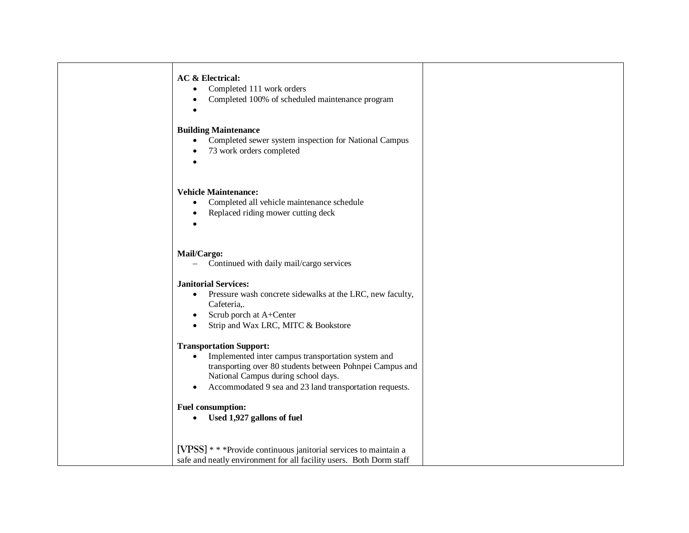| <b>AC &amp; Electrical:</b> |  |
|-----------------------------|--|
|-----------------------------|--|

- Completed 111 work orders
- Completed 100% of scheduled maintenance program
- •

### **Building Maintenance**

- Completed sewer system inspection for National Campus
- 73 work orders completed
- •

### **Vehicle Maintenance:**

- Completed all vehicle maintenance schedule
- Replaced riding mower cutting deck
- •

### **Mail/Cargo:**

– Continued with daily mail/cargo services

#### **Janitorial Services:**

- Pressure wash concrete sidewalks at the LRC, new faculty, Cafeteria,.
- Scrub porch at A+Center
- Strip and Wax LRC, MITC & Bookstore

## **Transportation Support:**

- Implemented inter campus transportation system and transporting over 80 students between Pohnpei Campus and National Campus during school days.
- Accommodated 9 sea and 23 land transportation requests.

## **Fuel consumption:**

- **Used 1,927 gallons of fuel**
- **[VPSS]** \* \* \*Provide continuous janitorial services to maintain a safe and neatly environment for all facility users. Both Dorm staff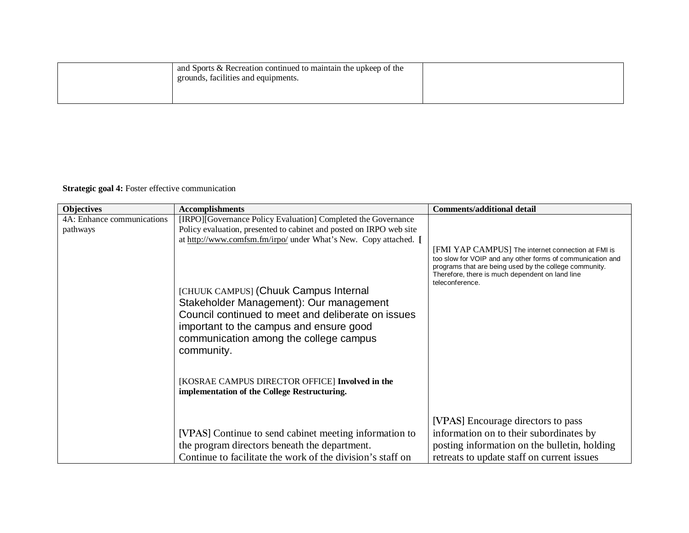| and Sports & Recreation continued to maintain the upkeep of the<br>grounds, facilities and equipments. |  |
|--------------------------------------------------------------------------------------------------------|--|
|                                                                                                        |  |

# **Strategic goal 4:** Foster effective communication

| <b>Objectives</b>                      | <b>Accomplishments</b>                                                                                                                                                                                                                                                                                                                                                                                                                                                                                   | <b>Comments/additional detail</b>                                                                                                                                                                                                                |
|----------------------------------------|----------------------------------------------------------------------------------------------------------------------------------------------------------------------------------------------------------------------------------------------------------------------------------------------------------------------------------------------------------------------------------------------------------------------------------------------------------------------------------------------------------|--------------------------------------------------------------------------------------------------------------------------------------------------------------------------------------------------------------------------------------------------|
| 4A: Enhance communications<br>pathways | [IRPO][Governance Policy Evaluation] Completed the Governance<br>Policy evaluation, presented to cabinet and posted on IRPO web site<br>at http://www.comfsm.fm/irpo/ under What's New. Copy attached. [<br>[CHUUK CAMPUS] (Chuuk Campus Internal<br>Stakeholder Management): Our management<br>Council continued to meet and deliberate on issues<br>important to the campus and ensure good<br>communication among the college campus<br>community.<br>[KOSRAE CAMPUS DIRECTOR OFFICE] Involved in the | [FMI YAP CAMPUS] The internet connection at FMI is<br>too slow for VOIP and any other forms of communication and<br>programs that are being used by the college community.<br>Therefore, there is much dependent on land line<br>teleconference. |
|                                        | implementation of the College Restructuring.<br>[VPAS] Continue to send cabinet meeting information to                                                                                                                                                                                                                                                                                                                                                                                                   | [VPAS] Encourage directors to pass<br>information on to their subordinates by                                                                                                                                                                    |
|                                        | the program directors beneath the department.<br>Continue to facilitate the work of the division's staff on                                                                                                                                                                                                                                                                                                                                                                                              | posting information on the bulletin, holding<br>retreats to update staff on current issues                                                                                                                                                       |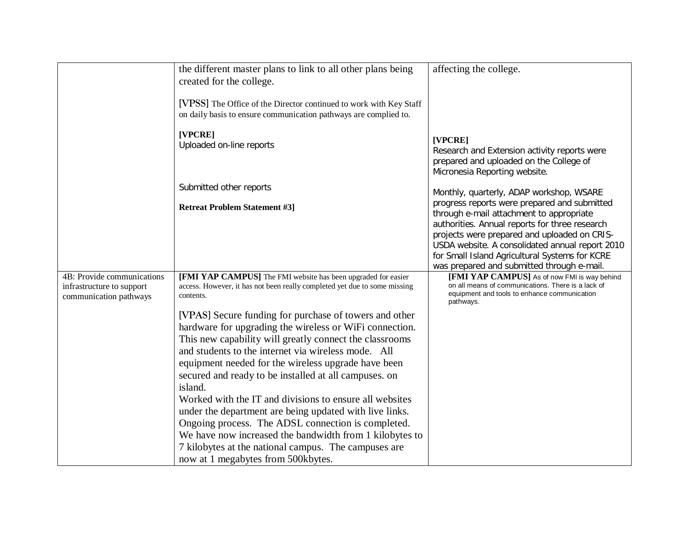|                                                                                   | the different master plans to link to all other plans being<br>created for the college.                                                                 | affecting the college.                                                                                                                                                                                                                                                                                                                        |
|-----------------------------------------------------------------------------------|---------------------------------------------------------------------------------------------------------------------------------------------------------|-----------------------------------------------------------------------------------------------------------------------------------------------------------------------------------------------------------------------------------------------------------------------------------------------------------------------------------------------|
|                                                                                   | [VPSS] The Office of the Director continued to work with Key Staff<br>on daily basis to ensure communication pathways are complied to.                  |                                                                                                                                                                                                                                                                                                                                               |
|                                                                                   | [VPCRE]<br>Uploaded on-line reports                                                                                                                     | [VPCRE]<br>Research and Extension activity reports were<br>prepared and uploaded on the College of<br>Micronesia Reporting website.                                                                                                                                                                                                           |
|                                                                                   | Submitted other reports                                                                                                                                 | Monthly, quarterly, ADAP workshop, WSARE                                                                                                                                                                                                                                                                                                      |
|                                                                                   | <b>Retreat Problem Statement #3]</b>                                                                                                                    | progress reports were prepared and submitted<br>through e-mail attachment to appropriate<br>authorities. Annual reports for three research<br>projects were prepared and uploaded on CRIS-<br>USDA website. A consolidated annual report 2010<br>for Small Island Agricultural Systems for KCRE<br>was prepared and submitted through e-mail. |
| 4B: Provide communications<br>infrastructure to support<br>communication pathways | [FMI YAP CAMPUS] The FMI website has been upgraded for easier<br>access. However, it has not been really completed yet due to some missing<br>contents. | [FMI YAP CAMPUS] As of now FMI is way behind<br>on all means of communications. There is a lack of<br>equipment and tools to enhance communication<br>pathways.                                                                                                                                                                               |
|                                                                                   | [VPAS] Secure funding for purchase of towers and other                                                                                                  |                                                                                                                                                                                                                                                                                                                                               |
|                                                                                   | hardware for upgrading the wireless or WiFi connection.<br>This new capability will greatly connect the classrooms                                      |                                                                                                                                                                                                                                                                                                                                               |
|                                                                                   | and students to the internet via wireless mode. All                                                                                                     |                                                                                                                                                                                                                                                                                                                                               |
|                                                                                   | equipment needed for the wireless upgrade have been                                                                                                     |                                                                                                                                                                                                                                                                                                                                               |
|                                                                                   | secured and ready to be installed at all campuses. on<br>island.                                                                                        |                                                                                                                                                                                                                                                                                                                                               |
|                                                                                   | Worked with the IT and divisions to ensure all websites                                                                                                 |                                                                                                                                                                                                                                                                                                                                               |
|                                                                                   | under the department are being updated with live links.                                                                                                 |                                                                                                                                                                                                                                                                                                                                               |
|                                                                                   | Ongoing process. The ADSL connection is completed.                                                                                                      |                                                                                                                                                                                                                                                                                                                                               |
|                                                                                   | We have now increased the bandwidth from 1 kilobytes to                                                                                                 |                                                                                                                                                                                                                                                                                                                                               |
|                                                                                   | 7 kilobytes at the national campus. The campuses are<br>now at 1 megabytes from 500kbytes.                                                              |                                                                                                                                                                                                                                                                                                                                               |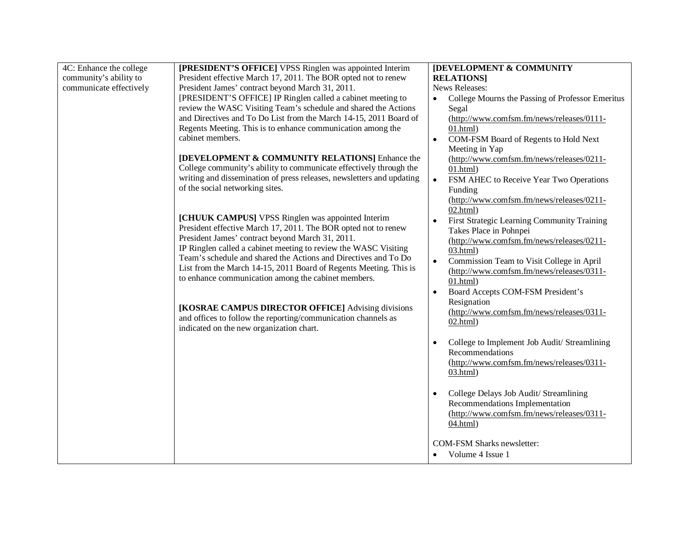| 4C: Enhance the college | [PRESIDENT'S OFFICE] VPSS Ringlen was appointed Interim               | <b>[DEVELOPMENT &amp; COMMUNITY</b>                    |
|-------------------------|-----------------------------------------------------------------------|--------------------------------------------------------|
| community's ability to  | President effective March 17, 2011. The BOR opted not to renew        | <b>RELATIONS1</b>                                      |
| communicate effectively | President James' contract beyond March 31, 2011.                      | News Releases:                                         |
|                         | [PRESIDENT'S OFFICE] IP Ringlen called a cabinet meeting to           | College Mourns the Passing of Professor Emeritus       |
|                         | review the WASC Visiting Team's schedule and shared the Actions       | Segal                                                  |
|                         | and Directives and To Do List from the March 14-15, 2011 Board of     | (http://www.comfsm.fm/news/releases/0111-              |
|                         | Regents Meeting. This is to enhance communication among the           | 01.html                                                |
|                         | cabinet members.                                                      | COM-FSM Board of Regents to Hold Next<br>$\bullet$     |
|                         |                                                                       | Meeting in Yap                                         |
|                         | [DEVELOPMENT & COMMUNITY RELATIONS] Enhance the                       | (http://www.comfsm.fm/news/releases/0211-              |
|                         | College community's ability to communicate effectively through the    | 01.html                                                |
|                         | writing and dissemination of press releases, newsletters and updating | $\bullet$<br>FSM AHEC to Receive Year Two Operations   |
|                         | of the social networking sites.                                       | Funding                                                |
|                         |                                                                       | (http://www.comfsm.fm/news/releases/0211-              |
|                         |                                                                       | $02.html$ )                                            |
|                         | [CHUUK CAMPUS] VPSS Ringlen was appointed Interim                     | First Strategic Learning Community Training            |
|                         | President effective March 17, 2011. The BOR opted not to renew        | Takes Place in Pohnpei                                 |
|                         | President James' contract beyond March 31, 2011.                      | (http://www.comfsm.fm/news/releases/0211-              |
|                         | IP Ringlen called a cabinet meeting to review the WASC Visiting       | 03.html)                                               |
|                         | Team's schedule and shared the Actions and Directives and To Do       | Commission Team to Visit College in April<br>$\bullet$ |
|                         | List from the March 14-15, 2011 Board of Regents Meeting. This is     | (http://www.comfsm.fm/news/releases/0311-              |
|                         | to enhance communication among the cabinet members.                   | 01.html                                                |
|                         |                                                                       | Board Accepts COM-FSM President's<br>$\bullet$         |
|                         |                                                                       | Resignation                                            |
|                         | [KOSRAE CAMPUS DIRECTOR OFFICE] Advising divisions                    | (http://www.comfsm.fm/news/releases/0311-              |
|                         | and offices to follow the reporting/communication channels as         | $02.html$ )                                            |
|                         | indicated on the new organization chart.                              |                                                        |
|                         |                                                                       | College to Implement Job Audit/ Streamlining           |
|                         |                                                                       | Recommendations                                        |
|                         |                                                                       | (http://www.comfsm.fm/news/releases/0311-              |
|                         |                                                                       | 03.html)                                               |
|                         |                                                                       |                                                        |
|                         |                                                                       | College Delays Job Audit/ Streamlining                 |
|                         |                                                                       | Recommendations Implementation                         |
|                         |                                                                       | (http://www.comfsm.fm/news/releases/0311-              |
|                         |                                                                       | 04.html)                                               |
|                         |                                                                       |                                                        |
|                         |                                                                       | <b>COM-FSM Sharks newsletter:</b>                      |
|                         |                                                                       | Volume 4 Issue 1                                       |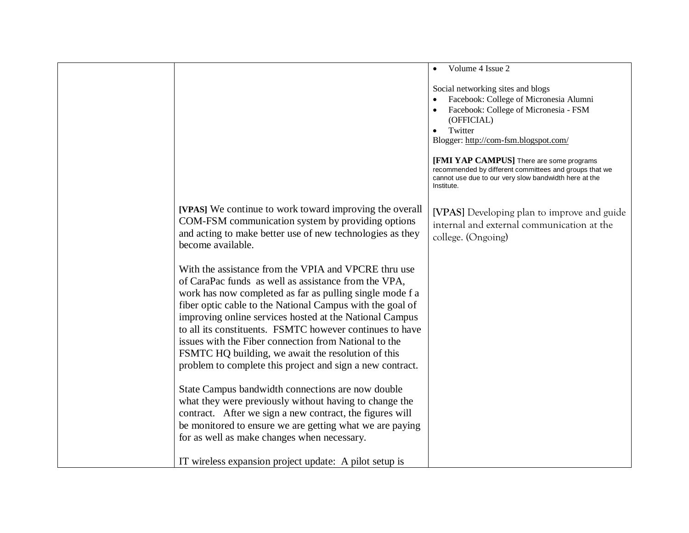|                                                                                                                                                                                                                                                                                                                                                                                                                                                                                                                                          | Volume 4 Issue 2<br>$\bullet$                                                                                                                                                                                                                   |
|------------------------------------------------------------------------------------------------------------------------------------------------------------------------------------------------------------------------------------------------------------------------------------------------------------------------------------------------------------------------------------------------------------------------------------------------------------------------------------------------------------------------------------------|-------------------------------------------------------------------------------------------------------------------------------------------------------------------------------------------------------------------------------------------------|
|                                                                                                                                                                                                                                                                                                                                                                                                                                                                                                                                          | Social networking sites and blogs<br>Facebook: College of Micronesia Alumni<br>Facebook: College of Micronesia - FSM<br>(OFFICIAL)<br>Twitter<br>$\bullet$<br>Blogger: http://com-fsm.blogspot.com/<br>[FMI YAP CAMPUS] There are some programs |
|                                                                                                                                                                                                                                                                                                                                                                                                                                                                                                                                          | recommended by different committees and groups that we<br>cannot use due to our very slow bandwidth here at the<br>Institute.                                                                                                                   |
| [VPAS] We continue to work toward improving the overall<br>COM-FSM communication system by providing options<br>and acting to make better use of new technologies as they<br>become available.                                                                                                                                                                                                                                                                                                                                           | [VPAS] Developing plan to improve and guide<br>internal and external communication at the<br>college. (Ongoing)                                                                                                                                 |
| With the assistance from the VPIA and VPCRE thru use<br>of CaraPac funds as well as assistance from the VPA,<br>work has now completed as far as pulling single mode f a<br>fiber optic cable to the National Campus with the goal of<br>improving online services hosted at the National Campus<br>to all its constituents. FSMTC however continues to have<br>issues with the Fiber connection from National to the<br>FSMTC HQ building, we await the resolution of this<br>problem to complete this project and sign a new contract. |                                                                                                                                                                                                                                                 |
| State Campus bandwidth connections are now double<br>what they were previously without having to change the<br>contract. After we sign a new contract, the figures will<br>be monitored to ensure we are getting what we are paying<br>for as well as make changes when necessary.                                                                                                                                                                                                                                                       |                                                                                                                                                                                                                                                 |
| IT wireless expansion project update: A pilot setup is                                                                                                                                                                                                                                                                                                                                                                                                                                                                                   |                                                                                                                                                                                                                                                 |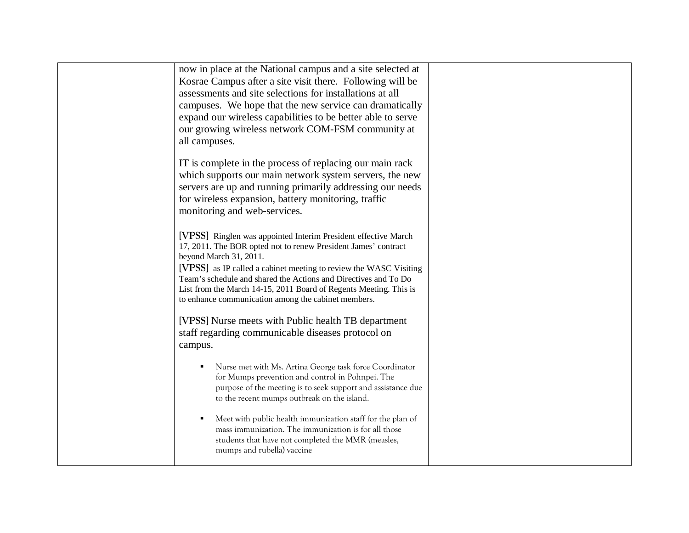| now in place at the National campus and a site selected at<br>Kosrae Campus after a site visit there. Following will be<br>assessments and site selections for installations at all<br>campuses. We hope that the new service can dramatically<br>expand our wireless capabilities to be better able to serve<br>our growing wireless network COM-FSM community at<br>all campuses.                                            |  |
|--------------------------------------------------------------------------------------------------------------------------------------------------------------------------------------------------------------------------------------------------------------------------------------------------------------------------------------------------------------------------------------------------------------------------------|--|
| IT is complete in the process of replacing our main rack<br>which supports our main network system servers, the new<br>servers are up and running primarily addressing our needs<br>for wireless expansion, battery monitoring, traffic<br>monitoring and web-services.                                                                                                                                                        |  |
| [VPSS] Ringlen was appointed Interim President effective March<br>17, 2011. The BOR opted not to renew President James' contract<br>beyond March 31, 2011.<br>[VPSS] as IP called a cabinet meeting to review the WASC Visiting<br>Team's schedule and shared the Actions and Directives and To Do<br>List from the March 14-15, 2011 Board of Regents Meeting. This is<br>to enhance communication among the cabinet members. |  |
| [VPSS] Nurse meets with Public health TB department<br>staff regarding communicable diseases protocol on<br>campus.                                                                                                                                                                                                                                                                                                            |  |
| Nurse met with Ms. Artina George task force Coordinator<br>for Mumps prevention and control in Pohnpei. The<br>purpose of the meeting is to seek support and assistance due<br>to the recent mumps outbreak on the island.                                                                                                                                                                                                     |  |
| Meet with public health immunization staff for the plan of<br>mass immunization. The immunization is for all those<br>students that have not completed the MMR (measles,<br>mumps and rubella) vaccine                                                                                                                                                                                                                         |  |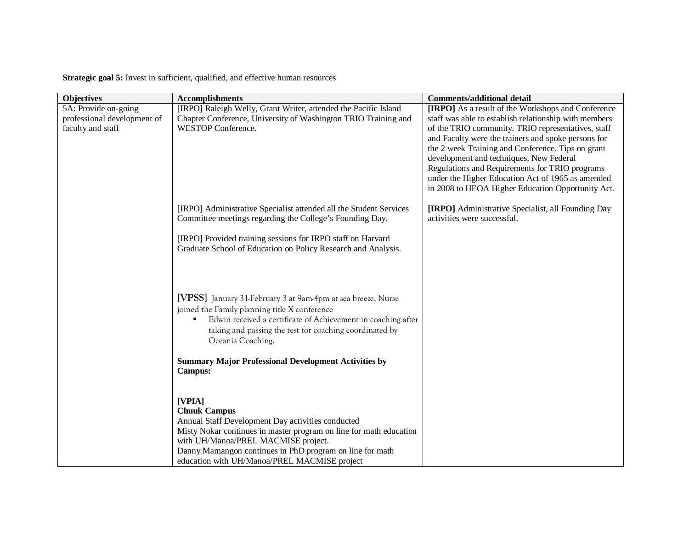**Strategic goal 5:** Invest in sufficient, qualified, and effective human resources

| <b>Objectives</b>                                   | <b>Accomplishments</b>                                                                                                                                                                                                                                              | <b>Comments/additional detail</b>                                                                                                                                                                                                                                                                                                                                     |
|-----------------------------------------------------|---------------------------------------------------------------------------------------------------------------------------------------------------------------------------------------------------------------------------------------------------------------------|-----------------------------------------------------------------------------------------------------------------------------------------------------------------------------------------------------------------------------------------------------------------------------------------------------------------------------------------------------------------------|
| 5A: Provide on-going<br>professional development of | [IRPO] Raleigh Welly, Grant Writer, attended the Pacific Island<br>Chapter Conference, University of Washington TRIO Training and                                                                                                                                   | [IRPO] As a result of the Workshops and Conference<br>staff was able to establish relationship with members                                                                                                                                                                                                                                                           |
| faculty and staff                                   | <b>WESTOP Conference.</b>                                                                                                                                                                                                                                           | of the TRIO community. TRIO representatives, staff<br>and Faculty were the trainers and spoke persons for<br>the 2 week Training and Conference. Tips on grant<br>development and techniques, New Federal<br>Regulations and Requirements for TRIO programs<br>under the Higher Education Act of 1965 as amended<br>in 2008 to HEOA Higher Education Opportunity Act. |
|                                                     | [IRPO] Administrative Specialist attended all the Student Services<br>Committee meetings regarding the College's Founding Day.                                                                                                                                      | [IRPO] Administrative Specialist, all Founding Day<br>activities were successful.                                                                                                                                                                                                                                                                                     |
|                                                     | [IRPO] Provided training sessions for IRPO staff on Harvard<br>Graduate School of Education on Policy Research and Analysis.                                                                                                                                        |                                                                                                                                                                                                                                                                                                                                                                       |
|                                                     | [VPSS] January 31-February 3 at 9am-4pm at sea breeze, Nurse<br>joined the Family planning title X conference<br>Edwin received a certificate of Achievement in coaching after<br>٠<br>taking and passing the test for coaching coordinated by<br>Oceania Coaching. |                                                                                                                                                                                                                                                                                                                                                                       |
|                                                     | <b>Summary Major Professional Development Activities by</b><br>Campus:                                                                                                                                                                                              |                                                                                                                                                                                                                                                                                                                                                                       |
|                                                     | [VPIA]<br><b>Chuuk Campus</b>                                                                                                                                                                                                                                       |                                                                                                                                                                                                                                                                                                                                                                       |
|                                                     | Annual Staff Development Day activities conducted<br>Misty Nokar continues in master program on line for math education                                                                                                                                             |                                                                                                                                                                                                                                                                                                                                                                       |
|                                                     | with UH/Manoa/PREL MACMISE project.                                                                                                                                                                                                                                 |                                                                                                                                                                                                                                                                                                                                                                       |
|                                                     | Danny Mamangon continues in PhD program on line for math<br>education with UH/Manoa/PREL MACMISE project                                                                                                                                                            |                                                                                                                                                                                                                                                                                                                                                                       |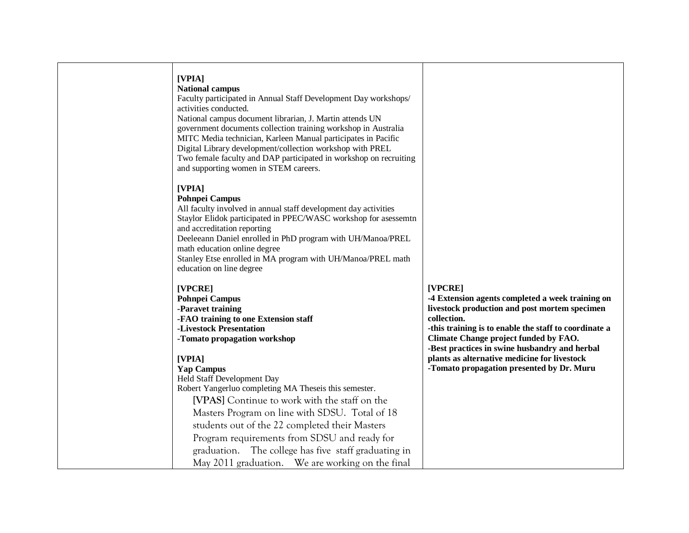| [VPIA]<br><b>National campus</b><br>Faculty participated in Annual Staff Development Day workshops/<br>activities conducted.<br>National campus document librarian, J. Martin attends UN<br>government documents collection training workshop in Australia<br>MITC Media technician, Karleen Manual participates in Pacific<br>Digital Library development/collection workshop with PREL<br>Two female faculty and DAP participated in workshop on recruiting<br>and supporting women in STEM careers. |                                                                                                                                                                                                                                                                                                                                                                             |
|--------------------------------------------------------------------------------------------------------------------------------------------------------------------------------------------------------------------------------------------------------------------------------------------------------------------------------------------------------------------------------------------------------------------------------------------------------------------------------------------------------|-----------------------------------------------------------------------------------------------------------------------------------------------------------------------------------------------------------------------------------------------------------------------------------------------------------------------------------------------------------------------------|
| [VPIA]<br><b>Pohnpei Campus</b><br>All faculty involved in annual staff development day activities<br>Staylor Elidok participated in PPEC/WASC workshop for asessemtn<br>and accreditation reporting<br>Deeleeann Daniel enrolled in PhD program with UH/Manoa/PREL<br>math education online degree<br>Stanley Etse enrolled in MA program with UH/Manoa/PREL math<br>education on line degree                                                                                                         |                                                                                                                                                                                                                                                                                                                                                                             |
| [VPCRE]<br><b>Pohnpei Campus</b><br>-Paravet training<br>-FAO training to one Extension staff<br>-Livestock Presentation<br>-Tomato propagation workshop<br>[VPIA]<br><b>Yap Campus</b><br>Held Staff Development Day<br>Robert Yangerluo completing MA Theseis this semester.<br>[VPAS] Continue to work with the staff on the                                                                                                                                                                        | [VPCRE]<br>-4 Extension agents completed a week training on<br>livestock production and post mortem specimen<br>collection.<br>-this training is to enable the staff to coordinate a<br>Climate Change project funded by FAO.<br>-Best practices in swine husbandry and herbal<br>plants as alternative medicine for livestock<br>-Tomato propagation presented by Dr. Muru |
| Masters Program on line with SDSU. Total of 18<br>students out of the 22 completed their Masters<br>Program requirements from SDSU and ready for<br>graduation. The college has five staff graduating in<br>May 2011 graduation. We are working on the final                                                                                                                                                                                                                                           |                                                                                                                                                                                                                                                                                                                                                                             |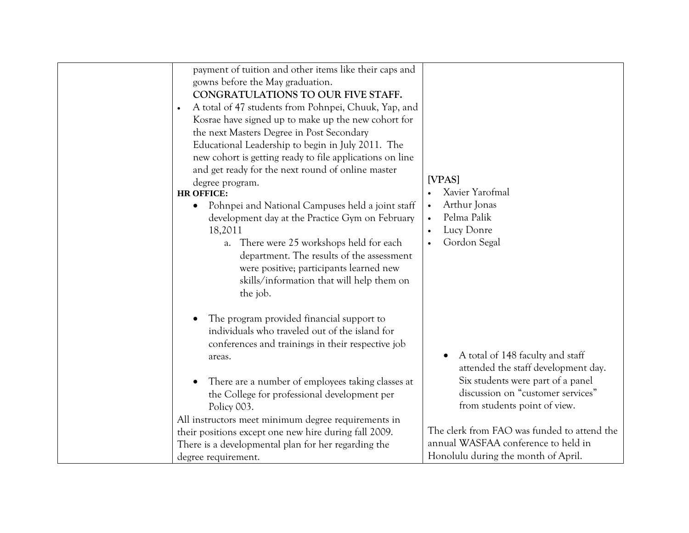| gowns before the May graduation.<br>$\bullet$<br>the next Masters Degree in Post Secondary<br>degree program.<br><b>HR OFFICE:</b><br>$\bullet$<br>18,2011<br>the job. | payment of tuition and other items like their caps and<br>CONGRATULATIONS TO OUR FIVE STAFF.<br>A total of 47 students from Pohnpei, Chuuk, Yap, and<br>Kosrae have signed up to make up the new cohort for<br>Educational Leadership to begin in July 2011. The<br>new cohort is getting ready to file applications on line<br>and get ready for the next round of online master<br>Pohnpei and National Campuses held a joint staff<br>development day at the Practice Gym on February<br>a. There were 25 workshops held for each<br>department. The results of the assessment<br>were positive; participants learned new<br>skills/information that will help them on | [VPAS]<br>Xavier Yarofmal<br>Arthur Jonas<br>$\bullet$<br>Pelma Palik<br>Lucy Donre<br>Gordon Segal<br>$\bullet$                                                                  |
|------------------------------------------------------------------------------------------------------------------------------------------------------------------------|---------------------------------------------------------------------------------------------------------------------------------------------------------------------------------------------------------------------------------------------------------------------------------------------------------------------------------------------------------------------------------------------------------------------------------------------------------------------------------------------------------------------------------------------------------------------------------------------------------------------------------------------------------------------------|-----------------------------------------------------------------------------------------------------------------------------------------------------------------------------------|
| areas.<br>Policy 003.                                                                                                                                                  | The program provided financial support to<br>individuals who traveled out of the island for<br>conferences and trainings in their respective job<br>There are a number of employees taking classes at<br>the College for professional development per<br>All instructors meet minimum degree requirements in                                                                                                                                                                                                                                                                                                                                                              | A total of 148 faculty and staff<br>attended the staff development day.<br>Six students were part of a panel<br>discussion on "customer services"<br>from students point of view. |
| degree requirement.                                                                                                                                                    | their positions except one new hire during fall 2009.<br>There is a developmental plan for her regarding the                                                                                                                                                                                                                                                                                                                                                                                                                                                                                                                                                              | The clerk from FAO was funded to attend the<br>annual WASFAA conference to held in<br>Honolulu during the month of April.                                                         |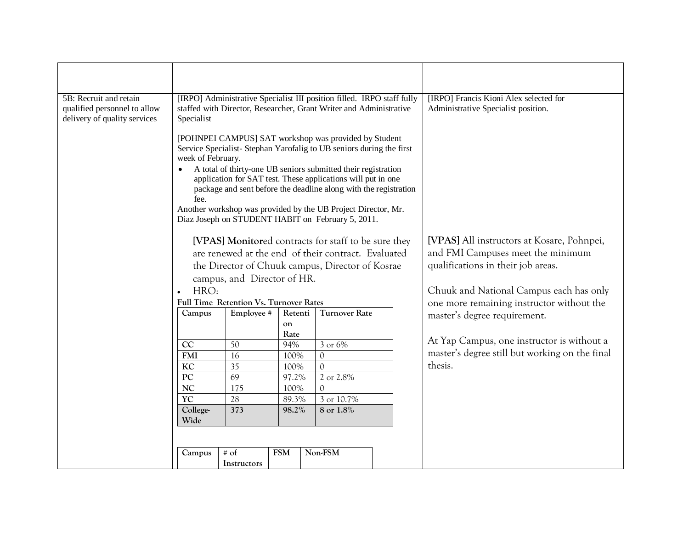| 5B: Recruit and retain<br>qualified personnel to allow<br>delivery of quality services | Specialist                |                                               |                     | [IRPO] Administrative Specialist III position filled. IRPO staff fully<br>staffed with Director, Researcher, Grant Writer and Administrative                                                                                                                                                                                                                                                                                                                                                                                                                                                                               | [IRPO] Francis Kioni Alex selected for<br>Administrative Specialist position.                                         |  |                                                                                      |
|----------------------------------------------------------------------------------------|---------------------------|-----------------------------------------------|---------------------|----------------------------------------------------------------------------------------------------------------------------------------------------------------------------------------------------------------------------------------------------------------------------------------------------------------------------------------------------------------------------------------------------------------------------------------------------------------------------------------------------------------------------------------------------------------------------------------------------------------------------|-----------------------------------------------------------------------------------------------------------------------|--|--------------------------------------------------------------------------------------|
|                                                                                        | week of February.<br>fee. |                                               |                     | [POHNPEI CAMPUS] SAT workshop was provided by Student<br>Service Specialist-Stephan Yarofalig to UB seniors during the first<br>A total of thirty-one UB seniors submitted their registration<br>application for SAT test. These applications will put in one<br>package and sent before the deadline along with the registration<br>Another workshop was provided by the UB Project Director, Mr.<br>Diaz Joseph on STUDENT HABIT on February 5, 2011.<br>[VPAS] Monitored contracts for staff to be sure they<br>are renewed at the end of their contract. Evaluated<br>the Director of Chuuk campus, Director of Kosrae | [VPAS] All instructors at Kosare, Pohnpei,<br>and FMI Campuses meet the minimum<br>qualifications in their job areas. |  |                                                                                      |
|                                                                                        |                           | campus, and Director of HR.                   |                     |                                                                                                                                                                                                                                                                                                                                                                                                                                                                                                                                                                                                                            |                                                                                                                       |  |                                                                                      |
|                                                                                        | HRO:<br>$\bullet$         | <b>Full Time Retention Vs. Turnover Rates</b> |                     |                                                                                                                                                                                                                                                                                                                                                                                                                                                                                                                                                                                                                            |                                                                                                                       |  | Chuuk and National Campus each has only<br>one more remaining instructor without the |
|                                                                                        | Campus                    | Employee #                                    | Retenti             | <b>Turnover Rate</b>                                                                                                                                                                                                                                                                                                                                                                                                                                                                                                                                                                                                       |                                                                                                                       |  | master's degree requirement.                                                         |
|                                                                                        |                           |                                               | on<br>Rate          |                                                                                                                                                                                                                                                                                                                                                                                                                                                                                                                                                                                                                            |                                                                                                                       |  |                                                                                      |
|                                                                                        | CC                        | 50                                            | 94%                 | 3 or 6%                                                                                                                                                                                                                                                                                                                                                                                                                                                                                                                                                                                                                    |                                                                                                                       |  | At Yap Campus, one instructor is without a                                           |
|                                                                                        | <b>FMI</b>                | 16                                            | 100%                | $\mathcal{O}$                                                                                                                                                                                                                                                                                                                                                                                                                                                                                                                                                                                                              |                                                                                                                       |  | master's degree still but working on the final                                       |
|                                                                                        | $\overline{KC}$           | $\overline{35}$                               | 100%                | $\mathcal{O}$                                                                                                                                                                                                                                                                                                                                                                                                                                                                                                                                                                                                              |                                                                                                                       |  | thesis.                                                                              |
|                                                                                        | $\overline{PC}$           | 69                                            | 97.2%               | 2 or 2.8%                                                                                                                                                                                                                                                                                                                                                                                                                                                                                                                                                                                                                  |                                                                                                                       |  |                                                                                      |
|                                                                                        | <b>NC</b>                 | 175<br>100%<br>$\mathcal{O}$                  |                     |                                                                                                                                                                                                                                                                                                                                                                                                                                                                                                                                                                                                                            |                                                                                                                       |  |                                                                                      |
|                                                                                        | $\overline{Y}C$           | 28                                            | 89.3%<br>3 or 10.7% |                                                                                                                                                                                                                                                                                                                                                                                                                                                                                                                                                                                                                            |                                                                                                                       |  |                                                                                      |
|                                                                                        | College-                  | 373                                           | 8 or 1.8%<br>98.2%  |                                                                                                                                                                                                                                                                                                                                                                                                                                                                                                                                                                                                                            |                                                                                                                       |  |                                                                                      |
|                                                                                        | Wide                      |                                               |                     |                                                                                                                                                                                                                                                                                                                                                                                                                                                                                                                                                                                                                            |                                                                                                                       |  |                                                                                      |
|                                                                                        |                           |                                               |                     |                                                                                                                                                                                                                                                                                                                                                                                                                                                                                                                                                                                                                            |                                                                                                                       |  |                                                                                      |
|                                                                                        | Campus                    | $# \circ f$<br>Instructors                    | <b>FSM</b>          | Non-FSM                                                                                                                                                                                                                                                                                                                                                                                                                                                                                                                                                                                                                    |                                                                                                                       |  |                                                                                      |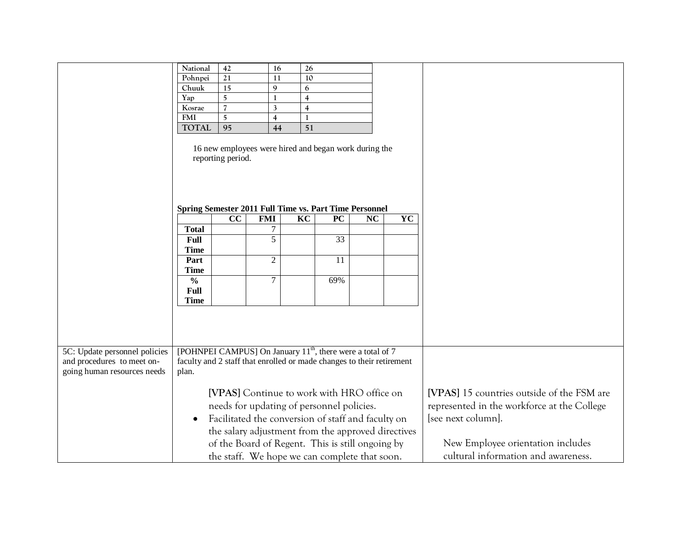|                               | National                                                               | 42                | 16             | 26             |                                                       |    |                                             |                                            |
|-------------------------------|------------------------------------------------------------------------|-------------------|----------------|----------------|-------------------------------------------------------|----|---------------------------------------------|--------------------------------------------|
|                               | Pohnpei                                                                | 21                | 11             | 10             |                                                       |    |                                             |                                            |
|                               | Chuuk                                                                  | 15                | 9              | 6              |                                                       |    |                                             |                                            |
|                               | Yap                                                                    | 5                 | $\mathbf{1}$   | $\overline{4}$ |                                                       |    |                                             |                                            |
|                               | Kosrae                                                                 | $\overline{7}$    | 3              | $\overline{4}$ |                                                       |    |                                             |                                            |
|                               | <b>FMI</b>                                                             | $\overline{5}$    | $\overline{4}$ | $\mathbf{1}$   |                                                       |    |                                             |                                            |
|                               | <b>TOTAL</b>                                                           | 95                | 44             | 51             |                                                       |    |                                             |                                            |
|                               | Spring Semester 2011 Full Time vs. Part Time Personnel                 | reporting period. |                |                | 16 new employees were hired and began work during the |    |                                             |                                            |
|                               |                                                                        | CC                | <b>FMI</b>     | KC             | <b>PC</b>                                             | NC | YC                                          |                                            |
|                               | <b>Total</b>                                                           |                   | 7              |                |                                                       |    |                                             |                                            |
|                               | Full                                                                   |                   | 5              |                | 33                                                    |    |                                             |                                            |
|                               | <b>Time</b>                                                            |                   |                |                |                                                       |    |                                             |                                            |
|                               | Part                                                                   |                   | $\sqrt{2}$     |                | 11                                                    |    |                                             |                                            |
|                               | <b>Time</b>                                                            |                   |                |                |                                                       |    |                                             |                                            |
|                               | $\frac{0}{0}$                                                          |                   | $\overline{7}$ |                | 69%                                                   |    |                                             |                                            |
|                               | <b>Full</b>                                                            |                   |                |                |                                                       |    |                                             |                                            |
|                               | <b>Time</b>                                                            |                   |                |                |                                                       |    |                                             |                                            |
|                               |                                                                        |                   |                |                |                                                       |    |                                             |                                            |
|                               |                                                                        |                   |                |                |                                                       |    |                                             |                                            |
|                               |                                                                        |                   |                |                |                                                       |    |                                             |                                            |
|                               |                                                                        |                   |                |                |                                                       |    |                                             |                                            |
| 5C: Update personnel policies | [POHNPEI CAMPUS] On January 11 <sup>th</sup> , there were a total of 7 |                   |                |                |                                                       |    |                                             |                                            |
| and procedures to meet on-    | faculty and 2 staff that enrolled or made changes to their retirement  |                   |                |                |                                                       |    |                                             |                                            |
| going human resources needs   | plan.                                                                  |                   |                |                |                                                       |    |                                             |                                            |
|                               |                                                                        |                   |                |                |                                                       |    |                                             |                                            |
|                               |                                                                        |                   |                |                |                                                       |    |                                             | [VPAS] 15 countries outside of the FSM are |
|                               | [VPAS] Continue to work with HRO office on                             |                   |                |                |                                                       |    | represented in the workforce at the College |                                            |
|                               | needs for updating of personnel policies.                              |                   |                |                |                                                       |    |                                             |                                            |
|                               | Facilitated the conversion of staff and faculty on<br>$\bullet$        |                   |                |                |                                                       |    |                                             | [see next column].                         |
|                               |                                                                        |                   |                |                | the salary adjustment from the approved directives    |    |                                             |                                            |
|                               |                                                                        |                   |                |                | of the Board of Regent. This is still ongoing by      |    |                                             | New Employee orientation includes          |
|                               |                                                                        |                   |                |                |                                                       |    |                                             |                                            |
|                               |                                                                        |                   |                |                | the staff. We hope we can complete that soon.         |    |                                             | cultural information and awareness.        |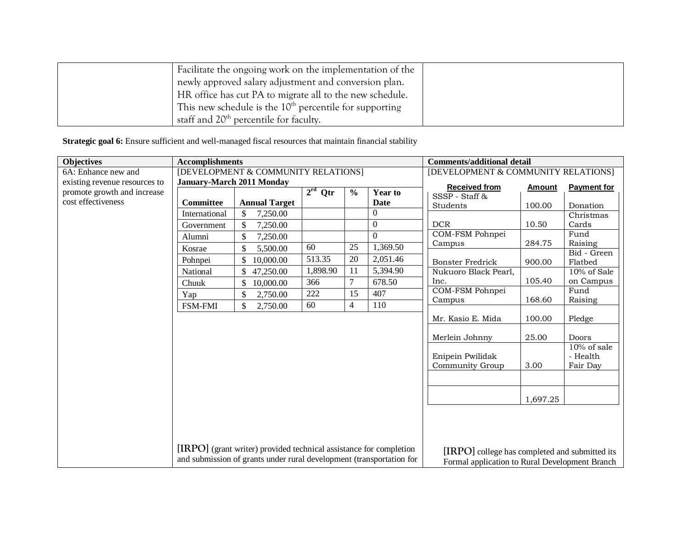| Facilitate the ongoing work on the implementation of the  |  |
|-----------------------------------------------------------|--|
| newly approved salary adjustment and conversion plan.     |  |
| HR office has cut PA to migrate all to the new schedule.  |  |
| This new schedule is the $10th$ percentile for supporting |  |
| staff and 20 <sup>th</sup> percentile for faculty.        |  |

**Strategic goal 6:** Ensure sufficient and well-managed fiscal resources that maintain financial stability

| <b>Objectives</b>             | <b>Accomplishments</b>           |                                                                      |           | <b>Comments/additional detail</b>   |                  |                                                |               |                        |
|-------------------------------|----------------------------------|----------------------------------------------------------------------|-----------|-------------------------------------|------------------|------------------------------------------------|---------------|------------------------|
| 6A: Enhance new and           |                                  | [DEVELOPMENT & COMMUNITY RELATIONS]                                  |           | [DEVELOPMENT & COMMUNITY RELATIONS] |                  |                                                |               |                        |
| existing revenue resources to | <b>January-March 2011 Monday</b> |                                                                      |           |                                     |                  | <b>Received from</b>                           | <b>Amount</b> | <b>Payment for</b>     |
| promote growth and increase   |                                  |                                                                      | $2rd$ Qtr | $\frac{0}{0}$                       | <b>Year to</b>   | SSSP - Staff &                                 |               |                        |
| cost effectiveness            | Committee                        | <b>Annual Target</b>                                                 |           |                                     | Date             | Students                                       | 100.00        | Donation               |
|                               | International                    | \$<br>7,250.00                                                       |           |                                     | 0                |                                                |               | Christmas              |
|                               | Government                       | \$<br>7,250.00                                                       |           |                                     | $\boldsymbol{0}$ | <b>DCR</b>                                     | 10.50         | Cards                  |
|                               | Alumni                           | $\boldsymbol{\mathsf{S}}$<br>7,250.00                                |           |                                     | $\Omega$         | COM-FSM Pohnpei                                |               | Fund                   |
|                               | Kosrae                           | \$<br>5,500.00                                                       | 60        | 25                                  | 1,369.50         | Campus                                         | 284.75        | Raising                |
|                               | Pohnpei                          | \$<br>10,000.00                                                      | 513.35    | 20                                  | 2,051.46         | <b>Bonster Fredrick</b>                        | 900.00        | Bid - Green<br>Flatbed |
|                               | National                         | \$<br>47,250.00                                                      | 1,898.90  | 11                                  | 5,394.90         | Nukuoro Black Pearl,                           |               | 10% of Sale            |
|                               | Chuuk                            | \$<br>10,000.00                                                      | 366       | $\tau$                              | 678.50           | Inc.                                           | 105.40        | on Campus              |
|                               | Yap                              | \$<br>2,750.00                                                       | 222       | 15                                  | 407              | COM-FSM Pohnpei                                |               | Fund                   |
|                               | <b>FSM-FMI</b>                   | \$<br>2,750.00                                                       | 60        | 4                                   | 110              | Campus                                         | 168.60        | Raising                |
|                               |                                  |                                                                      |           |                                     |                  |                                                |               |                        |
|                               |                                  |                                                                      |           |                                     |                  | Mr. Kasio E. Mida                              | 100.00        | Pledge                 |
|                               |                                  |                                                                      |           |                                     |                  | Merlein Johnny                                 | 25.00         | Doors                  |
|                               |                                  |                                                                      |           |                                     |                  |                                                |               | 10% of sale            |
|                               |                                  |                                                                      |           |                                     |                  | Enipein Pwilidak                               |               | - Health               |
|                               |                                  |                                                                      |           |                                     |                  | Community Group                                | 3.00          | Fair Day               |
|                               |                                  |                                                                      |           |                                     |                  |                                                |               |                        |
|                               |                                  |                                                                      |           |                                     |                  |                                                | 1,697.25      |                        |
|                               |                                  |                                                                      |           |                                     |                  |                                                |               |                        |
|                               |                                  |                                                                      |           |                                     |                  |                                                |               |                        |
|                               |                                  |                                                                      |           |                                     |                  |                                                |               |                        |
|                               |                                  | [IRPO] (grant writer) provided technical assistance for completion   |           |                                     |                  | [IRPO] college has completed and submitted its |               |                        |
|                               |                                  | and submission of grants under rural development (transportation for |           |                                     |                  | Formal application to Rural Development Branch |               |                        |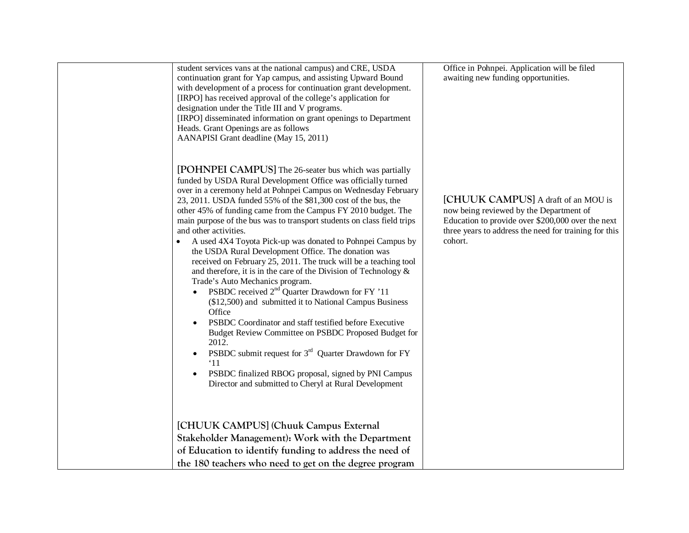| student services vans at the national campus) and CRE, USDA<br>continuation grant for Yap campus, and assisting Upward Bound<br>with development of a process for continuation grant development.<br>[IRPO] has received approval of the college's application for<br>designation under the Title III and V programs.<br>[IRPO] disseminated information on grant openings to Department<br>Heads. Grant Openings are as follows<br>AANAPISI Grant deadline (May 15, 2011)                                                                                                                                                                                                                                                                                                                                                                                                                                                                                                                                                                                                                                                                                                                                                | Office in Pohnpei. Application will be filed<br>awaiting new funding opportunities.                                                                                                                     |
|---------------------------------------------------------------------------------------------------------------------------------------------------------------------------------------------------------------------------------------------------------------------------------------------------------------------------------------------------------------------------------------------------------------------------------------------------------------------------------------------------------------------------------------------------------------------------------------------------------------------------------------------------------------------------------------------------------------------------------------------------------------------------------------------------------------------------------------------------------------------------------------------------------------------------------------------------------------------------------------------------------------------------------------------------------------------------------------------------------------------------------------------------------------------------------------------------------------------------|---------------------------------------------------------------------------------------------------------------------------------------------------------------------------------------------------------|
| [POHNPEI CAMPUS] The 26-seater bus which was partially<br>funded by USDA Rural Development Office was officially turned<br>over in a ceremony held at Pohnpei Campus on Wednesday February<br>23, 2011. USDA funded 55% of the \$81,300 cost of the bus, the<br>other 45% of funding came from the Campus FY 2010 budget. The<br>main purpose of the bus was to transport students on class field trips<br>and other activities.<br>A used 4X4 Toyota Pick-up was donated to Pohnpei Campus by<br>the USDA Rural Development Office. The donation was<br>received on February 25, 2011. The truck will be a teaching tool<br>and therefore, it is in the care of the Division of Technology $\&$<br>Trade's Auto Mechanics program.<br>PSBDC received 2 <sup>nd</sup> Quarter Drawdown for FY '11<br>$\bullet$<br>(\$12,500) and submitted it to National Campus Business<br>Office<br>PSBDC Coordinator and staff testified before Executive<br>Budget Review Committee on PSBDC Proposed Budget for<br>2012.<br>PSBDC submit request for $3rd$ Quarter Drawdown for FY<br>$\bullet$<br>'11<br>PSBDC finalized RBOG proposal, signed by PNI Campus<br>$\bullet$<br>Director and submitted to Cheryl at Rural Development | [CHUUK CAMPUS] A draft of an MOU is<br>now being reviewed by the Department of<br>Education to provide over \$200,000 over the next<br>three years to address the need for training for this<br>cohort. |
| [CHUUK CAMPUS] (Chuuk Campus External                                                                                                                                                                                                                                                                                                                                                                                                                                                                                                                                                                                                                                                                                                                                                                                                                                                                                                                                                                                                                                                                                                                                                                                     |                                                                                                                                                                                                         |
| Stakeholder Management): Work with the Department                                                                                                                                                                                                                                                                                                                                                                                                                                                                                                                                                                                                                                                                                                                                                                                                                                                                                                                                                                                                                                                                                                                                                                         |                                                                                                                                                                                                         |
| of Education to identify funding to address the need of                                                                                                                                                                                                                                                                                                                                                                                                                                                                                                                                                                                                                                                                                                                                                                                                                                                                                                                                                                                                                                                                                                                                                                   |                                                                                                                                                                                                         |
| the 180 teachers who need to get on the degree program                                                                                                                                                                                                                                                                                                                                                                                                                                                                                                                                                                                                                                                                                                                                                                                                                                                                                                                                                                                                                                                                                                                                                                    |                                                                                                                                                                                                         |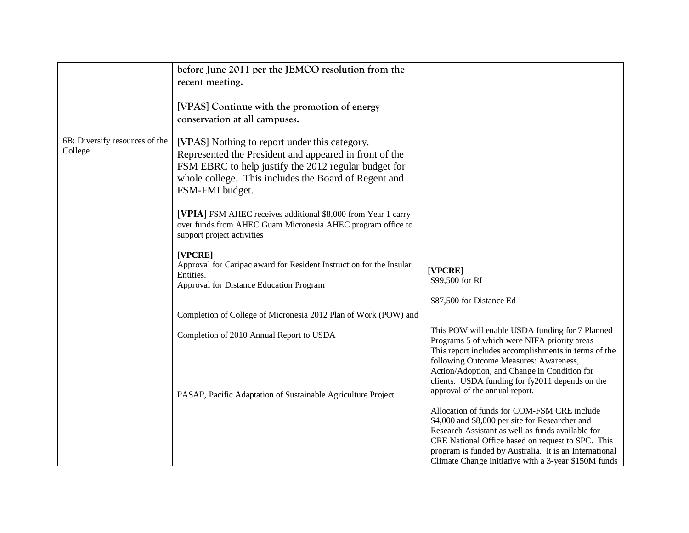|                                           | before June 2011 per the JEMCO resolution from the<br>recent meeting.<br>[VPAS] Continue with the promotion of energy<br>conservation at all campuses.                                                                                                                                                                                                                                                                                                                                                                                             |                                                                                                                                                                                                                                                                                                                                                              |
|-------------------------------------------|----------------------------------------------------------------------------------------------------------------------------------------------------------------------------------------------------------------------------------------------------------------------------------------------------------------------------------------------------------------------------------------------------------------------------------------------------------------------------------------------------------------------------------------------------|--------------------------------------------------------------------------------------------------------------------------------------------------------------------------------------------------------------------------------------------------------------------------------------------------------------------------------------------------------------|
| 6B: Diversify resources of the<br>College | [VPAS] Nothing to report under this category.<br>Represented the President and appeared in front of the<br>FSM EBRC to help justify the 2012 regular budget for<br>whole college. This includes the Board of Regent and<br>FSM-FMI budget.<br>[VPIA] FSM AHEC receives additional \$8,000 from Year 1 carry<br>over funds from AHEC Guam Micronesia AHEC program office to<br>support project activities<br>[VPCRE]<br>Approval for Caripac award for Resident Instruction for the Insular<br>Entities.<br>Approval for Distance Education Program | [VPCRE]<br>\$99,500 for RI<br>\$87,500 for Distance Ed                                                                                                                                                                                                                                                                                                       |
|                                           | Completion of College of Micronesia 2012 Plan of Work (POW) and                                                                                                                                                                                                                                                                                                                                                                                                                                                                                    |                                                                                                                                                                                                                                                                                                                                                              |
|                                           | Completion of 2010 Annual Report to USDA                                                                                                                                                                                                                                                                                                                                                                                                                                                                                                           | This POW will enable USDA funding for 7 Planned<br>Programs 5 of which were NIFA priority areas<br>This report includes accomplishments in terms of the<br>following Outcome Measures: Awareness,<br>Action/Adoption, and Change in Condition for<br>clients. USDA funding for fy2011 depends on the                                                         |
|                                           | PASAP, Pacific Adaptation of Sustainable Agriculture Project                                                                                                                                                                                                                                                                                                                                                                                                                                                                                       | approval of the annual report.<br>Allocation of funds for COM-FSM CRE include<br>\$4,000 and \$8,000 per site for Researcher and<br>Research Assistant as well as funds available for<br>CRE National Office based on request to SPC. This<br>program is funded by Australia. It is an International<br>Climate Change Initiative with a 3-year \$150M funds |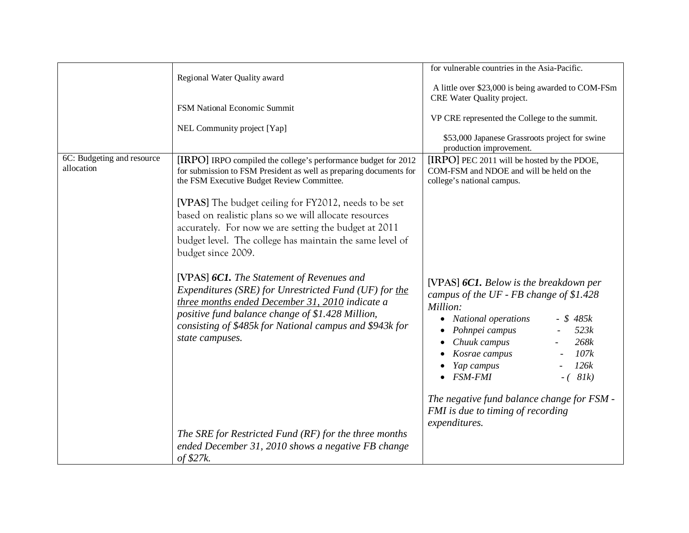|                                          |                                                                                                                                                                                                                                                                                                                                                                                                                                                  | for vulnerable countries in the Asia-Pacific.                                                                                                                                                                                                                              |
|------------------------------------------|--------------------------------------------------------------------------------------------------------------------------------------------------------------------------------------------------------------------------------------------------------------------------------------------------------------------------------------------------------------------------------------------------------------------------------------------------|----------------------------------------------------------------------------------------------------------------------------------------------------------------------------------------------------------------------------------------------------------------------------|
|                                          | Regional Water Quality award                                                                                                                                                                                                                                                                                                                                                                                                                     | A little over \$23,000 is being awarded to COM-FSm<br>CRE Water Quality project.                                                                                                                                                                                           |
|                                          | FSM National Economic Summit                                                                                                                                                                                                                                                                                                                                                                                                                     |                                                                                                                                                                                                                                                                            |
|                                          |                                                                                                                                                                                                                                                                                                                                                                                                                                                  | VP CRE represented the College to the summit.                                                                                                                                                                                                                              |
|                                          | NEL Community project [Yap]                                                                                                                                                                                                                                                                                                                                                                                                                      | \$53,000 Japanese Grassroots project for swine<br>production improvement.                                                                                                                                                                                                  |
| 6C: Budgeting and resource<br>allocation | [IRPO] IRPO compiled the college's performance budget for 2012<br>for submission to FSM President as well as preparing documents for<br>the FSM Executive Budget Review Committee.<br>[VPAS] The budget ceiling for FY2012, needs to be set<br>based on realistic plans so we will allocate resources<br>accurately. For now we are setting the budget at 2011<br>budget level. The college has maintain the same level of<br>budget since 2009. | [IRPO] PEC 2011 will be hosted by the PDOE,<br>COM-FSM and NDOE and will be held on the<br>college's national campus.                                                                                                                                                      |
|                                          | [VPAS] 6C1. The Statement of Revenues and<br>Expenditures (SRE) for Unrestricted Fund (UF) for the<br>three months ended December 31, 2010 indicate a<br>positive fund balance change of \$1.428 Million,<br>consisting of \$485k for National campus and \$943k for<br>state campuses.                                                                                                                                                          | [VPAS] 6C1. Below is the breakdown per<br>campus of the UF - FB change of \$1.428<br>Million:<br>• National operations<br>$-$ \$ 485 $k$<br>Pohnpei campus<br>523k<br>Chuuk campus<br>268k<br>Kosrae campus<br>107k<br>Yap campus<br>126k<br>$\bullet$ FSM-FMI<br>$-(81k)$ |
|                                          | The SRE for Restricted Fund (RF) for the three months<br>ended December 31, 2010 shows a negative FB change<br>of $$27k$ .                                                                                                                                                                                                                                                                                                                       | The negative fund balance change for FSM -<br>FMI is due to timing of recording<br>expenditures.                                                                                                                                                                           |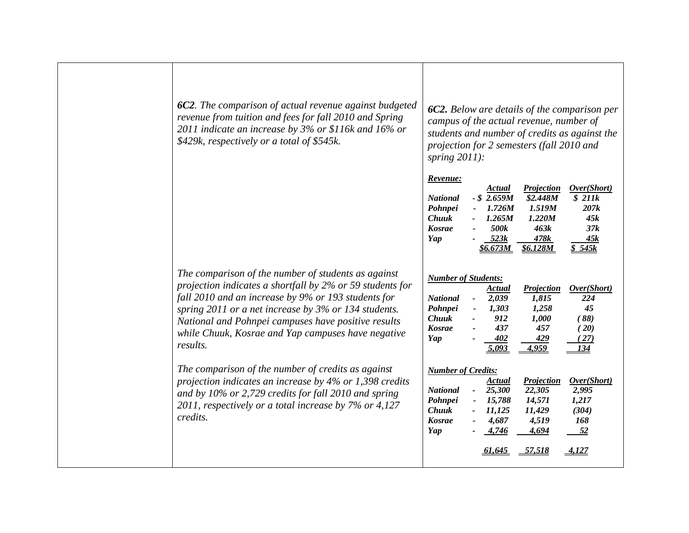| 6C2. The comparison of actual revenue against budgeted<br>revenue from tuition and fees for fall 2010 and Spring<br>2011 indicate an increase by 3% or \$116k and 16% or<br>\$429k, respectively or a total of \$545k.                                                                                                                                   | spring $2011$ :                                                                                  |                                                                                | campus of the actual revenue, number of<br>projection for 2 semesters (fall 2010 and | <b>6C2.</b> Below are details of the comparison per<br>students and number of credits as against the |
|----------------------------------------------------------------------------------------------------------------------------------------------------------------------------------------------------------------------------------------------------------------------------------------------------------------------------------------------------------|--------------------------------------------------------------------------------------------------|--------------------------------------------------------------------------------|--------------------------------------------------------------------------------------|------------------------------------------------------------------------------------------------------|
|                                                                                                                                                                                                                                                                                                                                                          | Revenue:<br><b>National</b><br>Pohnpei<br><b>Chuuk</b><br><b>Kosrae</b><br>Yap                   | Actual<br>$-$ \$ 2.659M<br>1.726M<br>1.265M<br>500k<br>523k<br><u>\$6.673M</u> | <b>Projection</b><br>\$2.448M<br>1.519M<br>1.220M<br>463k<br>478k<br><b>\$6.128M</b> | Over(Short)<br>\$211k<br>207k<br>45k<br>37k<br>45k<br>\$545k                                         |
| The comparison of the number of students as against<br>projection indicates a shortfall by 2% or 59 students for<br>fall 2010 and an increase by 9% or 193 students for<br>spring 2011 or a net increase by 3% or 134 students.<br>National and Pohnpei campuses have positive results<br>while Chuuk, Kosrae and Yap campuses have negative<br>results. | <b>Number of Students:</b><br><b>National</b><br>Pohnpei<br><b>Chuuk</b><br><b>Kosrae</b><br>Yap | Actual<br>2,039<br>1,303<br>912<br>437<br>402<br>5.093                         | Projection<br>1,815<br>1,258<br>1,000<br>457<br>429<br>4,959                         | Over(Short)<br>224<br>45<br>(88)<br>(20)<br>27)                                                      |
| The comparison of the number of credits as against<br>projection indicates an increase by 4% or 1,398 credits<br>and by $10\%$ or 2,729 credits for fall 2010 and spring<br>2011, respectively or a total increase by 7% or 4,127<br>credits.                                                                                                            | <b>Number of Credits:</b><br><b>National</b><br>Pohnpei<br><b>Chuuk</b><br><b>Kosrae</b><br>Yap  | Actual<br>25,300<br>15,788<br>11,125<br>4,687<br>4,746<br><u>61.645</u>        | Projection<br>22,305<br>14,571<br>11,429<br>4,519<br>4,694<br>$-57,518$              | Over(Short)<br>2,995<br>1,217<br>(304)<br>168<br>52<br>4.127                                         |
|                                                                                                                                                                                                                                                                                                                                                          |                                                                                                  |                                                                                |                                                                                      |                                                                                                      |

Т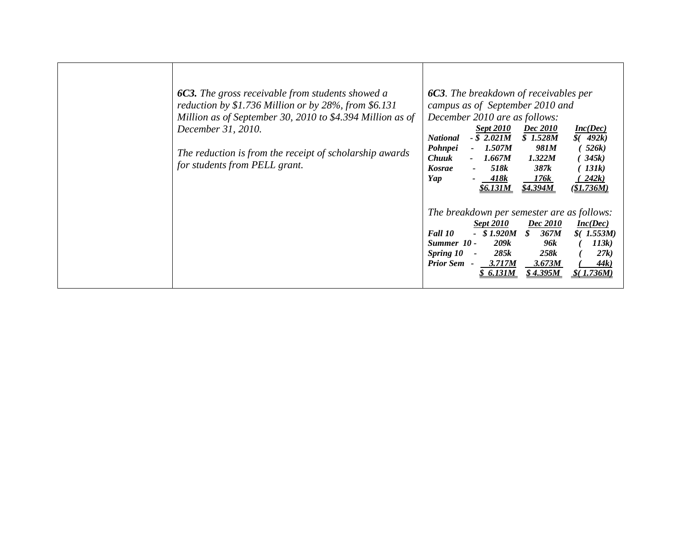| <b>6C3.</b> The gross receivable from students showed a<br>reduction by \$1.736 Million or by 28%, from \$6.131<br>Million as of September 30, 2010 to \$4.394 Million as of<br>December 31, 2010.<br>The reduction is from the receipt of scholarship awards<br>for students from PELL grant. | <b>6C3.</b> The breakdown of receivables per<br>campus as of September 2010 and<br>December 2010 are as follows:<br><b>Sept 2010</b><br><b>Dec</b> 2010<br>Inc(Dec)<br>$-$ \$ 2.021M<br>\$1.528M<br>\$(492k)<br><b>National</b><br>Pohnpei<br>1.507M<br>981M<br>526k)<br><b>Chuuk</b><br>1.322M<br>345k<br>1.667M<br>518k<br>387k<br>131k<br><b>Kosrae</b><br>Yap<br>418k<br>242k<br>176k<br><u>\$6.131M</u><br><u>\$4.394M</u><br>(\$1.736M) |
|------------------------------------------------------------------------------------------------------------------------------------------------------------------------------------------------------------------------------------------------------------------------------------------------|-----------------------------------------------------------------------------------------------------------------------------------------------------------------------------------------------------------------------------------------------------------------------------------------------------------------------------------------------------------------------------------------------------------------------------------------------|
|                                                                                                                                                                                                                                                                                                | The breakdown per semester are as follows:<br>Dec 2010<br>Inc(Dec)<br><b>Sept 2010</b><br>$-$ \$1.920M<br>367M<br>Fall 10<br>\$<br>$$$ (1.553M)<br>209k<br>96k<br>113k)<br>Summer 10 -<br>258k<br>Spring 10<br>285k<br>27k<br>$\blacksquare$<br><b>Prior Sem -</b><br>3.717M<br>3.673M<br>44k)<br>6.131M<br>S 4.395M<br>736M.                                                                                                                 |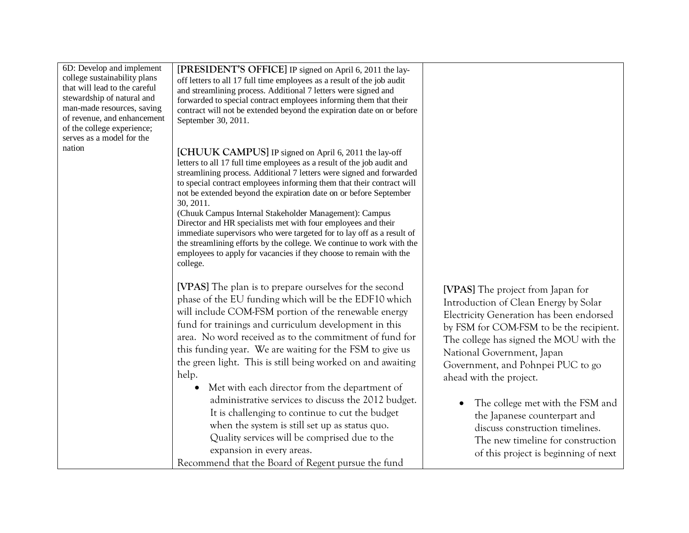| 6D: Develop and implement                                 | [PRESIDENT'S OFFICE] IP signed on April 6, 2011 the lay-                                                                                   |                                          |
|-----------------------------------------------------------|--------------------------------------------------------------------------------------------------------------------------------------------|------------------------------------------|
| college sustainability plans                              | off letters to all 17 full time employees as a result of the job audit                                                                     |                                          |
| that will lead to the careful                             | and streamlining process. Additional 7 letters were signed and                                                                             |                                          |
| stewardship of natural and                                | forwarded to special contract employees informing them that their                                                                          |                                          |
| man-made resources, saving                                | contract will not be extended beyond the expiration date on or before                                                                      |                                          |
| of revenue, and enhancement<br>of the college experience; | September 30, 2011.                                                                                                                        |                                          |
| serves as a model for the                                 |                                                                                                                                            |                                          |
| nation                                                    |                                                                                                                                            |                                          |
|                                                           | [CHUUK CAMPUS] IP signed on April 6, 2011 the lay-off                                                                                      |                                          |
|                                                           | letters to all 17 full time employees as a result of the job audit and                                                                     |                                          |
|                                                           | streamlining process. Additional 7 letters were signed and forwarded                                                                       |                                          |
|                                                           | to special contract employees informing them that their contract will<br>not be extended beyond the expiration date on or before September |                                          |
|                                                           | 30, 2011.                                                                                                                                  |                                          |
|                                                           | (Chuuk Campus Internal Stakeholder Management): Campus                                                                                     |                                          |
|                                                           | Director and HR specialists met with four employees and their                                                                              |                                          |
|                                                           | immediate supervisors who were targeted for to lay off as a result of                                                                      |                                          |
|                                                           | the streamlining efforts by the college. We continue to work with the                                                                      |                                          |
|                                                           | employees to apply for vacancies if they choose to remain with the                                                                         |                                          |
|                                                           | college.                                                                                                                                   |                                          |
|                                                           |                                                                                                                                            |                                          |
|                                                           | [VPAS] The plan is to prepare ourselves for the second                                                                                     | [VPAS] The project from Japan for        |
|                                                           | phase of the EU funding which will be the EDF10 which                                                                                      | Introduction of Clean Energy by Solar    |
|                                                           | will include COM-FSM portion of the renewable energy                                                                                       | Electricity Generation has been endorsed |
|                                                           | fund for trainings and curriculum development in this                                                                                      |                                          |
|                                                           | area. No word received as to the commitment of fund for                                                                                    | by FSM for COM-FSM to be the recipient.  |
|                                                           |                                                                                                                                            | The college has signed the MOU with the  |
|                                                           | this funding year. We are waiting for the FSM to give us                                                                                   | National Government, Japan               |
|                                                           | the green light. This is still being worked on and awaiting                                                                                | Government, and Pohnpei PUC to go        |
|                                                           | help.                                                                                                                                      | ahead with the project.                  |
|                                                           | Met with each director from the department of                                                                                              |                                          |
|                                                           | administrative services to discuss the 2012 budget.                                                                                        | The college met with the FSM and         |
|                                                           | It is challenging to continue to cut the budget                                                                                            |                                          |
|                                                           | when the system is still set up as status quo.                                                                                             | the Japanese counterpart and             |
|                                                           |                                                                                                                                            | discuss construction timelines.          |
|                                                           | Quality services will be comprised due to the                                                                                              | The new timeline for construction        |
|                                                           | expansion in every areas.                                                                                                                  | of this project is beginning of next     |
|                                                           | Recommend that the Board of Regent pursue the fund                                                                                         |                                          |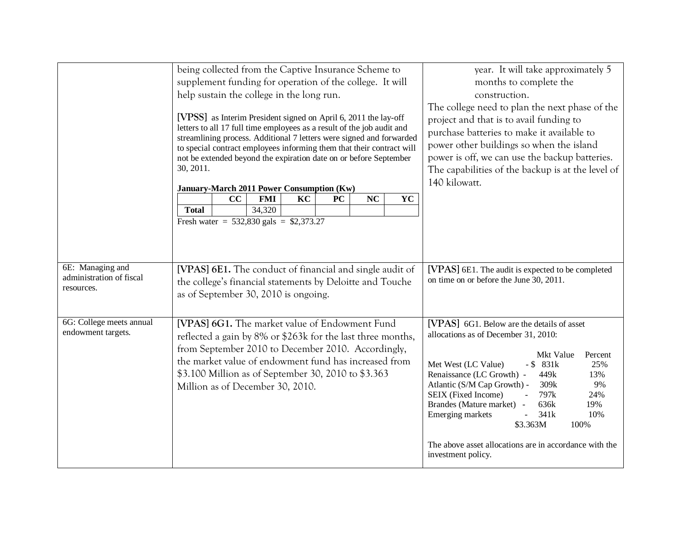|                                                            | being collected from the Captive Insurance Scheme to<br>supplement funding for operation of the college. It will<br>help sustain the college in the long run.<br>[VPSS] as Interim President signed on April 6, 2011 the lay-off                                                                                                                              |          |                                                                                                                                                                                                                                                                   | year. It will take approximately 5<br>months to complete the<br>construction.<br>The college need to plan the next phase of the<br>project and that is to avail funding to<br>purchase batteries to make it available to |    |           |    |                                                                                                                                                                                                                                                                                                                                                                                                                                                                              |  |  |  |
|------------------------------------------------------------|---------------------------------------------------------------------------------------------------------------------------------------------------------------------------------------------------------------------------------------------------------------------------------------------------------------------------------------------------------------|----------|-------------------------------------------------------------------------------------------------------------------------------------------------------------------------------------------------------------------------------------------------------------------|--------------------------------------------------------------------------------------------------------------------------------------------------------------------------------------------------------------------------|----|-----------|----|------------------------------------------------------------------------------------------------------------------------------------------------------------------------------------------------------------------------------------------------------------------------------------------------------------------------------------------------------------------------------------------------------------------------------------------------------------------------------|--|--|--|
|                                                            | letters to all 17 full time employees as a result of the job audit and<br>streamlining process. Additional 7 letters were signed and forwarded<br>to special contract employees informing them that their contract will<br>not be extended beyond the expiration date on or before September<br>30, 2011.<br><b>January-March 2011 Power Consumption (Kw)</b> |          |                                                                                                                                                                                                                                                                   |                                                                                                                                                                                                                          |    |           |    | power other buildings so when the island<br>power is off, we can use the backup batteries.<br>The capabilities of the backup is at the level of<br>140 kilowatt.                                                                                                                                                                                                                                                                                                             |  |  |  |
|                                                            | <b>Total</b>                                                                                                                                                                                                                                                                                                                                                  | $\bf CC$ | <b>FMI</b><br>34,320<br>Fresh water = $532,830$ gals = \$2,373.27                                                                                                                                                                                                 | KC                                                                                                                                                                                                                       | PC | <b>NC</b> | YC |                                                                                                                                                                                                                                                                                                                                                                                                                                                                              |  |  |  |
| 6E: Managing and<br>administration of fiscal<br>resources. | [VPAS] 6E1. The conduct of financial and single audit of                                                                                                                                                                                                                                                                                                      |          | the college's financial statements by Deloitte and Touche<br>as of September 30, 2010 is ongoing.                                                                                                                                                                 |                                                                                                                                                                                                                          |    |           |    | [VPAS] 6E1. The audit is expected to be completed<br>on time on or before the June 30, 2011.                                                                                                                                                                                                                                                                                                                                                                                 |  |  |  |
| 6G: College meets annual<br>endowment targets.             | from September 2010 to December 2010. Accordingly,                                                                                                                                                                                                                                                                                                            |          | [VPAS] 6G1. The market value of Endowment Fund<br>reflected a gain by 8% or \$263k for the last three months,<br>the market value of endowment fund has increased from<br>\$3.100 Million as of September 30, 2010 to \$3.363<br>Million as of December 30, 2010. |                                                                                                                                                                                                                          |    |           |    | [VPAS] 6G1. Below are the details of asset<br>allocations as of December 31, 2010:<br>Mkt Value<br>Percent<br>Met West (LC Value)<br>$-$ \$ 831 $k$<br>25%<br>Renaissance (LC Growth) -<br>449k<br>13%<br>Atlantic (S/M Cap Growth) -<br>309k<br>9%<br>SEIX (Fixed Income)<br>797k<br>24%<br>Brandes (Mature market) -<br>19%<br>636k<br>Emerging markets<br>341k<br>10%<br>\$3.363M<br>100%<br>The above asset allocations are in accordance with the<br>investment policy. |  |  |  |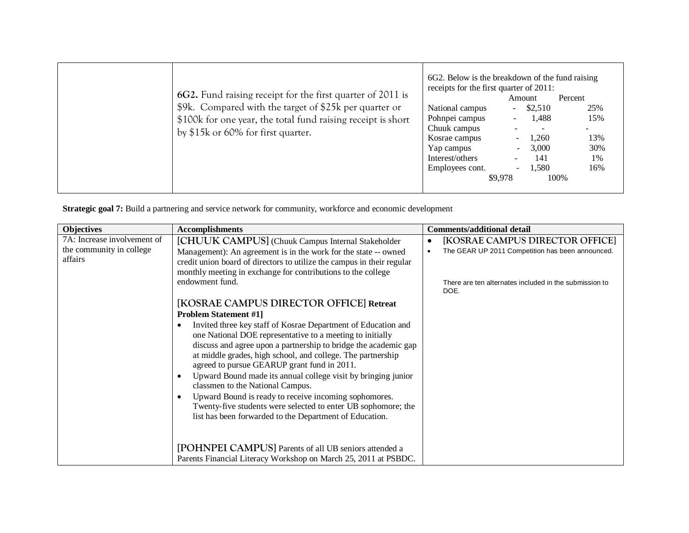| 6G2. Fund raising receipt for the first quarter of 2011 is<br>\$9k. Compared with the target of \$25k per quarter or | 6G2. Below is the breakdown of the fund raising<br>receipts for the first quarter of 2011:<br>National campus  | Amount<br>$-$ \$2,510                                                                                        | Percent<br>25%                         |
|----------------------------------------------------------------------------------------------------------------------|----------------------------------------------------------------------------------------------------------------|--------------------------------------------------------------------------------------------------------------|----------------------------------------|
| \$100k for one year, the total fund raising receipt is short<br>by \$15k or 60% for first quarter.                   | Pohnpei campus<br>Chuuk campus<br>Kosrae campus<br>Yap campus<br>Interest/others<br>Employees cont.<br>\$9,978 | 1,488<br>$\sim$<br>$\overline{\phantom{a}}$<br>1,260<br>3,000<br>$\sim$ 10 $\,$<br>141<br>$\sim$<br>$-1,580$ | 15%<br>13%<br>30%<br>1%<br>16%<br>100% |

**Strategic goal 7:** Build a partnering and service network for community, workforce and economic development

| <b>Objectives</b>                                                  | <b>Accomplishments</b>                                                                                                                                                                                                                                                                                                                                                                                                                                                                                                                                                                                                                                                                                                                                                                                       | <b>Comments/additional detail</b>                                                                                                                     |  |  |
|--------------------------------------------------------------------|--------------------------------------------------------------------------------------------------------------------------------------------------------------------------------------------------------------------------------------------------------------------------------------------------------------------------------------------------------------------------------------------------------------------------------------------------------------------------------------------------------------------------------------------------------------------------------------------------------------------------------------------------------------------------------------------------------------------------------------------------------------------------------------------------------------|-------------------------------------------------------------------------------------------------------------------------------------------------------|--|--|
| 7A: Increase involvement of<br>the community in college<br>affairs | [CHUUK CAMPUS] (Chuuk Campus Internal Stakeholder<br>Management): An agreement is in the work for the state -- owned<br>credit union board of directors to utilize the campus in their regular<br>monthly meeting in exchange for contributions to the college<br>endowment fund.                                                                                                                                                                                                                                                                                                                                                                                                                                                                                                                            | [KOSRAE CAMPUS DIRECTOR OFFICE]<br>The GEAR UP 2011 Competition has been announced.<br>There are ten alternates included in the submission to<br>DOE. |  |  |
|                                                                    | [KOSRAE CAMPUS DIRECTOR OFFICE] Retreat<br><b>Problem Statement #1]</b><br>Invited three key staff of Kosrae Department of Education and<br>one National DOE representative to a meeting to initially<br>discuss and agree upon a partnership to bridge the academic gap<br>at middle grades, high school, and college. The partnership<br>agreed to pursue GEARUP grant fund in 2011.<br>Upward Bound made its annual college visit by bringing junior<br>classmen to the National Campus.<br>Upward Bound is ready to receive incoming sophomores.<br>Twenty-five students were selected to enter UB sophomore; the<br>list has been forwarded to the Department of Education.<br>[POHNPEI CAMPUS] Parents of all UB seniors attended a<br>Parents Financial Literacy Workshop on March 25, 2011 at PSBDC. |                                                                                                                                                       |  |  |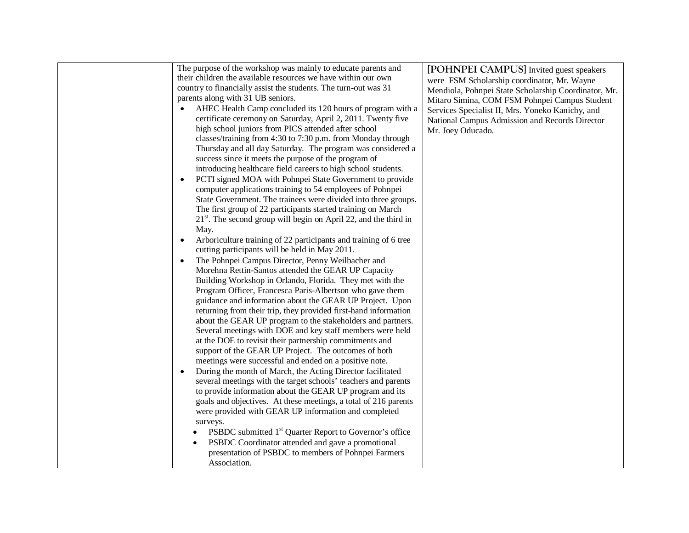| The purpose of the workshop was mainly to educate parents and<br>their children the available resources we have within our own | [POHNPEI CAMPUS] Invited guest speakers<br>were FSM Scholarship coordinator, Mr. Wayne                |
|--------------------------------------------------------------------------------------------------------------------------------|-------------------------------------------------------------------------------------------------------|
| country to financially assist the students. The turn-out was 31                                                                |                                                                                                       |
| parents along with 31 UB seniors.                                                                                              | Mendiola, Pohnpei State Scholarship Coordinator, Mr.<br>Mitaro Simina, COM FSM Pohnpei Campus Student |
| AHEC Health Camp concluded its 120 hours of program with a                                                                     |                                                                                                       |
| certificate ceremony on Saturday, April 2, 2011. Twenty five                                                                   | Services Specialist II, Mrs. Yoneko Kanichy, and                                                      |
| high school juniors from PICS attended after school                                                                            | National Campus Admission and Records Director                                                        |
| classes/training from 4:30 to 7:30 p.m. from Monday through                                                                    | Mr. Joey Oducado.                                                                                     |
| Thursday and all day Saturday. The program was considered a                                                                    |                                                                                                       |
| success since it meets the purpose of the program of                                                                           |                                                                                                       |
| introducing healthcare field careers to high school students.                                                                  |                                                                                                       |
| PCTI signed MOA with Pohnpei State Government to provide<br>$\bullet$                                                          |                                                                                                       |
| computer applications training to 54 employees of Pohnpei                                                                      |                                                                                                       |
| State Government. The trainees were divided into three groups.                                                                 |                                                                                                       |
| The first group of 22 participants started training on March                                                                   |                                                                                                       |
| $21st$ . The second group will begin on April 22, and the third in                                                             |                                                                                                       |
| May.                                                                                                                           |                                                                                                       |
| Arboriculture training of 22 participants and training of 6 tree                                                               |                                                                                                       |
| cutting participants will be held in May 2011.                                                                                 |                                                                                                       |
| The Pohnpei Campus Director, Penny Weilbacher and<br>$\bullet$                                                                 |                                                                                                       |
| Morehna Rettin-Santos attended the GEAR UP Capacity                                                                            |                                                                                                       |
| Building Workshop in Orlando, Florida. They met with the                                                                       |                                                                                                       |
| Program Officer, Francesca Paris-Albertson who gave them                                                                       |                                                                                                       |
| guidance and information about the GEAR UP Project. Upon                                                                       |                                                                                                       |
| returning from their trip, they provided first-hand information                                                                |                                                                                                       |
| about the GEAR UP program to the stakeholders and partners.                                                                    |                                                                                                       |
| Several meetings with DOE and key staff members were held                                                                      |                                                                                                       |
| at the DOE to revisit their partnership commitments and                                                                        |                                                                                                       |
| support of the GEAR UP Project. The outcomes of both                                                                           |                                                                                                       |
| meetings were successful and ended on a positive note.                                                                         |                                                                                                       |
| During the month of March, the Acting Director facilitated                                                                     |                                                                                                       |
| several meetings with the target schools' teachers and parents                                                                 |                                                                                                       |
| to provide information about the GEAR UP program and its                                                                       |                                                                                                       |
| goals and objectives. At these meetings, a total of 216 parents                                                                |                                                                                                       |
| were provided with GEAR UP information and completed                                                                           |                                                                                                       |
| surveys.                                                                                                                       |                                                                                                       |
| PSBDC submitted 1 <sup>st</sup> Quarter Report to Governor's office                                                            |                                                                                                       |
| PSBDC Coordinator attended and gave a promotional                                                                              |                                                                                                       |
| presentation of PSBDC to members of Pohnpei Farmers                                                                            |                                                                                                       |
| Association.                                                                                                                   |                                                                                                       |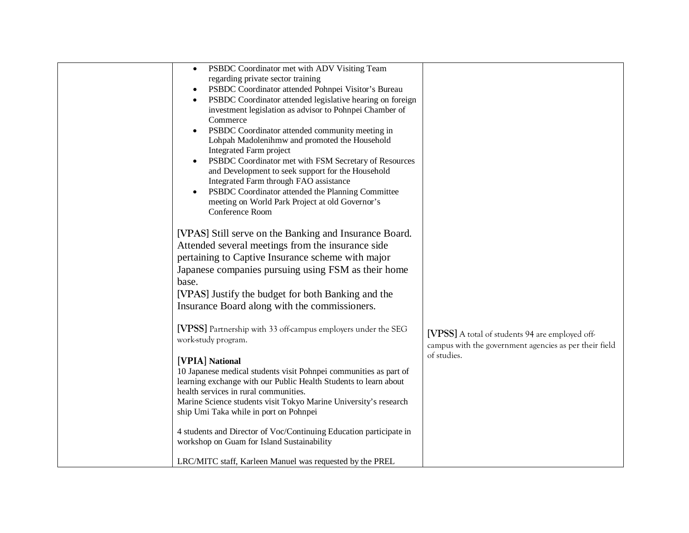| PSBDC Coordinator met with ADV Visiting Team<br>$\bullet$<br>regarding private sector training<br>PSBDC Coordinator attended Pohnpei Visitor's Bureau<br>$\bullet$<br>PSBDC Coordinator attended legislative hearing on foreign<br>investment legislation as advisor to Pohnpei Chamber of<br>Commerce<br>PSBDC Coordinator attended community meeting in<br>Lohpah Madolenihmw and promoted the Household<br>Integrated Farm project<br>PSBDC Coordinator met with FSM Secretary of Resources<br>$\bullet$<br>and Development to seek support for the Household<br>Integrated Farm through FAO assistance<br>PSBDC Coordinator attended the Planning Committee<br>meeting on World Park Project at old Governor's<br>Conference Room                                                                                                                                                                                              |                                                                                                                          |
|------------------------------------------------------------------------------------------------------------------------------------------------------------------------------------------------------------------------------------------------------------------------------------------------------------------------------------------------------------------------------------------------------------------------------------------------------------------------------------------------------------------------------------------------------------------------------------------------------------------------------------------------------------------------------------------------------------------------------------------------------------------------------------------------------------------------------------------------------------------------------------------------------------------------------------|--------------------------------------------------------------------------------------------------------------------------|
| [VPAS] Still serve on the Banking and Insurance Board.<br>Attended several meetings from the insurance side<br>pertaining to Captive Insurance scheme with major<br>Japanese companies pursuing using FSM as their home<br>base.<br>[VPAS] Justify the budget for both Banking and the<br>Insurance Board along with the commissioners.<br>[VPSS] Partnership with 33 off-campus employers under the SEG<br>work-study program.<br>[VPIA] National<br>10 Japanese medical students visit Pohnpei communities as part of<br>learning exchange with our Public Health Students to learn about<br>health services in rural communities.<br>Marine Science students visit Tokyo Marine University's research<br>ship Umi Taka while in port on Pohnpei<br>4 students and Director of Voc/Continuing Education participate in<br>workshop on Guam for Island Sustainability<br>LRC/MITC staff, Karleen Manuel was requested by the PREL | [VPSS] A total of students 94 are employed off-<br>campus with the government agencies as per their field<br>of studies. |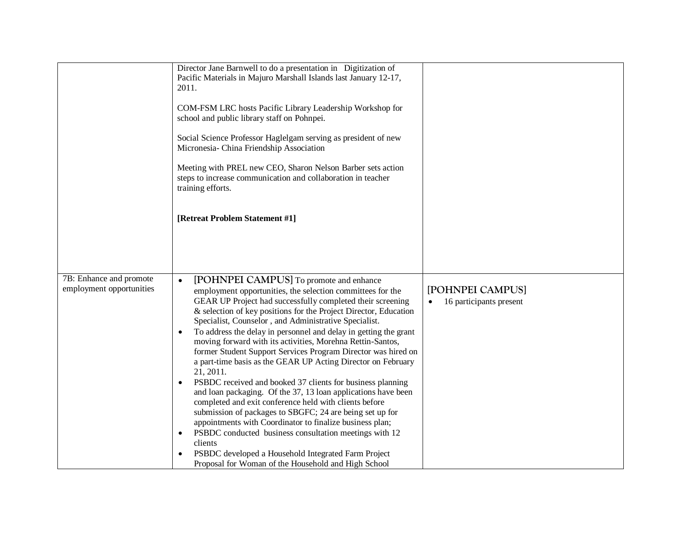|                                                     | Director Jane Barnwell to do a presentation in Digitization of<br>Pacific Materials in Majuro Marshall Islands last January 12-17,<br>2011.<br>COM-FSM LRC hosts Pacific Library Leadership Workshop for<br>school and public library staff on Pohnpei.<br>Social Science Professor Haglelgam serving as president of new<br>Micronesia- China Friendship Association<br>Meeting with PREL new CEO, Sharon Nelson Barber sets action<br>steps to increase communication and collaboration in teacher<br>training efforts.<br>[Retreat Problem Statement #1]                                                                                                                                                                                                                                                                                                                                                                                                                                                                                                                                            |                                             |
|-----------------------------------------------------|--------------------------------------------------------------------------------------------------------------------------------------------------------------------------------------------------------------------------------------------------------------------------------------------------------------------------------------------------------------------------------------------------------------------------------------------------------------------------------------------------------------------------------------------------------------------------------------------------------------------------------------------------------------------------------------------------------------------------------------------------------------------------------------------------------------------------------------------------------------------------------------------------------------------------------------------------------------------------------------------------------------------------------------------------------------------------------------------------------|---------------------------------------------|
| 7B: Enhance and promote<br>employment opportunities | [POHNPEI CAMPUS] To promote and enhance<br>$\bullet$<br>employment opportunities, the selection committees for the<br>GEAR UP Project had successfully completed their screening<br>& selection of key positions for the Project Director, Education<br>Specialist, Counselor, and Administrative Specialist.<br>To address the delay in personnel and delay in getting the grant<br>moving forward with its activities, Morehna Rettin-Santos,<br>former Student Support Services Program Director was hired on<br>a part-time basis as the GEAR UP Acting Director on February<br>21, 2011.<br>PSBDC received and booked 37 clients for business planning<br>and loan packaging. Of the 37, 13 loan applications have been<br>completed and exit conference held with clients before<br>submission of packages to SBGFC; 24 are being set up for<br>appointments with Coordinator to finalize business plan;<br>PSBDC conducted business consultation meetings with 12<br>٠<br>clients<br>PSBDC developed a Household Integrated Farm Project<br>Proposal for Woman of the Household and High School | [POHNPEI CAMPUS]<br>16 participants present |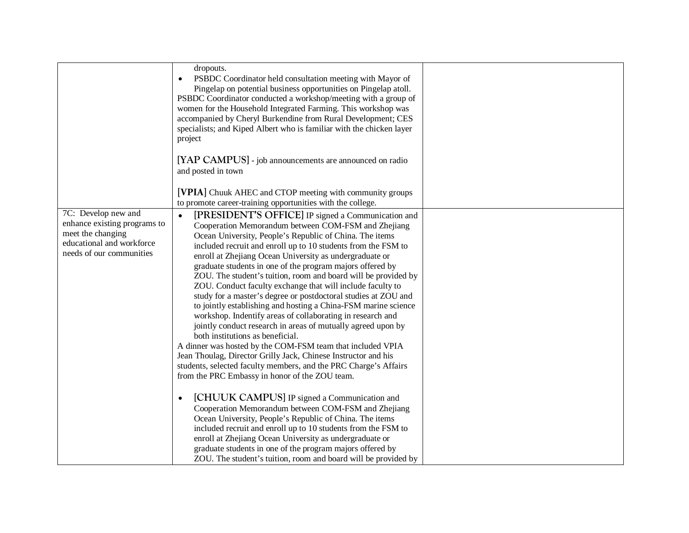|                                                                                                                                   | dropouts.<br>PSBDC Coordinator held consultation meeting with Mayor of<br>Pingelap on potential business opportunities on Pingelap atoll.<br>PSBDC Coordinator conducted a workshop/meeting with a group of<br>women for the Household Integrated Farming. This workshop was<br>accompanied by Cheryl Burkendine from Rural Development; CES<br>specialists; and Kiped Albert who is familiar with the chicken layer<br>project                                                                                                                                                                                                                                                                                                                                                                                                                                                                                                                                                                                                                                        |  |
|-----------------------------------------------------------------------------------------------------------------------------------|------------------------------------------------------------------------------------------------------------------------------------------------------------------------------------------------------------------------------------------------------------------------------------------------------------------------------------------------------------------------------------------------------------------------------------------------------------------------------------------------------------------------------------------------------------------------------------------------------------------------------------------------------------------------------------------------------------------------------------------------------------------------------------------------------------------------------------------------------------------------------------------------------------------------------------------------------------------------------------------------------------------------------------------------------------------------|--|
|                                                                                                                                   | [YAP CAMPUS] - job announcements are announced on radio<br>and posted in town                                                                                                                                                                                                                                                                                                                                                                                                                                                                                                                                                                                                                                                                                                                                                                                                                                                                                                                                                                                          |  |
|                                                                                                                                   | [VPIA] Chuuk AHEC and CTOP meeting with community groups<br>to promote career-training opportunities with the college.                                                                                                                                                                                                                                                                                                                                                                                                                                                                                                                                                                                                                                                                                                                                                                                                                                                                                                                                                 |  |
| 7C: Develop new and<br>enhance existing programs to<br>meet the changing<br>educational and workforce<br>needs of our communities | [PRESIDENT'S OFFICE] IP signed a Communication and<br>$\bullet$<br>Cooperation Memorandum between COM-FSM and Zhejiang<br>Ocean University, People's Republic of China. The items<br>included recruit and enroll up to 10 students from the FSM to<br>enroll at Zhejiang Ocean University as undergraduate or<br>graduate students in one of the program majors offered by<br>ZOU. The student's tuition, room and board will be provided by<br>ZOU. Conduct faculty exchange that will include faculty to<br>study for a master's degree or postdoctoral studies at ZOU and<br>to jointly establishing and hosting a China-FSM marine science<br>workshop. Indentify areas of collaborating in research and<br>jointly conduct research in areas of mutually agreed upon by<br>both institutions as beneficial.<br>A dinner was hosted by the COM-FSM team that included VPIA<br>Jean Thoulag, Director Grilly Jack, Chinese Instructor and his<br>students, selected faculty members, and the PRC Charge's Affairs<br>from the PRC Embassy in honor of the ZOU team. |  |
|                                                                                                                                   | [CHUUK CAMPUS] IP signed a Communication and<br>$\bullet$<br>Cooperation Memorandum between COM-FSM and Zhejiang<br>Ocean University, People's Republic of China. The items<br>included recruit and enroll up to 10 students from the FSM to<br>enroll at Zhejiang Ocean University as undergraduate or<br>graduate students in one of the program majors offered by<br>ZOU. The student's tuition, room and board will be provided by                                                                                                                                                                                                                                                                                                                                                                                                                                                                                                                                                                                                                                 |  |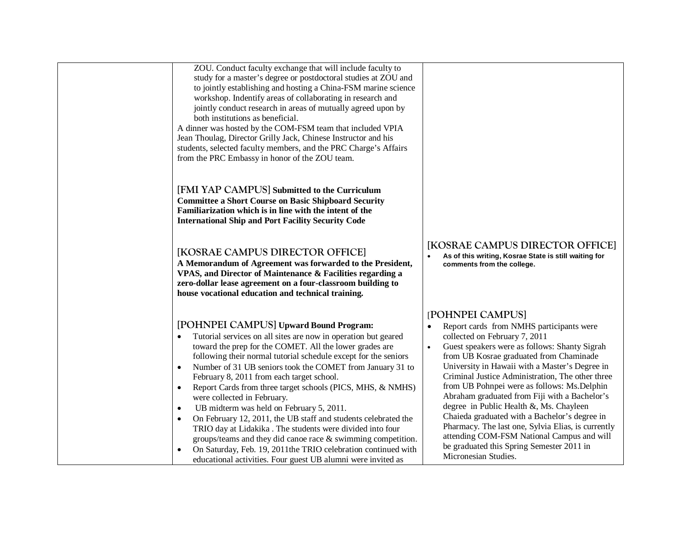| ZOU. Conduct faculty exchange that will include faculty to<br>study for a master's degree or postdoctoral studies at ZOU and<br>to jointly establishing and hosting a China-FSM marine science<br>workshop. Indentify areas of collaborating in research and<br>jointly conduct research in areas of mutually agreed upon by<br>both institutions as beneficial.<br>A dinner was hosted by the COM-FSM team that included VPIA<br>Jean Thoulag, Director Grilly Jack, Chinese Instructor and his<br>students, selected faculty members, and the PRC Charge's Affairs<br>from the PRC Embassy in honor of the ZOU team.                                                                                                                                                                                                                                                |                                                                                                                                                                                                                                                                                                                                                                                                                                                                                                                                                                                                                                                                                   |
|-----------------------------------------------------------------------------------------------------------------------------------------------------------------------------------------------------------------------------------------------------------------------------------------------------------------------------------------------------------------------------------------------------------------------------------------------------------------------------------------------------------------------------------------------------------------------------------------------------------------------------------------------------------------------------------------------------------------------------------------------------------------------------------------------------------------------------------------------------------------------|-----------------------------------------------------------------------------------------------------------------------------------------------------------------------------------------------------------------------------------------------------------------------------------------------------------------------------------------------------------------------------------------------------------------------------------------------------------------------------------------------------------------------------------------------------------------------------------------------------------------------------------------------------------------------------------|
| [FMI YAP CAMPUS] Submitted to the Curriculum<br><b>Committee a Short Course on Basic Shipboard Security</b><br>Familiarization which is in line with the intent of the<br><b>International Ship and Port Facility Security Code</b>                                                                                                                                                                                                                                                                                                                                                                                                                                                                                                                                                                                                                                   |                                                                                                                                                                                                                                                                                                                                                                                                                                                                                                                                                                                                                                                                                   |
| [KOSRAE CAMPUS DIRECTOR OFFICE]<br>A Memorandum of Agreement was forwarded to the President,<br>VPAS, and Director of Maintenance & Facilities regarding a<br>zero-dollar lease agreement on a four-classroom building to<br>house vocational education and technical training.                                                                                                                                                                                                                                                                                                                                                                                                                                                                                                                                                                                       | [KOSRAE CAMPUS DIRECTOR OFFICE]<br>As of this writing, Kosrae State is still waiting for<br>comments from the college.                                                                                                                                                                                                                                                                                                                                                                                                                                                                                                                                                            |
| [POHNPEI CAMPUS] Upward Bound Program:<br>Tutorial services on all sites are now in operation but geared<br>toward the prep for the COMET. All the lower grades are<br>following their normal tutorial schedule except for the seniors<br>Number of 31 UB seniors took the COMET from January 31 to<br>$\bullet$<br>February 8, 2011 from each target school.<br>Report Cards from three target schools (PICS, MHS, & NMHS)<br>$\bullet$<br>were collected in February.<br>UB midterm was held on February 5, 2011.<br>$\bullet$<br>On February 12, 2011, the UB staff and students celebrated the<br>TRIO day at Lidakika . The students were divided into four<br>groups/teams and they did canoe race $\&$ swimming competition.<br>On Saturday, Feb. 19, 2011 the TRIO celebration continued with<br>educational activities. Four guest UB alumni were invited as | [POHNPEI CAMPUS]<br>Report cards from NMHS participants were<br>collected on February 7, 2011<br>Guest speakers were as follows: Shanty Sigrah<br>$\bullet$<br>from UB Kosrae graduated from Chaminade<br>University in Hawaii with a Master's Degree in<br>Criminal Justice Administration, The other three<br>from UB Pohnpei were as follows: Ms.Delphin<br>Abraham graduated from Fiji with a Bachelor's<br>degree in Public Health &, Ms. Chayleen<br>Chaieda graduated with a Bachelor's degree in<br>Pharmacy. The last one, Sylvia Elias, is currently<br>attending COM-FSM National Campus and will<br>be graduated this Spring Semester 2011 in<br>Micronesian Studies. |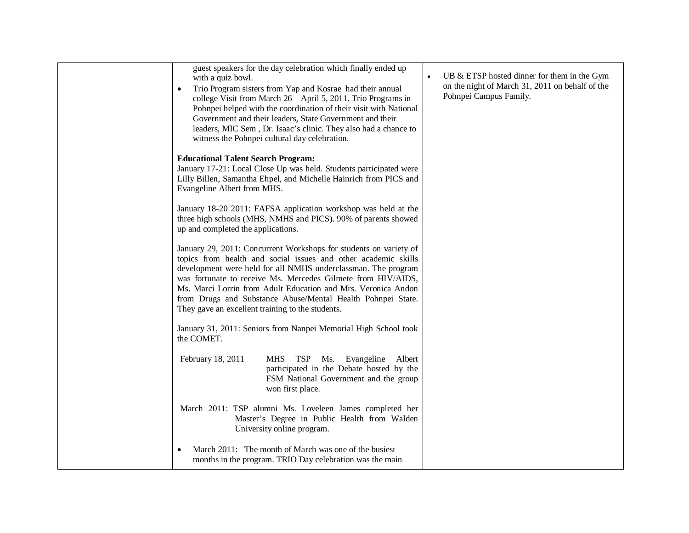| guest speakers for the day celebration which finally ended up<br>with a quiz bowl.<br>Trio Program sisters from Yap and Kosrae had their annual<br>$\bullet$<br>college Visit from March 26 - April 5, 2011. Trio Programs in<br>Pohnpei helped with the coordination of their visit with National<br>Government and their leaders, State Government and their<br>leaders, MIC Sem, Dr. Isaac's clinic. They also had a chance to<br>witness the Pohnpei cultural day celebration. | UB & ETSP hosted dinner for them in the Gym<br>on the night of March 31, 2011 on behalf of the<br>Pohnpei Campus Family. |
|------------------------------------------------------------------------------------------------------------------------------------------------------------------------------------------------------------------------------------------------------------------------------------------------------------------------------------------------------------------------------------------------------------------------------------------------------------------------------------|--------------------------------------------------------------------------------------------------------------------------|
| <b>Educational Talent Search Program:</b><br>January 17-21: Local Close Up was held. Students participated were<br>Lilly Billen, Samantha Ehpel, and Michelle Hainrich from PICS and<br>Evangeline Albert from MHS.                                                                                                                                                                                                                                                                |                                                                                                                          |
| January 18-20 2011: FAFSA application workshop was held at the<br>three high schools (MHS, NMHS and PICS). 90% of parents showed<br>up and completed the applications.                                                                                                                                                                                                                                                                                                             |                                                                                                                          |
| January 29, 2011: Concurrent Workshops for students on variety of<br>topics from health and social issues and other academic skills<br>development were held for all NMHS underclassman. The program<br>was fortunate to receive Ms. Mercedes Gilmete from HIV/AIDS,<br>Ms. Marci Lorrin from Adult Education and Mrs. Veronica Andon<br>from Drugs and Substance Abuse/Mental Health Pohnpei State.<br>They gave an excellent training to the students.                           |                                                                                                                          |
| January 31, 2011: Seniors from Nanpei Memorial High School took<br>the COMET.                                                                                                                                                                                                                                                                                                                                                                                                      |                                                                                                                          |
| MHS TSP Ms. Evangeline Albert<br>February 18, 2011<br>participated in the Debate hosted by the<br>FSM National Government and the group<br>won first place.                                                                                                                                                                                                                                                                                                                        |                                                                                                                          |
| March 2011: TSP alumni Ms. Loveleen James completed her<br>Master's Degree in Public Health from Walden<br>University online program.                                                                                                                                                                                                                                                                                                                                              |                                                                                                                          |
| March 2011: The month of March was one of the busiest<br>$\bullet$<br>months in the program. TRIO Day celebration was the main                                                                                                                                                                                                                                                                                                                                                     |                                                                                                                          |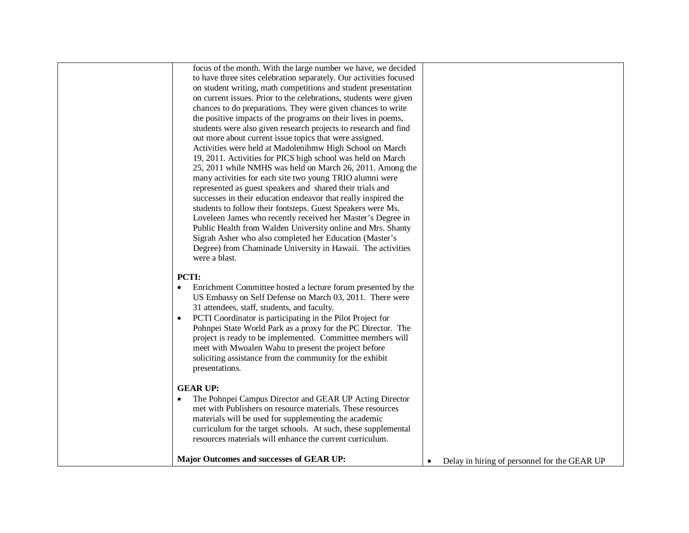| focus of the month. With the large number we have, we decided      |                                              |
|--------------------------------------------------------------------|----------------------------------------------|
| to have three sites celebration separately. Our activities focused |                                              |
| on student writing, math competitions and student presentation     |                                              |
| on current issues. Prior to the celebrations, students were given  |                                              |
| chances to do preparations. They were given chances to write       |                                              |
| the positive impacts of the programs on their lives in poems,      |                                              |
| students were also given research projects to research and find    |                                              |
| out more about current issue topics that were assigned.            |                                              |
| Activities were held at Madolenihmw High School on March           |                                              |
| 19, 2011. Activities for PICS high school was held on March        |                                              |
| 25, 2011 while NMHS was held on March 26, 2011. Among the          |                                              |
| many activities for each site two young TRIO alumni were           |                                              |
| represented as guest speakers and shared their trials and          |                                              |
| successes in their education endeavor that really inspired the     |                                              |
| students to follow their footsteps. Guest Speakers were Ms.        |                                              |
| Loveleen James who recently received her Master's Degree in        |                                              |
| Public Health from Walden University online and Mrs. Shanty        |                                              |
| Sigrah Asher who also completed her Education (Master's            |                                              |
| Degree) from Chaminade University in Hawaii. The activities        |                                              |
| were a blast.                                                      |                                              |
|                                                                    |                                              |
| <b>PCTI:</b>                                                       |                                              |
| Enrichment Committee hosted a lecture forum presented by the<br>٠  |                                              |
| US Embassy on Self Defense on March 03, 2011. There were           |                                              |
| 31 attendees, staff, students, and faculty.                        |                                              |
| PCTI Coordinator is participating in the Pilot Project for         |                                              |
| Pohnpei State World Park as a proxy for the PC Director. The       |                                              |
| project is ready to be implemented. Committee members will         |                                              |
| meet with Mwoalen Wahu to present the project before               |                                              |
| soliciting assistance from the community for the exhibit           |                                              |
| presentations.                                                     |                                              |
| <b>GEAR UP:</b>                                                    |                                              |
| The Pohnpei Campus Director and GEAR UP Acting Director            |                                              |
| met with Publishers on resource materials. These resources         |                                              |
| materials will be used for supplementing the academic              |                                              |
| curriculum for the target schools. At such, these supplemental     |                                              |
| resources materials will enhance the current curriculum.           |                                              |
|                                                                    |                                              |
| <b>Major Outcomes and successes of GEAR UP:</b>                    | Delay in hiring of personnel for the GEAR UP |
|                                                                    |                                              |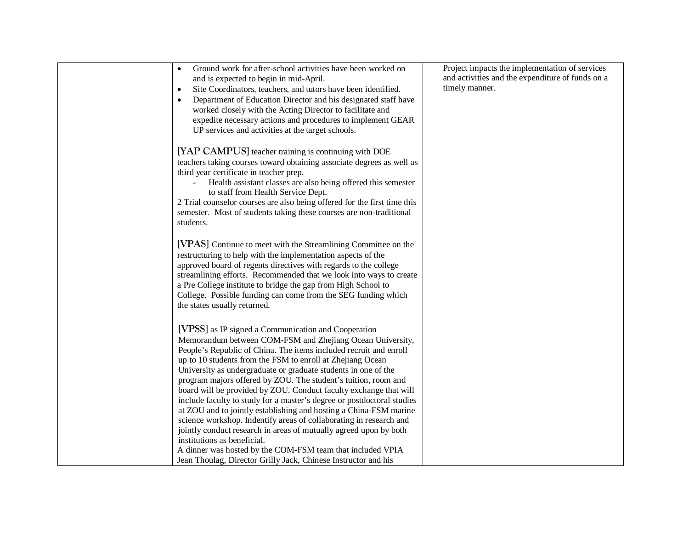| Ground work for after-school activities have been worked on<br>$\bullet$<br>and is expected to begin in mid-April.<br>Site Coordinators, teachers, and tutors have been identified.<br>$\bullet$<br>Department of Education Director and his designated staff have<br>$\bullet$<br>worked closely with the Acting Director to facilitate and<br>expedite necessary actions and procedures to implement GEAR<br>UP services and activities at the target schools.                                                                                                                                                                                                                                                                                                                                                                                                                                                      | Project impacts the implementation of services<br>and activities and the expenditure of funds on a<br>timely manner. |
|-----------------------------------------------------------------------------------------------------------------------------------------------------------------------------------------------------------------------------------------------------------------------------------------------------------------------------------------------------------------------------------------------------------------------------------------------------------------------------------------------------------------------------------------------------------------------------------------------------------------------------------------------------------------------------------------------------------------------------------------------------------------------------------------------------------------------------------------------------------------------------------------------------------------------|----------------------------------------------------------------------------------------------------------------------|
| [YAP CAMPUS] teacher training is continuing with DOE<br>teachers taking courses toward obtaining associate degrees as well as<br>third year certificate in teacher prep.<br>Health assistant classes are also being offered this semester<br>to staff from Health Service Dept.<br>2 Trial counselor courses are also being offered for the first time this<br>semester. Most of students taking these courses are non-traditional<br>students.                                                                                                                                                                                                                                                                                                                                                                                                                                                                       |                                                                                                                      |
| [VPAS] Continue to meet with the Streamlining Committee on the<br>restructuring to help with the implementation aspects of the<br>approved board of regents directives with regards to the college<br>streamlining efforts. Recommended that we look into ways to create<br>a Pre College institute to bridge the gap from High School to<br>College. Possible funding can come from the SEG funding which<br>the states usually returned.                                                                                                                                                                                                                                                                                                                                                                                                                                                                            |                                                                                                                      |
| [VPSS] as IP signed a Communication and Cooperation<br>Memorandum between COM-FSM and Zhejiang Ocean University,<br>People's Republic of China. The items included recruit and enroll<br>up to 10 students from the FSM to enroll at Zhejiang Ocean<br>University as undergraduate or graduate students in one of the<br>program majors offered by ZOU. The student's tuition, room and<br>board will be provided by ZOU. Conduct faculty exchange that will<br>include faculty to study for a master's degree or postdoctoral studies<br>at ZOU and to jointly establishing and hosting a China-FSM marine<br>science workshop. Indentify areas of collaborating in research and<br>jointly conduct research in areas of mutually agreed upon by both<br>institutions as beneficial.<br>A dinner was hosted by the COM-FSM team that included VPIA<br>Jean Thoulag, Director Grilly Jack, Chinese Instructor and his |                                                                                                                      |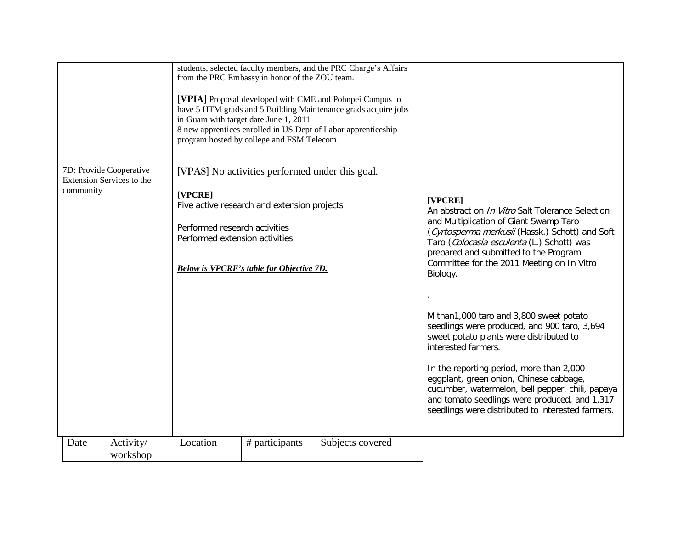|           |                                                      |                                                                            | from the PRC Embassy in honor of the ZOU team.<br>in Guam with target date June 1, 2011<br>program hosted by college and FSM Telecom.             | students, selected faculty members, and the PRC Charge's Affairs<br>[VPIA] Proposal developed with CME and Pohnpei Campus to<br>have 5 HTM grads and 5 Building Maintenance grads acquire jobs<br>8 new apprentices enrolled in US Dept of Labor apprenticeship |                                                                                                                                                                                                                                                                                                                                                                                                                                                                                                                                                                                                                                                                                                                                |
|-----------|------------------------------------------------------|----------------------------------------------------------------------------|---------------------------------------------------------------------------------------------------------------------------------------------------|-----------------------------------------------------------------------------------------------------------------------------------------------------------------------------------------------------------------------------------------------------------------|--------------------------------------------------------------------------------------------------------------------------------------------------------------------------------------------------------------------------------------------------------------------------------------------------------------------------------------------------------------------------------------------------------------------------------------------------------------------------------------------------------------------------------------------------------------------------------------------------------------------------------------------------------------------------------------------------------------------------------|
| community | 7D: Provide Cooperative<br>Extension Services to the | [VPCRE]<br>Performed research activities<br>Performed extension activities | [VPAS] No activities performed under this goal.<br>Five active research and extension projects<br><b>Below is VPCRE's table for Objective 7D.</b> |                                                                                                                                                                                                                                                                 | [VPCRE]<br>An abstract on <i>In Vitro</i> Salt Tolerance Selection<br>and Multiplication of Giant Swamp Taro<br>(Cyrtosperma merkusii (Hassk.) Schott) and Soft<br>Taro (Colocasia esculenta (L.) Schott) was<br>prepared and submitted to the Program<br>Committee for the 2011 Meeting on In Vitro<br>Biology.<br>M than1,000 taro and 3,800 sweet potato<br>seedlings were produced, and 900 taro, 3,694<br>sweet potato plants were distributed to<br>interested farmers.<br>In the reporting period, more than 2,000<br>eggplant, green onion, Chinese cabbage,<br>cucumber, watermelon, bell pepper, chili, papaya<br>and tomato seedlings were produced, and 1,317<br>seedlings were distributed to interested farmers. |
| Date      | Activity/<br>workshop                                | Location                                                                   | # participants                                                                                                                                    | Subjects covered                                                                                                                                                                                                                                                |                                                                                                                                                                                                                                                                                                                                                                                                                                                                                                                                                                                                                                                                                                                                |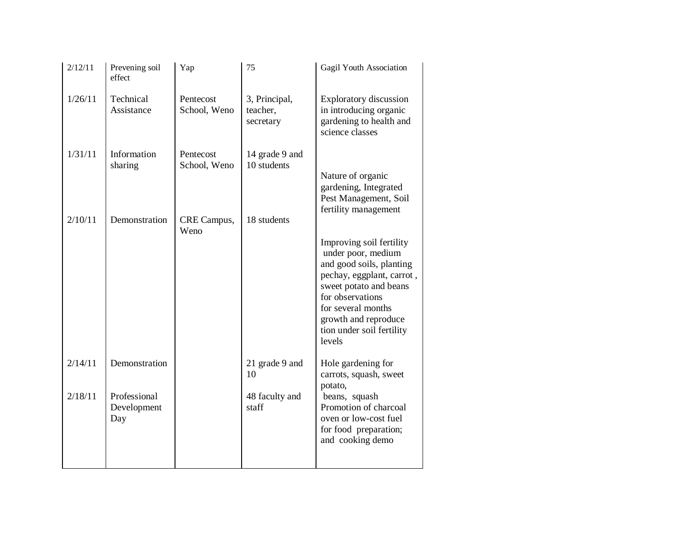| 2/12/11 | Prevening soil<br>effect           | Yap                       | 75                                     | Gagil Youth Association                                                                                                                                                                                                                    |
|---------|------------------------------------|---------------------------|----------------------------------------|--------------------------------------------------------------------------------------------------------------------------------------------------------------------------------------------------------------------------------------------|
| 1/26/11 | Technical<br>Assistance            | Pentecost<br>School, Weno | 3, Principal,<br>teacher,<br>secretary | <b>Exploratory discussion</b><br>in introducing organic<br>gardening to health and<br>science classes                                                                                                                                      |
| 1/31/11 | Information<br>sharing             | Pentecost<br>School, Weno | 14 grade 9 and<br>10 students          | Nature of organic<br>gardening, Integrated<br>Pest Management, Soil<br>fertility management                                                                                                                                                |
| 2/10/11 | Demonstration                      | CRE Campus,<br>Weno       | 18 students                            | Improving soil fertility<br>under poor, medium<br>and good soils, planting<br>pechay, eggplant, carrot,<br>sweet potato and beans<br>for observations<br>for several months<br>growth and reproduce<br>tion under soil fertility<br>levels |
| 2/14/11 | Demonstration                      |                           | 21 grade 9 and<br>10                   | Hole gardening for<br>carrots, squash, sweet<br>potato,                                                                                                                                                                                    |
| 2/18/11 | Professional<br>Development<br>Day |                           | 48 faculty and<br>staff                | beans, squash<br>Promotion of charcoal<br>oven or low-cost fuel<br>for food preparation;<br>and cooking demo                                                                                                                               |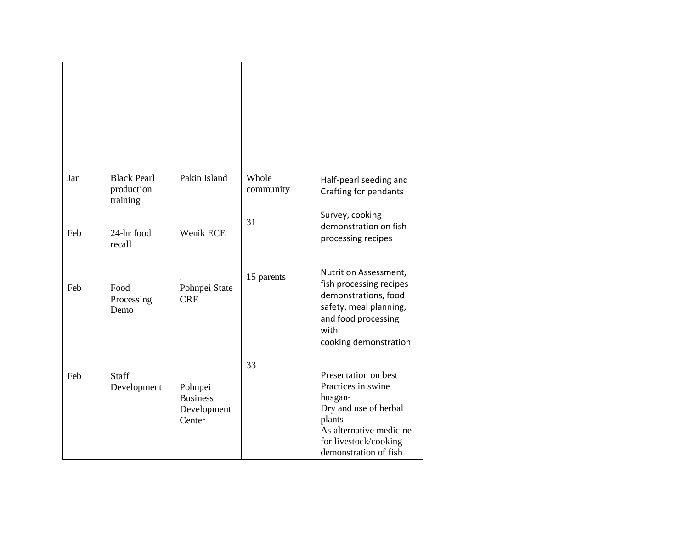| Jan | <b>Black Pearl</b><br>production<br>training | Pakin Island                                        | Whole<br>community | Half-pearl seeding and<br>Crafting for pendants                                                                                                                       |
|-----|----------------------------------------------|-----------------------------------------------------|--------------------|-----------------------------------------------------------------------------------------------------------------------------------------------------------------------|
| Feb | 24-hr food<br>recall                         | Wenik ECE                                           | 31                 | Survey, cooking<br>demonstration on fish<br>processing recipes                                                                                                        |
| Feb | Food<br>Processing<br>Demo                   | Pohnpei State<br><b>CRE</b>                         | 15 parents         | Nutrition Assessment,<br>fish processing recipes<br>demonstrations, food<br>safety, meal planning,<br>and food processing<br>with<br>cooking demonstration            |
| Feb | Staff<br>Development                         | Pohnpei<br><b>Business</b><br>Development<br>Center | 33                 | Presentation on best<br>Practices in swine<br>husgan-<br>Dry and use of herbal<br>plants<br>As alternative medicine<br>for livestock/cooking<br>demonstration of fish |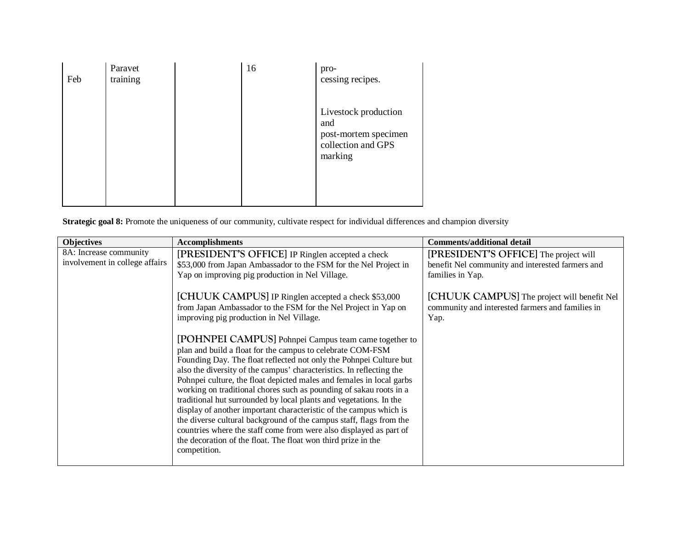| Feb | Paravet<br>training | 16 | pro-<br>cessing recipes.                                                             |
|-----|---------------------|----|--------------------------------------------------------------------------------------|
|     |                     |    | Livestock production<br>and<br>post-mortem specimen<br>collection and GPS<br>marking |

**Strategic goal 8:** Promote the uniqueness of our community, cultivate respect for individual differences and champion diversity

| <b>Objectives</b>              | <b>Accomplishments</b>                                                                                                                                                                                                                                                                                                                                                                                                                                                                                                                                                                                                                                                                                                                                                                                                                                                                                                                                         | <b>Comments/additional detail</b>                                                                       |
|--------------------------------|----------------------------------------------------------------------------------------------------------------------------------------------------------------------------------------------------------------------------------------------------------------------------------------------------------------------------------------------------------------------------------------------------------------------------------------------------------------------------------------------------------------------------------------------------------------------------------------------------------------------------------------------------------------------------------------------------------------------------------------------------------------------------------------------------------------------------------------------------------------------------------------------------------------------------------------------------------------|---------------------------------------------------------------------------------------------------------|
| 8A: Increase community         | [PRESIDENT'S OFFICE] IP Ringlen accepted a check                                                                                                                                                                                                                                                                                                                                                                                                                                                                                                                                                                                                                                                                                                                                                                                                                                                                                                               | [PRESIDENT'S OFFICE] The project will                                                                   |
| involvement in college affairs | \$53,000 from Japan Ambassador to the FSM for the Nel Project in                                                                                                                                                                                                                                                                                                                                                                                                                                                                                                                                                                                                                                                                                                                                                                                                                                                                                               | benefit Nel community and interested farmers and                                                        |
|                                | Yap on improving pig production in Nel Village.                                                                                                                                                                                                                                                                                                                                                                                                                                                                                                                                                                                                                                                                                                                                                                                                                                                                                                                | families in Yap.                                                                                        |
|                                | [CHUUK CAMPUS] IP Ringlen accepted a check \$53,000<br>from Japan Ambassador to the FSM for the Nel Project in Yap on<br>improving pig production in Nel Village.<br>[POHNPEI CAMPUS] Pohnpei Campus team came together to<br>plan and build a float for the campus to celebrate COM-FSM<br>Founding Day. The float reflected not only the Pohnpei Culture but<br>also the diversity of the campus' characteristics. In reflecting the<br>Pohnpei culture, the float depicted males and females in local garbs<br>working on traditional chores such as pounding of sakau roots in a<br>traditional hut surrounded by local plants and vegetations. In the<br>display of another important characteristic of the campus which is<br>the diverse cultural background of the campus staff, flags from the<br>countries where the staff come from were also displayed as part of<br>the decoration of the float. The float won third prize in the<br>competition. | [CHUUK CAMPUS] The project will benefit Nel<br>community and interested farmers and families in<br>Yap. |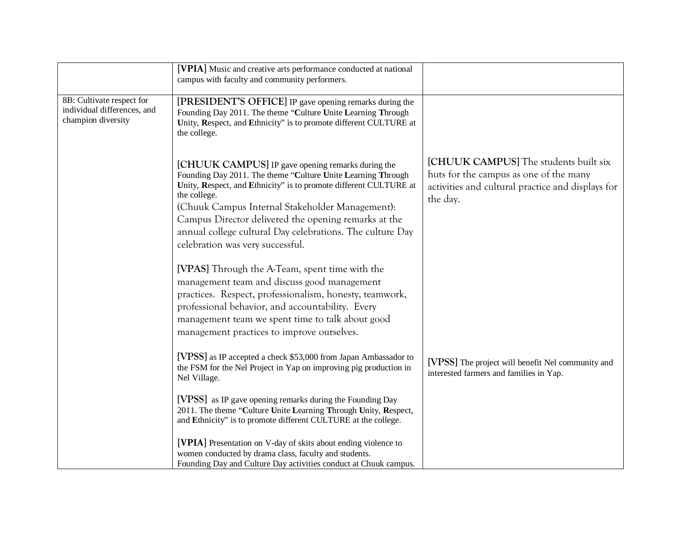|                                                                                | [VPIA] Music and creative arts performance conducted at national<br>campus with faculty and community performers.                                                                                                                                                                                                                                                                                                  |                                                                                                                                                  |
|--------------------------------------------------------------------------------|--------------------------------------------------------------------------------------------------------------------------------------------------------------------------------------------------------------------------------------------------------------------------------------------------------------------------------------------------------------------------------------------------------------------|--------------------------------------------------------------------------------------------------------------------------------------------------|
| 8B: Cultivate respect for<br>individual differences, and<br>champion diversity | [PRESIDENT'S OFFICE] IP gave opening remarks during the<br>Founding Day 2011. The theme "Culture Unite Learning Through<br>Unity, Respect, and Ethnicity" is to promote different CULTURE at<br>the college.                                                                                                                                                                                                       |                                                                                                                                                  |
|                                                                                | [CHUUK CAMPUS] IP gave opening remarks during the<br>Founding Day 2011. The theme "Culture Unite Learning Through<br>Unity, Respect, and Ethnicity" is to promote different CULTURE at<br>the college.<br>(Chuuk Campus Internal Stakeholder Management):<br>Campus Director delivered the opening remarks at the<br>annual college cultural Day celebrations. The culture Day<br>celebration was very successful. | [CHUUK CAMPUS] The students built six<br>huts for the campus as one of the many<br>activities and cultural practice and displays for<br>the day. |
|                                                                                | [VPAS] Through the A-Team, spent time with the<br>management team and discuss good management<br>practices. Respect, professionalism, honesty, teamwork,<br>professional behavior, and accountability. Every<br>management team we spent time to talk about good<br>management practices to improve ourselves.                                                                                                     |                                                                                                                                                  |
|                                                                                | [VPSS] as IP accepted a check \$53,000 from Japan Ambassador to<br>the FSM for the Nel Project in Yap on improving pig production in<br>Nel Village.                                                                                                                                                                                                                                                               | [VPSS] The project will benefit Nel community and<br>interested farmers and families in Yap.                                                     |
|                                                                                | [VPSS] as IP gave opening remarks during the Founding Day<br>2011. The theme "Culture Unite Learning Through Unity, Respect,<br>and Ethnicity" is to promote different CULTURE at the college.                                                                                                                                                                                                                     |                                                                                                                                                  |
|                                                                                | [VPIA] Presentation on V-day of skits about ending violence to<br>women conducted by drama class, faculty and students.<br>Founding Day and Culture Day activities conduct at Chuuk campus.                                                                                                                                                                                                                        |                                                                                                                                                  |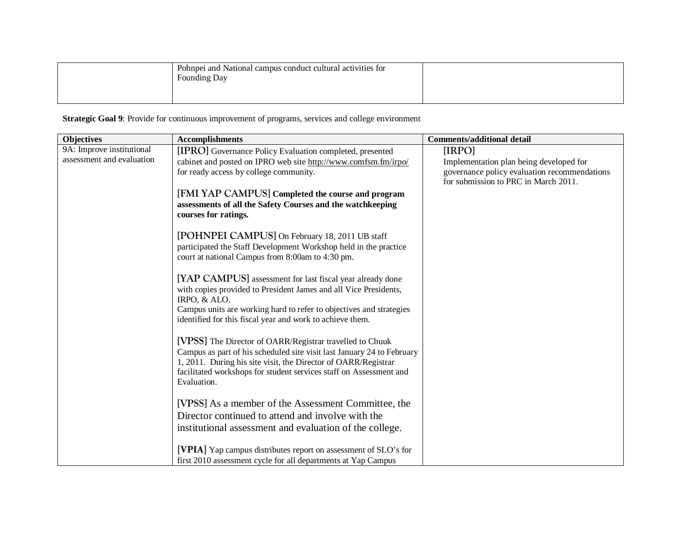| Pohnpei and National campus conduct cultural activities for<br>Founding Day |  |
|-----------------------------------------------------------------------------|--|
|                                                                             |  |

**Strategic Goal 9**: Provide for continuous improvement of programs, services and college environment

| <b>Objectives</b>         | <b>Accomplishments</b>                                                              | <b>Comments/additional detail</b>            |
|---------------------------|-------------------------------------------------------------------------------------|----------------------------------------------|
| 9A: Improve institutional | [IPRO] Governance Policy Evaluation completed, presented                            | [IRPO]                                       |
| assessment and evaluation | cabinet and posted on IPRO web site http://www.comfsm.fm/irpo/                      | Implementation plan being developed for      |
|                           | for ready access by college community.                                              | governance policy evaluation recommendations |
|                           |                                                                                     | for submission to PRC in March 2011.         |
|                           | [FMI YAP CAMPUS] Completed the course and program                                   |                                              |
|                           | assessments of all the Safety Courses and the watchkeeping                          |                                              |
|                           | courses for ratings.                                                                |                                              |
|                           | [POHNPEI CAMPUS] On February 18, 2011 UB staff                                      |                                              |
|                           | participated the Staff Development Workshop held in the practice                    |                                              |
|                           | court at national Campus from 8:00am to 4:30 pm.                                    |                                              |
|                           |                                                                                     |                                              |
|                           | [YAP CAMPUS] assessment for last fiscal year already done                           |                                              |
|                           | with copies provided to President James and all Vice Presidents,                    |                                              |
|                           | IRPO, & ALO.<br>Campus units are working hard to refer to objectives and strategies |                                              |
|                           | identified for this fiscal year and work to achieve them.                           |                                              |
|                           |                                                                                     |                                              |
|                           | [VPSS] The Director of OARR/Registrar travelled to Chuuk                            |                                              |
|                           | Campus as part of his scheduled site visit last January 24 to February              |                                              |
|                           | 1, 2011. During his site visit, the Director of OARR/Registrar                      |                                              |
|                           | facilitated workshops for student services staff on Assessment and                  |                                              |
|                           | Evaluation.                                                                         |                                              |
|                           | [VPSS] As a member of the Assessment Committee, the                                 |                                              |
|                           | Director continued to attend and involve with the                                   |                                              |
|                           |                                                                                     |                                              |
|                           | institutional assessment and evaluation of the college.                             |                                              |
|                           | [VPIA] Yap campus distributes report on assessment of SLO's for                     |                                              |
|                           | first 2010 assessment cycle for all departments at Yap Campus                       |                                              |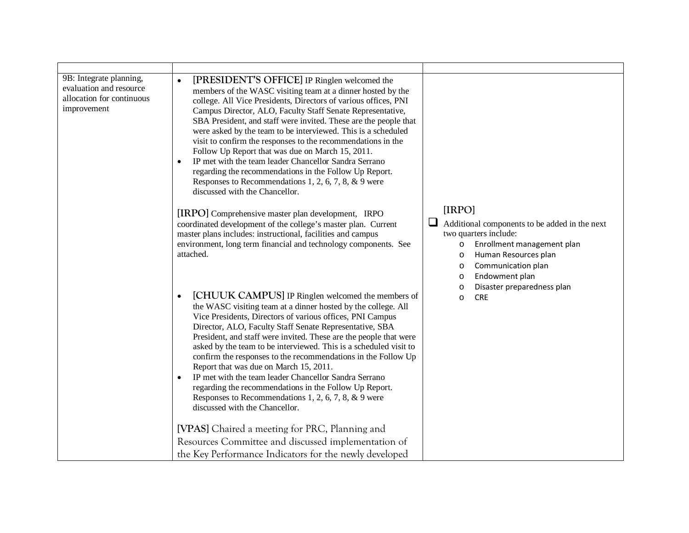| 9B: Integrate planning,<br>evaluation and resource<br>allocation for continuous<br>improvement | [PRESIDENT'S OFFICE] IP Ringlen welcomed the<br>$\bullet$<br>members of the WASC visiting team at a dinner hosted by the<br>college. All Vice Presidents, Directors of various offices, PNI<br>Campus Director, ALO, Faculty Staff Senate Representative,<br>SBA President, and staff were invited. These are the people that<br>were asked by the team to be interviewed. This is a scheduled<br>visit to confirm the responses to the recommendations in the<br>Follow Up Report that was due on March 15, 2011.<br>IP met with the team leader Chancellor Sandra Serrano<br>regarding the recommendations in the Follow Up Report.<br>Responses to Recommendations 1, 2, 6, 7, 8, $\&$ 9 were<br>discussed with the Chancellor. |                                                                                                                                                                                                               |
|------------------------------------------------------------------------------------------------|------------------------------------------------------------------------------------------------------------------------------------------------------------------------------------------------------------------------------------------------------------------------------------------------------------------------------------------------------------------------------------------------------------------------------------------------------------------------------------------------------------------------------------------------------------------------------------------------------------------------------------------------------------------------------------------------------------------------------------|---------------------------------------------------------------------------------------------------------------------------------------------------------------------------------------------------------------|
|                                                                                                | [IRPO] Comprehensive master plan development, IRPO<br>coordinated development of the college's master plan. Current<br>master plans includes: instructional, facilities and campus<br>environment, long term financial and technology components. See<br>attached.                                                                                                                                                                                                                                                                                                                                                                                                                                                                 | [IRPO]<br>⊔<br>Additional components to be added in the next<br>two quarters include:<br>Enrollment management plan<br>$\circ$<br>Human Resources plan<br>O<br>Communication plan<br>O<br>Endowment plan<br>O |
|                                                                                                | [CHUUK CAMPUS] IP Ringlen welcomed the members of<br>$\bullet$<br>the WASC visiting team at a dinner hosted by the college. All<br>Vice Presidents, Directors of various offices, PNI Campus<br>Director, ALO, Faculty Staff Senate Representative, SBA<br>President, and staff were invited. These are the people that were<br>asked by the team to be interviewed. This is a scheduled visit to<br>confirm the responses to the recommendations in the Follow Up<br>Report that was due on March 15, 2011.<br>IP met with the team leader Chancellor Sandra Serrano<br>regarding the recommendations in the Follow Up Report.<br>Responses to Recommendations 1, 2, 6, 7, 8, $\&$ 9 were<br>discussed with the Chancellor.       | Disaster preparedness plan<br>O<br><b>CRE</b><br>O                                                                                                                                                            |
|                                                                                                | [VPAS] Chaired a meeting for PRC, Planning and<br>Resources Committee and discussed implementation of<br>the Key Performance Indicators for the newly developed                                                                                                                                                                                                                                                                                                                                                                                                                                                                                                                                                                    |                                                                                                                                                                                                               |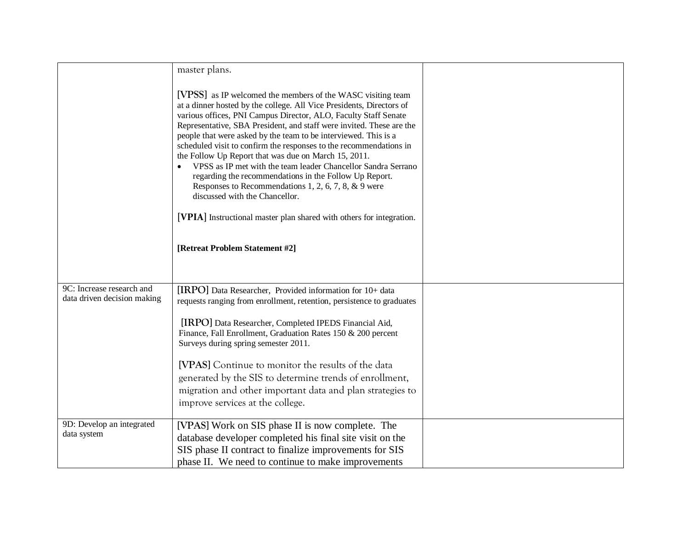|                                                          | master plans.                                                                                                                                                                                                                                                                                                                                                                                                                                                                                                                                                                                                                                                                                                                                                                |  |
|----------------------------------------------------------|------------------------------------------------------------------------------------------------------------------------------------------------------------------------------------------------------------------------------------------------------------------------------------------------------------------------------------------------------------------------------------------------------------------------------------------------------------------------------------------------------------------------------------------------------------------------------------------------------------------------------------------------------------------------------------------------------------------------------------------------------------------------------|--|
|                                                          | [VPSS] as IP welcomed the members of the WASC visiting team<br>at a dinner hosted by the college. All Vice Presidents, Directors of<br>various offices, PNI Campus Director, ALO, Faculty Staff Senate<br>Representative, SBA President, and staff were invited. These are the<br>people that were asked by the team to be interviewed. This is a<br>scheduled visit to confirm the responses to the recommendations in<br>the Follow Up Report that was due on March 15, 2011.<br>VPSS as IP met with the team leader Chancellor Sandra Serrano<br>regarding the recommendations in the Follow Up Report.<br>Responses to Recommendations 1, 2, 6, 7, 8, & 9 were<br>discussed with the Chancellor.<br>[VPIA] Instructional master plan shared with others for integration. |  |
|                                                          | [Retreat Problem Statement #2]                                                                                                                                                                                                                                                                                                                                                                                                                                                                                                                                                                                                                                                                                                                                               |  |
|                                                          |                                                                                                                                                                                                                                                                                                                                                                                                                                                                                                                                                                                                                                                                                                                                                                              |  |
| 9C: Increase research and<br>data driven decision making | [IRPO] Data Researcher, Provided information for 10+ data<br>requests ranging from enrollment, retention, persistence to graduates                                                                                                                                                                                                                                                                                                                                                                                                                                                                                                                                                                                                                                           |  |
|                                                          | [IRPO] Data Researcher, Completed IPEDS Financial Aid,<br>Finance, Fall Enrollment, Graduation Rates 150 & 200 percent<br>Surveys during spring semester 2011.                                                                                                                                                                                                                                                                                                                                                                                                                                                                                                                                                                                                               |  |
|                                                          | [VPAS] Continue to monitor the results of the data<br>generated by the SIS to determine trends of enrollment,<br>migration and other important data and plan strategies to<br>improve services at the college.                                                                                                                                                                                                                                                                                                                                                                                                                                                                                                                                                               |  |
| 9D: Develop an integrated                                |                                                                                                                                                                                                                                                                                                                                                                                                                                                                                                                                                                                                                                                                                                                                                                              |  |
| data system                                              | [VPAS] Work on SIS phase II is now complete. The<br>database developer completed his final site visit on the                                                                                                                                                                                                                                                                                                                                                                                                                                                                                                                                                                                                                                                                 |  |
|                                                          | SIS phase II contract to finalize improvements for SIS                                                                                                                                                                                                                                                                                                                                                                                                                                                                                                                                                                                                                                                                                                                       |  |
|                                                          | phase II. We need to continue to make improvements                                                                                                                                                                                                                                                                                                                                                                                                                                                                                                                                                                                                                                                                                                                           |  |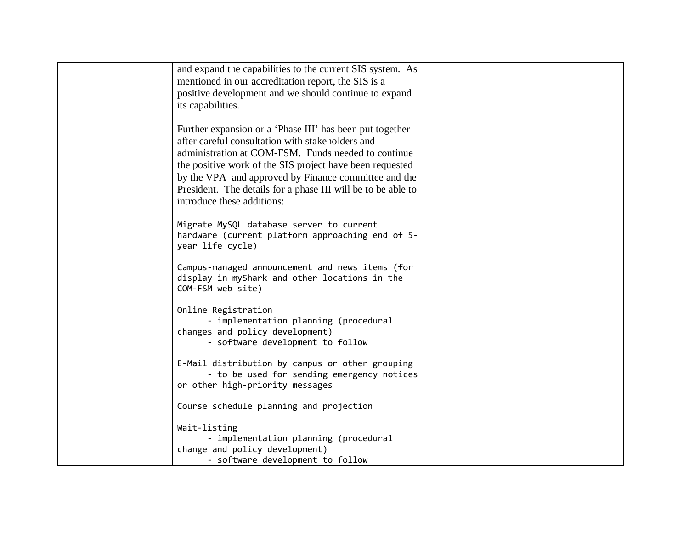| and expand the capabilities to the current SIS system. As    |  |
|--------------------------------------------------------------|--|
| mentioned in our accreditation report, the SIS is a          |  |
|                                                              |  |
| positive development and we should continue to expand        |  |
| its capabilities.                                            |  |
|                                                              |  |
| Further expansion or a 'Phase III' has been put together     |  |
| after careful consultation with stakeholders and             |  |
|                                                              |  |
| administration at COM-FSM. Funds needed to continue          |  |
| the positive work of the SIS project have been requested     |  |
| by the VPA and approved by Finance committee and the         |  |
| President. The details for a phase III will be to be able to |  |
| introduce these additions:                                   |  |
|                                                              |  |
| Migrate MySQL database server to current                     |  |
| hardware (current platform approaching end of 5-             |  |
|                                                              |  |
| year life cycle)                                             |  |
| Campus-managed announcement and news items (for              |  |
|                                                              |  |
| display in myShark and other locations in the                |  |
| COM-FSM web site)                                            |  |
|                                                              |  |
| Online Registration                                          |  |
| - implementation planning (procedural                        |  |
| changes and policy development)                              |  |
| - software development to follow                             |  |
|                                                              |  |
| E-Mail distribution by campus or other grouping              |  |
| - to be used for sending emergency notices                   |  |
| or other high-priority messages                              |  |
|                                                              |  |
| Course schedule planning and projection                      |  |
|                                                              |  |
| Wait-listing                                                 |  |
| - implementation planning (procedural                        |  |
| change and policy development)                               |  |
| - software development to follow                             |  |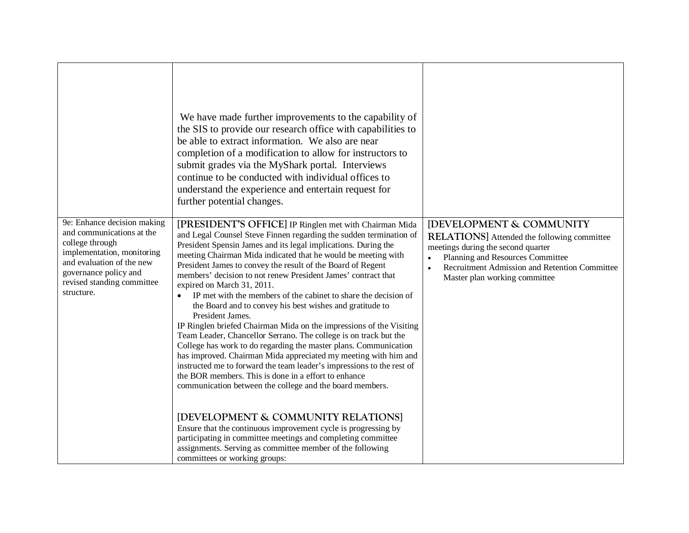|                                                                                                                                                                                                             | We have made further improvements to the capability of<br>the SIS to provide our research office with capabilities to<br>be able to extract information. We also are near<br>completion of a modification to allow for instructors to<br>submit grades via the MyShark portal. Interviews<br>continue to be conducted with individual offices to<br>understand the experience and entertain request for<br>further potential changes.                                                                                                                                                                                                                                                                                                                                                                                                                                                                                                                                                                                                                                                                               |                                                                                                                                                                                                                                                                   |
|-------------------------------------------------------------------------------------------------------------------------------------------------------------------------------------------------------------|---------------------------------------------------------------------------------------------------------------------------------------------------------------------------------------------------------------------------------------------------------------------------------------------------------------------------------------------------------------------------------------------------------------------------------------------------------------------------------------------------------------------------------------------------------------------------------------------------------------------------------------------------------------------------------------------------------------------------------------------------------------------------------------------------------------------------------------------------------------------------------------------------------------------------------------------------------------------------------------------------------------------------------------------------------------------------------------------------------------------|-------------------------------------------------------------------------------------------------------------------------------------------------------------------------------------------------------------------------------------------------------------------|
| 9e: Enhance decision making<br>and communications at the<br>college through<br>implementation, monitoring<br>and evaluation of the new<br>governance policy and<br>revised standing committee<br>structure. | [PRESIDENT'S OFFICE] IP Ringlen met with Chairman Mida<br>and Legal Counsel Steve Finnen regarding the sudden termination of<br>President Spensin James and its legal implications. During the<br>meeting Chairman Mida indicated that he would be meeting with<br>President James to convey the result of the Board of Regent<br>members' decision to not renew President James' contract that<br>expired on March 31, 2011.<br>IP met with the members of the cabinet to share the decision of<br>$\bullet$<br>the Board and to convey his best wishes and gratitude to<br>President James.<br>IP Ringlen briefed Chairman Mida on the impressions of the Visiting<br>Team Leader, Chancellor Serrano. The college is on track but the<br>College has work to do regarding the master plans. Communication<br>has improved. Chairman Mida appreciated my meeting with him and<br>instructed me to forward the team leader's impressions to the rest of<br>the BOR members. This is done in a effort to enhance<br>communication between the college and the board members.<br>[DEVELOPMENT & COMMUNITY RELATIONS] | <b>IDEVELOPMENT &amp; COMMUNITY</b><br><b>RELATIONS</b> Attended the following committee<br>meetings during the second quarter<br>Planning and Resources Committee<br>Recruitment Admission and Retention Committee<br>$\bullet$<br>Master plan working committee |
|                                                                                                                                                                                                             | Ensure that the continuous improvement cycle is progressing by<br>participating in committee meetings and completing committee<br>assignments. Serving as committee member of the following<br>committees or working groups:                                                                                                                                                                                                                                                                                                                                                                                                                                                                                                                                                                                                                                                                                                                                                                                                                                                                                        |                                                                                                                                                                                                                                                                   |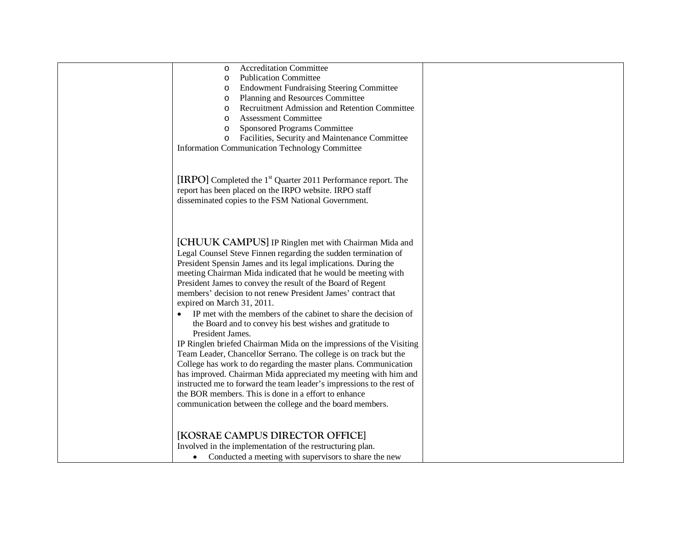| <b>Accreditation Committee</b><br>$\circ$<br><b>Publication Committee</b><br>$\circ$<br><b>Endowment Fundraising Steering Committee</b><br>$\circ$<br>Planning and Resources Committee<br>$\circ$<br>Recruitment Admission and Retention Committee<br>$\circ$<br><b>Assessment Committee</b><br>$\circ$<br>Sponsored Programs Committee<br>$\circ$<br>Facilities, Security and Maintenance Committee<br>$\circ$                                                                                                                                                                                                                                                                                                                                                                                                                                                                                                                                                                                                                                                        |  |
|------------------------------------------------------------------------------------------------------------------------------------------------------------------------------------------------------------------------------------------------------------------------------------------------------------------------------------------------------------------------------------------------------------------------------------------------------------------------------------------------------------------------------------------------------------------------------------------------------------------------------------------------------------------------------------------------------------------------------------------------------------------------------------------------------------------------------------------------------------------------------------------------------------------------------------------------------------------------------------------------------------------------------------------------------------------------|--|
| <b>Information Communication Technology Committee</b><br>[IRPO] Completed the 1 <sup>st</sup> Quarter 2011 Performance report. The<br>report has been placed on the IRPO website. IRPO staff<br>disseminated copies to the FSM National Government.                                                                                                                                                                                                                                                                                                                                                                                                                                                                                                                                                                                                                                                                                                                                                                                                                    |  |
| [CHUUK CAMPUS] IP Ringlen met with Chairman Mida and<br>Legal Counsel Steve Finnen regarding the sudden termination of<br>President Spensin James and its legal implications. During the<br>meeting Chairman Mida indicated that he would be meeting with<br>President James to convey the result of the Board of Regent<br>members' decision to not renew President James' contract that<br>expired on March 31, 2011.<br>IP met with the members of the cabinet to share the decision of<br>$\bullet$<br>the Board and to convey his best wishes and gratitude to<br>President James.<br>IP Ringlen briefed Chairman Mida on the impressions of the Visiting<br>Team Leader, Chancellor Serrano. The college is on track but the<br>College has work to do regarding the master plans. Communication<br>has improved. Chairman Mida appreciated my meeting with him and<br>instructed me to forward the team leader's impressions to the rest of<br>the BOR members. This is done in a effort to enhance<br>communication between the college and the board members. |  |
| [KOSRAE CAMPUS DIRECTOR OFFICE]<br>Involved in the implementation of the restructuring plan.<br>Conducted a meeting with supervisors to share the new<br>$\bullet$                                                                                                                                                                                                                                                                                                                                                                                                                                                                                                                                                                                                                                                                                                                                                                                                                                                                                                     |  |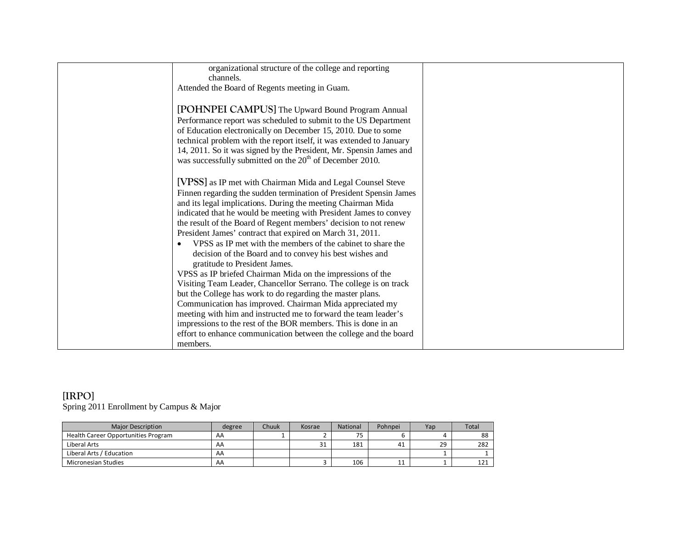| organizational structure of the college and reporting                |  |
|----------------------------------------------------------------------|--|
| channels.                                                            |  |
| Attended the Board of Regents meeting in Guam.                       |  |
|                                                                      |  |
| [POHNPEI CAMPUS] The Upward Bound Program Annual                     |  |
| Performance report was scheduled to submit to the US Department      |  |
| of Education electronically on December 15, 2010. Due to some        |  |
| technical problem with the report itself, it was extended to January |  |
| 14, 2011. So it was signed by the President, Mr. Spensin James and   |  |
| was successfully submitted on the 20 <sup>th</sup> of December 2010. |  |
|                                                                      |  |
| [VPSS] as IP met with Chairman Mida and Legal Counsel Steve          |  |
| Finnen regarding the sudden termination of President Spensin James   |  |
| and its legal implications. During the meeting Chairman Mida         |  |
| indicated that he would be meeting with President James to convey    |  |
| the result of the Board of Regent members' decision to not renew     |  |
| President James' contract that expired on March 31, 2011.            |  |
| VPSS as IP met with the members of the cabinet to share the          |  |
| decision of the Board and to convey his best wishes and              |  |
| gratitude to President James.                                        |  |
| VPSS as IP briefed Chairman Mida on the impressions of the           |  |
| Visiting Team Leader, Chancellor Serrano. The college is on track    |  |
| but the College has work to do regarding the master plans.           |  |
| Communication has improved. Chairman Mida appreciated my             |  |
| meeting with him and instructed me to forward the team leader's      |  |
| impressions to the rest of the BOR members. This is done in an       |  |
| effort to enhance communication between the college and the board    |  |
| members.                                                             |  |
|                                                                      |  |

# **[IRPO]** Spring 2011 Enrollment by Campus & Major

| Major Description                   | degree | Chuuk | Kosrae | National  | Pohnpei | Yap | Total |
|-------------------------------------|--------|-------|--------|-----------|---------|-----|-------|
| Health Career Opportunities Program | AA     |       |        | フロ<br>כ ו |         |     | 88    |
| Liberal Arts                        | AA     |       | 31     | 181       | 41      | 29  | 282   |
| Liberal Arts / Education            | AA     |       |        |           |         |     |       |
| Micronesian Studies                 | AA     |       |        | 106       | ᆠ       |     | 121   |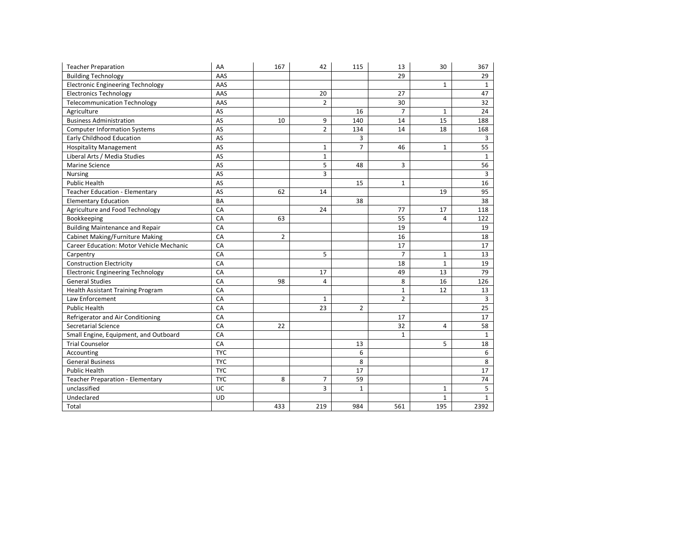| <b>Teacher Preparation</b>               | AA         | 167            | 42             | 115            | 13             | 30           | 367            |
|------------------------------------------|------------|----------------|----------------|----------------|----------------|--------------|----------------|
| <b>Building Technology</b>               | AAS        |                |                |                | 29             |              | 29             |
| <b>Electronic Engineering Technology</b> | AAS        |                |                |                |                | $\mathbf{1}$ | $\mathbf{1}$   |
| <b>Electronics Technology</b>            | AAS        |                | 20             |                | 27             |              | 47             |
| <b>Telecommunication Technology</b>      | AAS        |                | $\overline{2}$ |                | 30             |              | 32             |
| Agriculture                              | AS         |                |                | 16             | $\overline{7}$ | $1\,$        | 24             |
| <b>Business Administration</b>           | AS         | 10             | 9              | 140            | 14             | 15           | 188            |
| <b>Computer Information Systems</b>      | AS         |                | $\overline{2}$ | 134            | 14             | 18           | 168            |
| <b>Early Childhood Education</b>         | AS         |                |                | 3              |                |              | $\overline{3}$ |
| <b>Hospitality Management</b>            | AS         |                | $\mathbf{1}$   | $\overline{7}$ | 46             | $\mathbf{1}$ | 55             |
| Liberal Arts / Media Studies             | AS         |                | $\mathbf{1}$   |                |                |              | $\mathbf{1}$   |
| Marine Science                           | AS         |                | 5              | 48             | 3              |              | 56             |
| Nursing                                  | AS         |                | 3              |                |                |              | 3              |
| <b>Public Health</b>                     | AS         |                |                | 15             | $\mathbf{1}$   |              | 16             |
| <b>Teacher Education - Elementary</b>    | AS         | 62             | 14             |                |                | 19           | 95             |
| <b>Elementary Education</b>              | <b>BA</b>  |                |                | 38             |                |              | 38             |
| Agriculture and Food Technology          | CA         |                | 24             |                | 77             | 17           | 118            |
| Bookkeeping                              | CA         | 63             |                |                | 55             | 4            | 122            |
| <b>Building Maintenance and Repair</b>   | CA         |                |                |                | 19             |              | 19             |
| Cabinet Making/Furniture Making          | CA         | $\overline{2}$ |                |                | 16             |              | 18             |
| Career Education: Motor Vehicle Mechanic | CA         |                |                |                | 17             |              | 17             |
| Carpentry                                | CA         |                | 5              |                | $\overline{7}$ | $\mathbf{1}$ | 13             |
| <b>Construction Electricity</b>          | CA         |                |                |                | 18             | $\mathbf{1}$ | 19             |
| <b>Electronic Engineering Technology</b> | CA         |                | 17             |                | 49             | 13           | 79             |
| <b>General Studies</b>                   | CA         | 98             | 4              |                | 8              | 16           | 126            |
| <b>Health Assistant Training Program</b> | CA         |                |                |                | $\mathbf{1}$   | 12           | 13             |
| Law Enforcement                          | CA         |                | $\mathbf{1}$   |                | $\overline{2}$ |              | 3              |
| <b>Public Health</b>                     | CA         |                | 23             | $\overline{2}$ |                |              | 25             |
| Refrigerator and Air Conditioning        | CA         |                |                |                | 17             |              | 17             |
| Secretarial Science                      | CA         | 22             |                |                | 32             | 4            | 58             |
| Small Engine, Equipment, and Outboard    | CA         |                |                |                | $\mathbf{1}$   |              | $\mathbf{1}$   |
| <b>Trial Counselor</b>                   | CA         |                |                | 13             |                | 5            | 18             |
| Accounting                               | <b>TYC</b> |                |                | 6              |                |              | 6              |
| <b>General Business</b>                  | <b>TYC</b> |                |                | 8              |                |              | 8              |
| <b>Public Health</b>                     | <b>TYC</b> |                |                | 17             |                |              | 17             |
| Teacher Preparation - Elementary         | <b>TYC</b> | 8              | $\overline{7}$ | 59             |                |              | 74             |
| unclassified                             | UC         |                | 3              | $\mathbf{1}$   |                | $\mathbf{1}$ | 5              |
| Undeclared                               | <b>UD</b>  |                |                |                |                | $\mathbf 1$  | $\mathbf{1}$   |
| Total                                    |            | 433            | 219            | 984            | 561            | 195          | 2392           |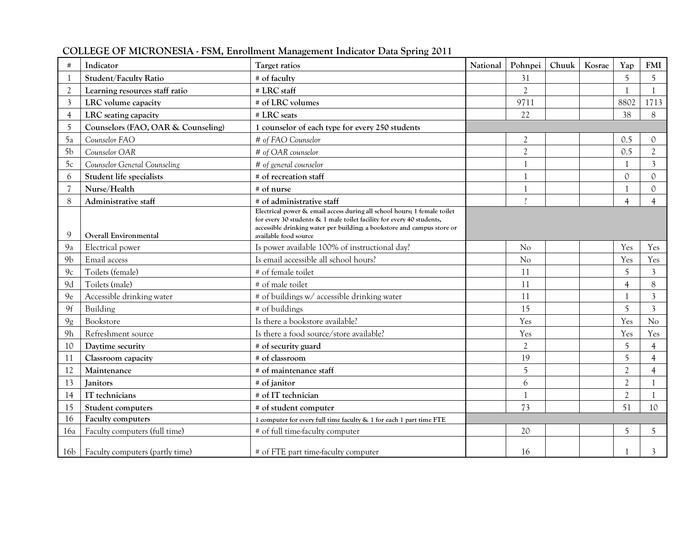| #              | Indicator                             | Target ratios                                                                                                                                                                                                                                         | National | Pohnpei                  | Chuuk | Kosrae | Yap            | <b>FMI</b>      |
|----------------|---------------------------------------|-------------------------------------------------------------------------------------------------------------------------------------------------------------------------------------------------------------------------------------------------------|----------|--------------------------|-------|--------|----------------|-----------------|
|                | Student/Faculty Ratio                 | # of faculty                                                                                                                                                                                                                                          |          | 31                       |       |        | $\overline{5}$ | 5               |
| $\overline{2}$ | Learning resources staff ratio        | # LRC staff                                                                                                                                                                                                                                           |          | $\overline{2}$           |       |        |                |                 |
| 3              | LRC volume capacity                   | # of LRC volumes                                                                                                                                                                                                                                      |          | 9711                     |       |        | 8802           | 1713            |
| 4              | LRC seating capacity                  | # LRC seats                                                                                                                                                                                                                                           |          | 22                       |       |        | 38             | 8               |
| 5              | Counselors (FAO, OAR & Counseling)    | 1 counselor of each type for every 250 students                                                                                                                                                                                                       |          |                          |       |        |                |                 |
| 5a             | Counselor FAO                         | # of FAO Counselor                                                                                                                                                                                                                                    |          | $\overline{2}$           |       |        | 0.5            | $\Omega$        |
| 5 <sub>b</sub> | Counselor OAR                         | # of OAR counselor                                                                                                                                                                                                                                    |          | $\overline{2}$           |       |        | 0.5            | $\overline{2}$  |
| 5c             | Counselor General Counseling          | # of general counselor                                                                                                                                                                                                                                |          |                          |       |        |                | 3               |
| 6              | Student life specialists              | # of recreation staff                                                                                                                                                                                                                                 |          |                          |       |        | $\Omega$       | $\Omega$        |
|                | Nurse/Health                          | # of nurse                                                                                                                                                                                                                                            |          |                          |       |        |                | $\Omega$        |
| 8              | Administrative staff                  | # of administrative staff                                                                                                                                                                                                                             |          | $\overline{\phantom{a}}$ |       |        | 4              | 4               |
| 9              | Overall Environmental                 | Electrical power & email access during all school hours; 1 female toilet<br>for every 30 students & 1 male toilet facility for every 40 students,<br>accessible drinking water per building; a bookstore and campus store or<br>available food source |          |                          |       |        |                |                 |
| 9a             | Electrical power                      | Is power available 100% of instructional day?                                                                                                                                                                                                         |          | No                       |       |        | Yes            | Yes             |
| 9 <sub>b</sub> | Email access                          | Is email accessible all school hours?                                                                                                                                                                                                                 |          | N <sub>o</sub>           |       |        | Yes            | Yes             |
| 9 <sub>c</sub> | Toilets (female)                      | # of female toilet                                                                                                                                                                                                                                    |          | 11                       |       |        | 5              | 3               |
| 9d             | Toilets (male)                        | # of male toilet                                                                                                                                                                                                                                      |          | 11                       |       |        | $\overline{4}$ | 8               |
| 9e             | Accessible drinking water             | # of buildings w/ accessible drinking water                                                                                                                                                                                                           |          | 11                       |       |        |                | 3               |
| 9f             | Building                              | # of buildings                                                                                                                                                                                                                                        |          | 15                       |       |        | 5              | $\overline{3}$  |
| 9g             | Bookstore                             | Is there a bookstore available?                                                                                                                                                                                                                       |          | Yes                      |       |        | Yes            | No              |
| 9h             | Refreshment source                    | Is there a food source/store available?                                                                                                                                                                                                               |          | Yes                      |       |        | Yes            | Yes             |
| 10             | Daytime security                      | # of security guard                                                                                                                                                                                                                                   |          | $\overline{2}$           |       |        | $\overline{5}$ | $\overline{4}$  |
| 11             | Classroom capacity                    | # of classroom                                                                                                                                                                                                                                        |          | 19                       |       |        | 5              | 4               |
| 12             | Maintenance                           | # of maintenance staff                                                                                                                                                                                                                                |          | 5                        |       |        | $\overline{2}$ | $\overline{4}$  |
| 13             | <b>Janitors</b>                       | $#$ of janitor                                                                                                                                                                                                                                        |          | 6                        |       |        | $\overline{c}$ |                 |
| 14             | IT technicians                        | # of IT technician                                                                                                                                                                                                                                    |          |                          |       |        | $\overline{2}$ |                 |
| 15             | Student computers                     | # of student computer                                                                                                                                                                                                                                 |          | 73                       |       |        | 51             | 10 <sup>°</sup> |
| 16             | <b>Faculty computers</b>              | 1 computer for every full time faculty & 1 for each 1 part time FTE                                                                                                                                                                                   |          |                          |       |        |                |                 |
| 16a            | Faculty computers (full time)         | # of full time-faculty computer                                                                                                                                                                                                                       |          | 20                       |       |        | 5              | 5               |
|                | 16b   Faculty computers (partly time) | # of FTE part time-faculty computer                                                                                                                                                                                                                   |          | 16                       |       |        |                | 3               |

**COLLEGE OF MICRONESIA - FSM, Enrollment Management Indicator Data Spring 2011**